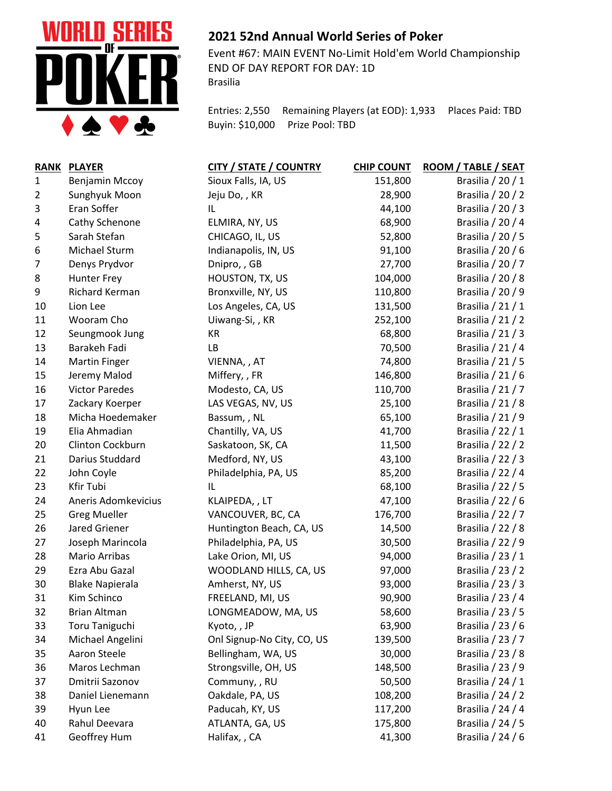

## **2021 52nd Annual World Series of Poker**

Event #67: MAIN EVENT No-Limit Hold'em World Championship END OF DAY REPORT FOR DAY: 1D Brasilia

Entries: 2,550 Remaining Players (at EOD): 1,933 Places Paid: TBD Buyin: \$10,000 Prize Pool: TBD

| <b>RANK</b>    | <b>PLAYER</b>          | <b>CITY / STATE / COUNTRY</b> | <b>CHIP COUNT</b> | ROOM / TABLE / SEAT |
|----------------|------------------------|-------------------------------|-------------------|---------------------|
| 1              | Benjamin Mccoy         | Sioux Falls, IA, US           | 151,800           | Brasilia / 20 / 1   |
| $\overline{2}$ | Sunghyuk Moon          | Jeju Do,, KR                  | 28,900            | Brasilia / 20 / 2   |
| 3              | Eran Soffer            | IL                            | 44,100            | Brasilia / 20 / 3   |
| 4              | Cathy Schenone         | ELMIRA, NY, US                | 68,900            | Brasilia / 20 / 4   |
| 5              | Sarah Stefan           | CHICAGO, IL, US               | 52,800            | Brasilia / 20 / 5   |
| 6              | Michael Sturm          | Indianapolis, IN, US          | 91,100            | Brasilia / 20 / 6   |
| $\overline{7}$ | Denys Prydvor          | Dnipro, , GB                  | 27,700            | Brasilia / 20 / 7   |
| 8              | <b>Hunter Frey</b>     | HOUSTON, TX, US               | 104,000           | Brasilia / 20 / 8   |
| 9              | Richard Kerman         | Bronxville, NY, US            | 110,800           | Brasilia / 20 / 9   |
| 10             | Lion Lee               | Los Angeles, CA, US           | 131,500           | Brasilia / 21 / 1   |
| 11             | Wooram Cho             | Uiwang-Si,, KR                | 252,100           | Brasilia / 21 / 2   |
| 12             | Seungmook Jung         | KR                            | 68,800            | Brasilia / 21 / 3   |
| 13             | Barakeh Fadi           | LB                            | 70,500            | Brasilia / 21 / 4   |
| 14             | <b>Martin Finger</b>   | VIENNA, , AT                  | 74,800            | Brasilia / 21 / 5   |
| 15             | Jeremy Malod           | Miffery, , FR                 | 146,800           | Brasilia / 21 / 6   |
| 16             | <b>Victor Paredes</b>  | Modesto, CA, US               | 110,700           | Brasilia / 21 / 7   |
| 17             | Zackary Koerper        | LAS VEGAS, NV, US             | 25,100            | Brasilia / 21 / 8   |
| 18             | Micha Hoedemaker       | Bassum, , NL                  | 65,100            | Brasilia / 21 / 9   |
| 19             | Elia Ahmadian          | Chantilly, VA, US             | 41,700            | Brasilia / 22 / 1   |
| 20             | Clinton Cockburn       | Saskatoon, SK, CA             | 11,500            | Brasilia / 22 / 2   |
| 21             | Darius Studdard        | Medford, NY, US               | 43,100            | Brasilia / 22 / 3   |
| 22             | John Coyle             | Philadelphia, PA, US          | 85,200            | Brasilia / 22 / 4   |
| 23             | Kfir Tubi              | IL                            | 68,100            | Brasilia / 22 / 5   |
| 24             | Aneris Adomkevicius    | KLAIPEDA,, LT                 | 47,100            | Brasilia / 22 / 6   |
| 25             | <b>Greg Mueller</b>    | VANCOUVER, BC, CA             | 176,700           | Brasilia / 22 / 7   |
| 26             | Jared Griener          | Huntington Beach, CA, US      | 14,500            | Brasilia / 22 / 8   |
| 27             | Joseph Marincola       | Philadelphia, PA, US          | 30,500            | Brasilia / 22 / 9   |
| 28             | Mario Arribas          | Lake Orion, MI, US            | 94,000            | Brasilia / 23 / 1   |
| 29             | Ezra Abu Gazal         | WOODLAND HILLS, CA, US        | 97,000            | Brasilia / 23 / 2   |
| 30             | <b>Blake Napierala</b> | Amherst, NY, US               | 93,000            | Brasilia / 23 / 3   |
| 31             | Kim Schinco            | FREELAND, MI, US              | 90,900            | Brasilia / 23 / 4   |
| 32             | <b>Brian Altman</b>    | LONGMEADOW, MA, US            | 58,600            | Brasilia / 23 / 5   |
| 33             | <b>Toru Taniguchi</b>  | Kyoto,, JP                    | 63,900            | Brasilia / 23 / 6   |
| 34             | Michael Angelini       | Onl Signup-No City, CO, US    | 139,500           | Brasilia / 23 / 7   |
| 35             | Aaron Steele           | Bellingham, WA, US            | 30,000            | Brasilia / 23 / 8   |
| 36             | Maros Lechman          | Strongsville, OH, US          | 148,500           | Brasilia / 23 / 9   |
| 37             | Dmitrii Sazonov        | Communy, , RU                 | 50,500            | Brasilia / 24 / 1   |
| 38             | Daniel Lienemann       | Oakdale, PA, US               | 108,200           | Brasilia / 24 / 2   |
| 39             | Hyun Lee               | Paducah, KY, US               | 117,200           | Brasilia / 24 / 4   |
| 40             | Rahul Deevara          | ATLANTA, GA, US               | 175,800           | Brasilia / 24 / 5   |
| 41             | Geoffrey Hum           | Halifax, , CA                 | 41,300            | Brasilia / 24 / 6   |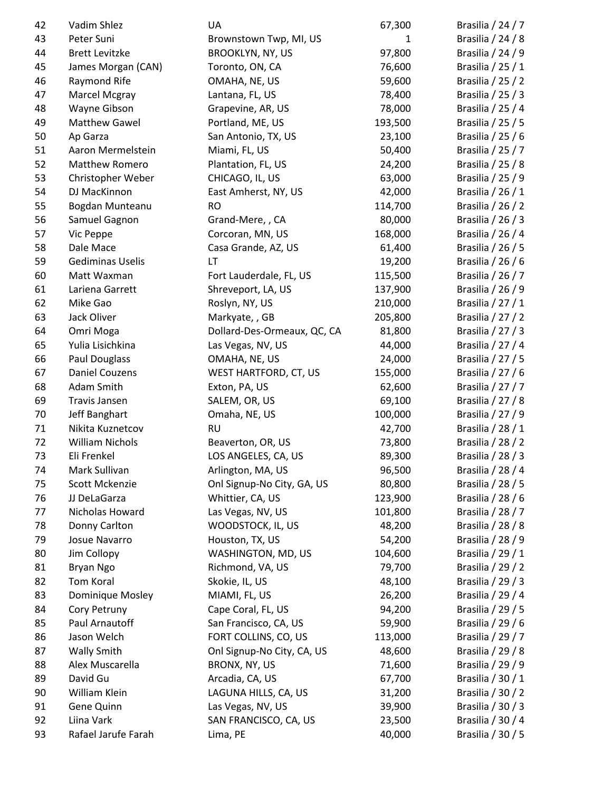| 42 | Vadim Shlez            | UA                          | 67,300  | Brasilia / 24 / 7                      |
|----|------------------------|-----------------------------|---------|----------------------------------------|
| 43 | Peter Suni             | Brownstown Twp, MI, US      | 1       | Brasilia / 24 / 8                      |
| 44 | <b>Brett Levitzke</b>  | <b>BROOKLYN, NY, US</b>     | 97,800  | Brasilia / 24 / 9                      |
| 45 | James Morgan (CAN)     | Toronto, ON, CA             | 76,600  | Brasilia / 25 / 1                      |
| 46 | Raymond Rife           | OMAHA, NE, US               | 59,600  | Brasilia / 25 / 2                      |
| 47 | Marcel Mcgray          | Lantana, FL, US             | 78,400  | Brasilia / 25 / 3                      |
| 48 | Wayne Gibson           | Grapevine, AR, US           | 78,000  | Brasilia / 25 / 4                      |
| 49 | <b>Matthew Gawel</b>   | Portland, ME, US            | 193,500 | Brasilia / 25 / 5                      |
| 50 | Ap Garza               | San Antonio, TX, US         | 23,100  | Brasilia / 25 / 6                      |
| 51 | Aaron Mermelstein      | Miami, FL, US               | 50,400  | Brasilia / 25 / 7                      |
| 52 | Matthew Romero         | Plantation, FL, US          | 24,200  | Brasilia / 25 / 8                      |
| 53 | Christopher Weber      | CHICAGO, IL, US             | 63,000  | Brasilia / 25 / 9                      |
| 54 | DJ MacKinnon           | East Amherst, NY, US        | 42,000  | Brasilia / 26 / 1                      |
| 55 | Bogdan Munteanu        | <b>RO</b>                   | 114,700 | Brasilia / 26 / 2                      |
| 56 | Samuel Gagnon          | Grand-Mere, , CA            | 80,000  | Brasilia / 26 / 3                      |
| 57 | Vic Peppe              | Corcoran, MN, US            | 168,000 | Brasilia / 26 / 4                      |
| 58 | Dale Mace              | Casa Grande, AZ, US         | 61,400  | Brasilia / 26 / 5                      |
| 59 | Gediminas Uselis       | LT                          | 19,200  | Brasilia / 26 / 6                      |
| 60 | Matt Waxman            | Fort Lauderdale, FL, US     | 115,500 | Brasilia / 26 / 7                      |
| 61 | Lariena Garrett        | Shreveport, LA, US          | 137,900 | Brasilia / 26 / 9                      |
| 62 | Mike Gao               | Roslyn, NY, US              | 210,000 | Brasilia / 27 / 1                      |
| 63 | Jack Oliver            | Markyate, , GB              | 205,800 | Brasilia / 27 / 2                      |
| 64 | Omri Moga              | Dollard-Des-Ormeaux, QC, CA | 81,800  | Brasilia / 27 / 3                      |
| 65 | Yulia Lisichkina       | Las Vegas, NV, US           | 44,000  | Brasilia / 27 / 4                      |
| 66 | <b>Paul Douglass</b>   | OMAHA, NE, US               | 24,000  | Brasilia / 27 / 5                      |
| 67 | <b>Daniel Couzens</b>  | WEST HARTFORD, CT, US       | 155,000 | Brasilia / 27 / 6                      |
| 68 | Adam Smith             | Exton, PA, US               | 62,600  | Brasilia / 27 / 7                      |
| 69 | Travis Jansen          | SALEM, OR, US               | 69,100  | Brasilia / 27 / 8                      |
| 70 | Jeff Banghart          | Omaha, NE, US               | 100,000 | Brasilia / 27 / 9                      |
| 71 | Nikita Kuznetcov       | <b>RU</b>                   | 42,700  | Brasilia / 28 / 1                      |
| 72 | <b>William Nichols</b> | Beaverton, OR, US           | 73,800  | Brasilia / 28 / 2                      |
| 73 | Eli Frenkel            | LOS ANGELES, CA, US         | 89,300  | Brasilia / 28 / 3                      |
| 74 | Mark Sullivan          | Arlington, MA, US           | 96,500  | Brasilia / 28 / 4                      |
| 75 | Scott Mckenzie         | Onl Signup-No City, GA, US  | 80,800  | Brasilia / 28 / 5                      |
| 76 | JJ DeLaGarza           | Whittier, CA, US            | 123,900 | Brasilia / 28 / 6                      |
| 77 | Nicholas Howard        | Las Vegas, NV, US           | 101,800 | Brasilia / 28 / 7                      |
| 78 | Donny Carlton          | WOODSTOCK, IL, US           | 48,200  | Brasilia / 28 / 8                      |
| 79 | Josue Navarro          | Houston, TX, US             | 54,200  | Brasilia / 28 / 9                      |
| 80 | Jim Collopy            | WASHINGTON, MD, US          | 104,600 | Brasilia / 29 / 1                      |
|    |                        |                             | 79,700  |                                        |
| 81 | Bryan Ngo              | Richmond, VA, US            |         | Brasilia / 29 / 2<br>Brasilia / 29 / 3 |
| 82 | Tom Koral              | Skokie, IL, US              | 48,100  |                                        |
| 83 | Dominique Mosley       | MIAMI, FL, US               | 26,200  | Brasilia / 29 / 4                      |
| 84 | Cory Petruny           | Cape Coral, FL, US          | 94,200  | Brasilia / 29 / 5                      |
| 85 | Paul Arnautoff         | San Francisco, CA, US       | 59,900  | Brasilia / 29 / 6                      |
| 86 | Jason Welch            | FORT COLLINS, CO, US        | 113,000 | Brasilia / 29 / 7                      |
| 87 | <b>Wally Smith</b>     | Onl Signup-No City, CA, US  | 48,600  | Brasilia / 29 / 8                      |
| 88 | Alex Muscarella        | BRONX, NY, US               | 71,600  | Brasilia / 29 / 9                      |
| 89 | David Gu               | Arcadia, CA, US             | 67,700  | Brasilia / 30 / 1                      |
| 90 | William Klein          | LAGUNA HILLS, CA, US        | 31,200  | Brasilia / 30 / 2                      |
| 91 | Gene Quinn             | Las Vegas, NV, US           | 39,900  | Brasilia / 30 / 3                      |
| 92 | Liina Vark             | SAN FRANCISCO, CA, US       | 23,500  | Brasilia / 30 / 4                      |
| 93 | Rafael Jarufe Farah    | Lima, PE                    | 40,000  | Brasilia / 30 / 5                      |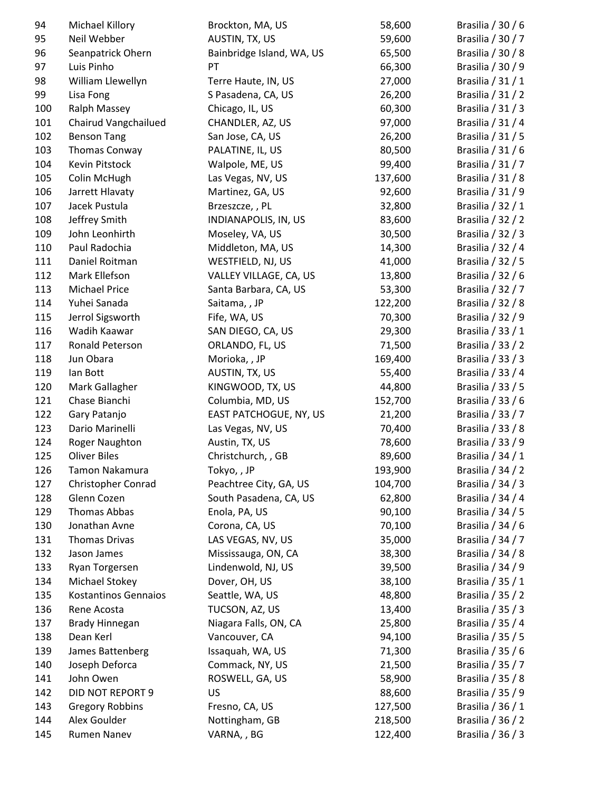| 94  | Michael Killory             | Brockton, MA, US          | 58,600  | Brasilia / 30 / 6 |
|-----|-----------------------------|---------------------------|---------|-------------------|
| 95  | Neil Webber                 | AUSTIN, TX, US            | 59,600  | Brasilia / 30 / 7 |
| 96  | Seanpatrick Ohern           | Bainbridge Island, WA, US | 65,500  | Brasilia / 30 / 8 |
| 97  | Luis Pinho                  | PT                        | 66,300  | Brasilia / 30 / 9 |
| 98  | William Llewellyn           | Terre Haute, IN, US       | 27,000  | Brasilia / 31 / 1 |
| 99  | Lisa Fong                   | S Pasadena, CA, US        | 26,200  | Brasilia / 31 / 2 |
| 100 | <b>Ralph Massey</b>         | Chicago, IL, US           | 60,300  | Brasilia / 31 / 3 |
| 101 | Chairud Vangchailued        | CHANDLER, AZ, US          | 97,000  | Brasilia / 31 / 4 |
| 102 | <b>Benson Tang</b>          | San Jose, CA, US          | 26,200  | Brasilia / 31 / 5 |
| 103 | Thomas Conway               | PALATINE, IL, US          | 80,500  | Brasilia / 31 / 6 |
| 104 | Kevin Pitstock              | Walpole, ME, US           | 99,400  | Brasilia / 31 / 7 |
| 105 | Colin McHugh                | Las Vegas, NV, US         | 137,600 | Brasilia / 31 / 8 |
| 106 | Jarrett Hlavaty             | Martinez, GA, US          | 92,600  | Brasilia / 31 / 9 |
| 107 | Jacek Pustula               | Brzeszcze, , PL           | 32,800  | Brasilia / 32 / 1 |
| 108 | Jeffrey Smith               | INDIANAPOLIS, IN, US      | 83,600  | Brasilia / 32 / 2 |
| 109 | John Leonhirth              | Moseley, VA, US           | 30,500  | Brasilia / 32 / 3 |
| 110 | Paul Radochia               | Middleton, MA, US         | 14,300  | Brasilia / 32 / 4 |
| 111 | Daniel Roitman              | WESTFIELD, NJ, US         | 41,000  | Brasilia / 32 / 5 |
| 112 | Mark Ellefson               | VALLEY VILLAGE, CA, US    | 13,800  | Brasilia / 32 / 6 |
| 113 | <b>Michael Price</b>        | Santa Barbara, CA, US     | 53,300  | Brasilia / 32 / 7 |
| 114 | Yuhei Sanada                | Saitama, , JP             | 122,200 | Brasilia / 32 / 8 |
| 115 | Jerrol Sigsworth            | Fife, WA, US              | 70,300  | Brasilia / 32 / 9 |
| 116 | Wadih Kaawar                | SAN DIEGO, CA, US         | 29,300  | Brasilia / 33 / 1 |
| 117 | Ronald Peterson             | ORLANDO, FL, US           | 71,500  | Brasilia / 33 / 2 |
| 118 | Jun Obara                   | Morioka, , JP             | 169,400 | Brasilia / 33 / 3 |
| 119 | lan Bott                    | AUSTIN, TX, US            | 55,400  | Brasilia / 33 / 4 |
| 120 | Mark Gallagher              | KINGWOOD, TX, US          | 44,800  | Brasilia / 33 / 5 |
| 121 | Chase Bianchi               | Columbia, MD, US          | 152,700 | Brasilia / 33 / 6 |
| 122 | Gary Patanjo                | EAST PATCHOGUE, NY, US    | 21,200  | Brasilia / 33 / 7 |
| 123 | Dario Marinelli             | Las Vegas, NV, US         | 70,400  | Brasilia / 33 / 8 |
| 124 | Roger Naughton              | Austin, TX, US            | 78,600  | Brasilia / 33 / 9 |
| 125 | <b>Oliver Biles</b>         | Christchurch, , GB        | 89,600  | Brasilia / 34 / 1 |
| 126 | Tamon Nakamura              | Tokyo,, JP                | 193,900 | Brasilia / 34 / 2 |
| 127 | Christopher Conrad          | Peachtree City, GA, US    | 104,700 | Brasilia / 34 / 3 |
| 128 | Glenn Cozen                 | South Pasadena, CA, US    | 62,800  | Brasilia / 34 / 4 |
| 129 | Thomas Abbas                | Enola, PA, US             | 90,100  | Brasilia / $34/5$ |
| 130 | Jonathan Avne               | Corona, CA, US            | 70,100  | Brasilia / 34 / 6 |
| 131 | <b>Thomas Drivas</b>        | LAS VEGAS, NV, US         | 35,000  | Brasilia / 34 / 7 |
| 132 | Jason James                 | Mississauga, ON, CA       | 38,300  | Brasilia / 34 / 8 |
| 133 | Ryan Torgersen              | Lindenwold, NJ, US        | 39,500  | Brasilia / 34 / 9 |
| 134 | Michael Stokey              | Dover, OH, US             | 38,100  | Brasilia / 35 / 1 |
| 135 | <b>Kostantinos Gennaios</b> | Seattle, WA, US           | 48,800  | Brasilia / 35 / 2 |
| 136 | Rene Acosta                 | TUCSON, AZ, US            | 13,400  | Brasilia / 35 / 3 |
| 137 | Brady Hinnegan              | Niagara Falls, ON, CA     | 25,800  | Brasilia / 35 / 4 |
| 138 | Dean Kerl                   | Vancouver, CA             | 94,100  | Brasilia / 35 / 5 |
| 139 | James Battenberg            | Issaquah, WA, US          | 71,300  | Brasilia / 35 / 6 |
| 140 | Joseph Deforca              | Commack, NY, US           | 21,500  | Brasilia / 35 / 7 |
| 141 | John Owen                   | ROSWELL, GA, US           | 58,900  | Brasilia / 35 / 8 |
| 142 | DID NOT REPORT 9            | US                        | 88,600  | Brasilia / 35 / 9 |
| 143 | <b>Gregory Robbins</b>      | Fresno, CA, US            | 127,500 | Brasilia / 36 / 1 |
| 144 | Alex Goulder                | Nottingham, GB            | 218,500 | Brasilia / 36 / 2 |
| 145 | Rumen Nanev                 | VARNA, , BG               | 122,400 | Brasilia / 36 / 3 |
|     |                             |                           |         |                   |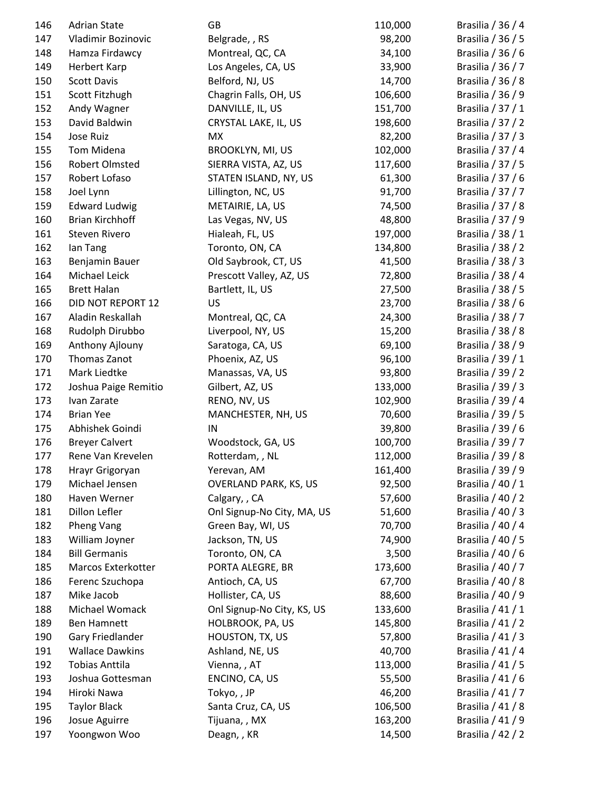| 146 | <b>Adrian State</b>    | GB                           | 110,000 | Brasilia / 36 / 4     |
|-----|------------------------|------------------------------|---------|-----------------------|
| 147 | Vladimir Bozinovic     | Belgrade, , RS               | 98,200  | Brasilia / 36 / 5     |
| 148 | Hamza Firdawcy         | Montreal, QC, CA             | 34,100  | Brasilia / 36 / 6     |
| 149 | Herbert Karp           | Los Angeles, CA, US          | 33,900  | Brasilia / 36 / 7     |
| 150 | <b>Scott Davis</b>     | Belford, NJ, US              | 14,700  | Brasilia / 36 / 8     |
| 151 | Scott Fitzhugh         | Chagrin Falls, OH, US        | 106,600 | Brasilia / 36 / 9     |
| 152 | Andy Wagner            | DANVILLE, IL, US             | 151,700 | Brasilia / 37 / 1     |
| 153 | David Baldwin          | CRYSTAL LAKE, IL, US         | 198,600 | Brasilia / 37 / 2     |
| 154 | Jose Ruiz              | <b>MX</b>                    | 82,200  | Brasilia / 37 / 3     |
| 155 | Tom Midena             | <b>BROOKLYN, MI, US</b>      | 102,000 | Brasilia / 37 / 4     |
| 156 | Robert Olmsted         | SIERRA VISTA, AZ, US         | 117,600 | Brasilia $/37/5$      |
| 157 | Robert Lofaso          | STATEN ISLAND, NY, US        | 61,300  | Brasilia / 37 / 6     |
| 158 | Joel Lynn              | Lillington, NC, US           | 91,700  | Brasilia / 37 / 7     |
| 159 | <b>Edward Ludwig</b>   | METAIRIE, LA, US             | 74,500  | Brasilia / 37 / 8     |
| 160 | <b>Brian Kirchhoff</b> | Las Vegas, NV, US            | 48,800  | Brasilia / 37 / 9     |
| 161 | Steven Rivero          | Hialeah, FL, US              | 197,000 | Brasilia / 38 / 1     |
| 162 | lan Tang               | Toronto, ON, CA              | 134,800 | Brasilia / 38 / 2     |
| 163 | Benjamin Bauer         | Old Saybrook, CT, US         | 41,500  | Brasilia / 38 / 3     |
| 164 | Michael Leick          | Prescott Valley, AZ, US      | 72,800  | Brasilia / 38 / 4     |
| 165 | <b>Brett Halan</b>     | Bartlett, IL, US             | 27,500  | Brasilia / 38 / 5     |
| 166 | DID NOT REPORT 12      | US                           | 23,700  | Brasilia / 38 / 6     |
| 167 | Aladin Reskallah       | Montreal, QC, CA             | 24,300  | Brasilia / 38 / 7     |
| 168 | Rudolph Dirubbo        | Liverpool, NY, US            | 15,200  | Brasilia / 38 / 8     |
| 169 | Anthony Ajlouny        | Saratoga, CA, US             | 69,100  | Brasilia / 38 / 9     |
| 170 | Thomas Zanot           | Phoenix, AZ, US              | 96,100  | Brasilia / 39 / 1     |
| 171 | Mark Liedtke           | Manassas, VA, US             | 93,800  | Brasilia / 39 / 2     |
| 172 | Joshua Paige Remitio   | Gilbert, AZ, US              | 133,000 | Brasilia / 39 / 3     |
| 173 | Ivan Zarate            | RENO, NV, US                 | 102,900 | Brasilia / 39 / 4     |
| 174 | <b>Brian Yee</b>       | MANCHESTER, NH, US           | 70,600  | Brasilia / 39 / 5     |
| 175 | Abhishek Goindi        | IN                           | 39,800  | Brasilia / 39 / 6     |
| 176 | <b>Breyer Calvert</b>  | Woodstock, GA, US            | 100,700 | Brasilia / 39 / 7     |
| 177 | Rene Van Krevelen      | Rotterdam, , NL              | 112,000 | Brasilia / 39 / 8     |
| 178 | Hrayr Grigoryan        | Yerevan, AM                  | 161,400 | Brasilia / 39 / 9     |
| 179 | Michael Jensen         | <b>OVERLAND PARK, KS, US</b> | 92,500  | Brasilia / 40 / 1     |
| 180 | Haven Werner           | Calgary, , CA                | 57,600  | Brasilia / 40 / 2     |
| 181 | Dillon Lefler          | Onl Signup-No City, MA, US   | 51,600  | Brasilia / 40 / 3     |
| 182 | Pheng Vang             | Green Bay, WI, US            | 70,700  | Brasilia / 40 / 4     |
| 183 | William Joyner         | Jackson, TN, US              | 74,900  | Brasilia / $40/5$     |
| 184 | <b>Bill Germanis</b>   | Toronto, ON, CA              | 3,500   | Brasilia / 40 / 6     |
| 185 | Marcos Exterkotter     | PORTA ALEGRE, BR             | 173,600 | Brasilia / 40 / 7     |
| 186 | Ferenc Szuchopa        | Antioch, CA, US              | 67,700  | Brasilia / 40 / 8     |
| 187 | Mike Jacob             | Hollister, CA, US            | 88,600  | Brasilia / 40 / 9     |
| 188 | Michael Womack         | Onl Signup-No City, KS, US   |         | Brasilia / 41 / 1     |
|     |                        |                              | 133,600 |                       |
| 189 | <b>Ben Hamnett</b>     | HOLBROOK, PA, US             | 145,800 | Brasilia / 41 / 2     |
| 190 | Gary Friedlander       | HOUSTON, TX, US              | 57,800  | Brasilia $/$ 41 $/$ 3 |
| 191 | <b>Wallace Dawkins</b> | Ashland, NE, US              | 40,700  | Brasilia / 41 / 4     |
| 192 | <b>Tobias Anttila</b>  | Vienna, , AT                 | 113,000 | Brasilia / 41 / 5     |
| 193 | Joshua Gottesman       | ENCINO, CA, US               | 55,500  | Brasilia / 41 / 6     |
| 194 | Hiroki Nawa            | Tokyo,, JP                   | 46,200  | Brasilia / 41 / 7     |
| 195 | <b>Taylor Black</b>    | Santa Cruz, CA, US           | 106,500 | Brasilia / 41 / 8     |
| 196 | Josue Aguirre          | Tijuana, , MX                | 163,200 | Brasilia / 41 / 9     |
| 197 | Yoongwon Woo           | Deagn, , KR                  | 14,500  | Brasilia / 42 / 2     |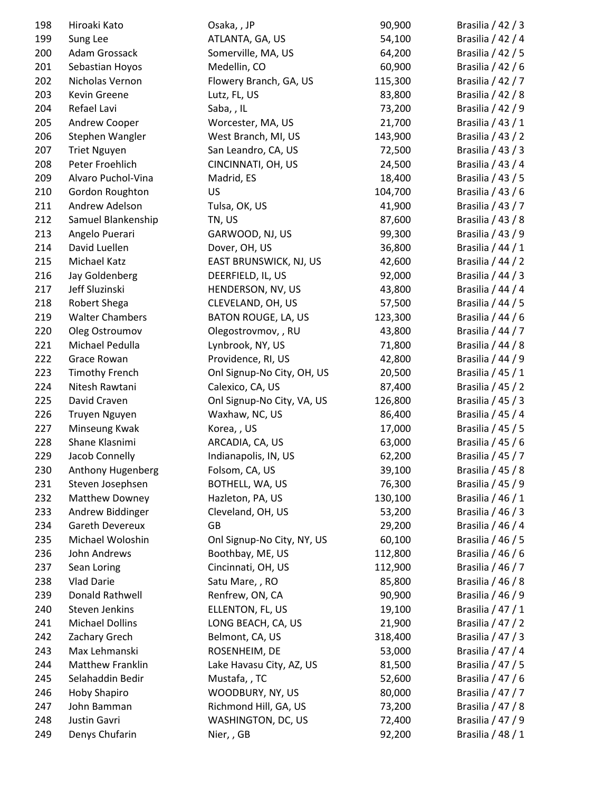| 198 | Hiroaki Kato           | Osaka, , JP                | 90,900  | Brasilia / 42 / 3     |
|-----|------------------------|----------------------------|---------|-----------------------|
| 199 | Sung Lee               | ATLANTA, GA, US            | 54,100  | Brasilia / 42 / 4     |
| 200 | Adam Grossack          | Somerville, MA, US         | 64,200  | Brasilia / 42 / 5     |
| 201 | Sebastian Hoyos        | Medellin, CO               | 60,900  | Brasilia / 42 / 6     |
| 202 | Nicholas Vernon        | Flowery Branch, GA, US     | 115,300 | Brasilia / 42 / 7     |
| 203 | Kevin Greene           | Lutz, FL, US               | 83,800  | Brasilia / 42 / 8     |
| 204 | Refael Lavi            | Saba, , IL                 | 73,200  | Brasilia / 42 / 9     |
| 205 | Andrew Cooper          | Worcester, MA, US          | 21,700  | Brasilia / 43 / 1     |
| 206 | Stephen Wangler        | West Branch, MI, US        | 143,900 | Brasilia / 43 / 2     |
| 207 | <b>Triet Nguyen</b>    | San Leandro, CA, US        | 72,500  | Brasilia / 43 / 3     |
| 208 | Peter Froehlich        | CINCINNATI, OH, US         | 24,500  | Brasilia / 43 / 4     |
| 209 | Alvaro Puchol-Vina     | Madrid, ES                 | 18,400  | Brasilia / 43 / 5     |
| 210 | Gordon Roughton        | US                         | 104,700 | Brasilia / 43 / 6     |
| 211 | Andrew Adelson         | Tulsa, OK, US              | 41,900  | Brasilia / 43 / 7     |
| 212 | Samuel Blankenship     | TN, US                     | 87,600  | Brasilia / 43 / 8     |
| 213 | Angelo Puerari         | GARWOOD, NJ, US            | 99,300  | Brasilia / 43 / 9     |
| 214 | David Luellen          | Dover, OH, US              | 36,800  | Brasilia / 44 / 1     |
| 215 | Michael Katz           | EAST BRUNSWICK, NJ, US     | 42,600  | Brasilia / 44 / 2     |
| 216 | Jay Goldenberg         | DEERFIELD, IL, US          | 92,000  | Brasilia / 44 / 3     |
| 217 | Jeff Sluzinski         | HENDERSON, NV, US          | 43,800  | Brasilia / 44 / 4     |
| 218 | Robert Shega           | CLEVELAND, OH, US          | 57,500  | Brasilia / 44 / 5     |
| 219 | <b>Walter Chambers</b> | BATON ROUGE, LA, US        | 123,300 | Brasilia / 44 / 6     |
| 220 | Oleg Ostroumov         | Olegostrovmov, , RU        | 43,800  | Brasilia / 44 / 7     |
| 221 | Michael Pedulla        | Lynbrook, NY, US           | 71,800  | Brasilia / 44 / 8     |
| 222 | Grace Rowan            | Providence, RI, US         | 42,800  | Brasilia / 44 / 9     |
| 223 | <b>Timothy French</b>  | Onl Signup-No City, OH, US | 20,500  | Brasilia / 45 / 1     |
| 224 | Nitesh Rawtani         | Calexico, CA, US           | 87,400  | Brasilia / 45 / 2     |
| 225 | David Craven           | Onl Signup-No City, VA, US | 126,800 | Brasilia / 45 / 3     |
| 226 | Truyen Nguyen          | Waxhaw, NC, US             | 86,400  | Brasilia / 45 / 4     |
| 227 | Minseung Kwak          | Korea, , US                | 17,000  | Brasilia / 45 / 5     |
| 228 | Shane Klasnimi         | ARCADIA, CA, US            | 63,000  | Brasilia / 45 / 6     |
| 229 | Jacob Connelly         | Indianapolis, IN, US       | 62,200  | Brasilia / 45 / 7     |
| 230 | Anthony Hugenberg      | Folsom, CA, US             | 39,100  | Brasilia / 45 / 8     |
| 231 | Steven Josephsen       | BOTHELL, WA, US            | 76,300  | Brasilia / 45 / 9     |
| 232 | Matthew Downey         | Hazleton, PA, US           | 130,100 | Brasilia / 46 / 1     |
| 233 | Andrew Biddinger       | Cleveland, OH, US          | 53,200  | Brasilia / 46 / 3     |
| 234 | <b>Gareth Devereux</b> | GB                         | 29,200  | Brasilia / 46 / 4     |
| 235 | Michael Woloshin       | Onl Signup-No City, NY, US | 60,100  | Brasilia / 46 / 5     |
| 236 | John Andrews           | Boothbay, ME, US           | 112,800 | Brasilia / 46 / 6     |
| 237 | Sean Loring            | Cincinnati, OH, US         | 112,900 | Brasilia / 46 / 7     |
| 238 | <b>Vlad Darie</b>      | Satu Mare, , RO            | 85,800  | Brasilia / 46 / 8     |
| 239 | Donald Rathwell        | Renfrew, ON, CA            | 90,900  | Brasilia / 46 / 9     |
| 240 | Steven Jenkins         | ELLENTON, FL, US           | 19,100  | Brasilia / 47 / 1     |
| 241 | <b>Michael Dollins</b> | LONG BEACH, CA, US         | 21,900  | Brasilia / 47 / 2     |
| 242 | Zachary Grech          | Belmont, CA, US            | 318,400 | Brasilia $/$ 47 $/$ 3 |
| 243 | Max Lehmanski          | ROSENHEIM, DE              | 53,000  | Brasilia / 47 / 4     |
| 244 | Matthew Franklin       | Lake Havasu City, AZ, US   | 81,500  | Brasilia / 47 / 5     |
| 245 | Selahaddin Bedir       | Mustafa,, TC               | 52,600  | Brasilia / 47 / 6     |
| 246 | Hoby Shapiro           | WOODBURY, NY, US           | 80,000  | Brasilia / 47 / 7     |
| 247 | John Bamman            | Richmond Hill, GA, US      | 73,200  | Brasilia / 47 / 8     |
| 248 | Justin Gavri           | WASHINGTON, DC, US         | 72,400  | Brasilia / 47 / 9     |
| 249 | Denys Chufarin         | Nier,, GB                  | 92,200  | Brasilia / 48 / 1     |
|     |                        |                            |         |                       |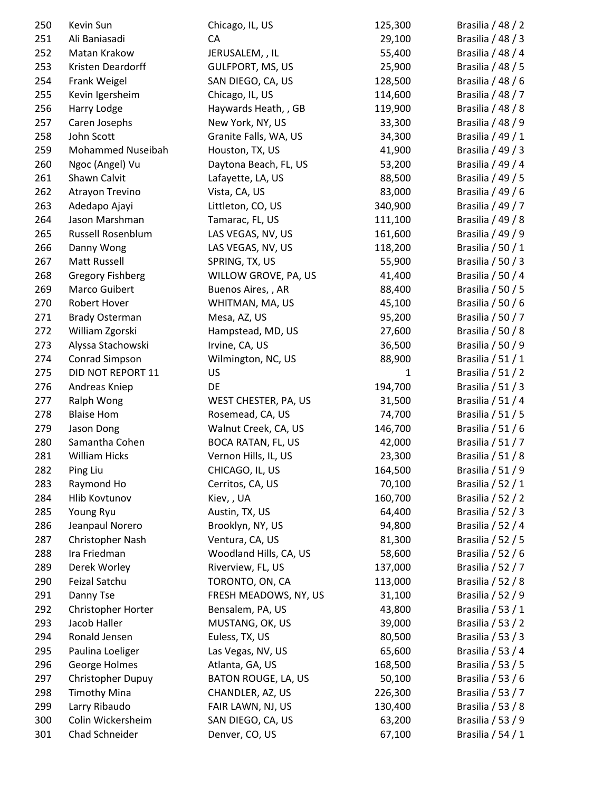| 250 | Kevin Sun             | Chicago, IL, US           | 125,300      | Brasilia / 48 / 2     |
|-----|-----------------------|---------------------------|--------------|-----------------------|
| 251 | Ali Baniasadi         | CA                        | 29,100       | Brasilia / 48 / 3     |
| 252 | Matan Krakow          | JERUSALEM, , IL           | 55,400       | Brasilia / 48 / 4     |
| 253 | Kristen Deardorff     | <b>GULFPORT, MS, US</b>   | 25,900       | Brasilia / 48 / 5     |
| 254 | Frank Weigel          | SAN DIEGO, CA, US         | 128,500      | Brasilia / 48 / 6     |
| 255 | Kevin Igersheim       | Chicago, IL, US           | 114,600      | Brasilia / 48 / 7     |
| 256 | Harry Lodge           | Haywards Heath, , GB      | 119,900      | Brasilia / 48 / 8     |
| 257 | Caren Josephs         | New York, NY, US          | 33,300       | Brasilia / 48 / 9     |
| 258 | John Scott            | Granite Falls, WA, US     | 34,300       | Brasilia / 49 / 1     |
| 259 | Mohammed Nuseibah     | Houston, TX, US           | 41,900       | Brasilia $/$ 49 $/$ 3 |
| 260 | Ngoc (Angel) Vu       | Daytona Beach, FL, US     | 53,200       | Brasilia / 49 / 4     |
| 261 | Shawn Calvit          | Lafayette, LA, US         | 88,500       | Brasilia / 49 / 5     |
| 262 | Atrayon Trevino       | Vista, CA, US             | 83,000       | Brasilia / 49 / 6     |
| 263 | Adedapo Ajayi         | Littleton, CO, US         | 340,900      | Brasilia / 49 / 7     |
| 264 | Jason Marshman        | Tamarac, FL, US           | 111,100      | Brasilia / 49 / 8     |
| 265 | Russell Rosenblum     | LAS VEGAS, NV, US         | 161,600      | Brasilia / 49 / 9     |
| 266 | Danny Wong            | LAS VEGAS, NV, US         | 118,200      | Brasilia / 50 / 1     |
| 267 | Matt Russell          | SPRING, TX, US            | 55,900       | Brasilia / 50 / 3     |
| 268 | Gregory Fishberg      | WILLOW GROVE, PA, US      | 41,400       | Brasilia / 50 / 4     |
| 269 | Marco Guibert         | Buenos Aires,, AR         | 88,400       | Brasilia / 50 / 5     |
| 270 | Robert Hover          | WHITMAN, MA, US           | 45,100       | Brasilia / 50 / 6     |
| 271 | <b>Brady Osterman</b> | Mesa, AZ, US              | 95,200       | Brasilia / 50 / 7     |
| 272 | William Zgorski       | Hampstead, MD, US         | 27,600       | Brasilia / 50 / 8     |
| 273 | Alyssa Stachowski     | Irvine, CA, US            | 36,500       | Brasilia / 50 / 9     |
| 274 | Conrad Simpson        | Wilmington, NC, US        | 88,900       | Brasilia / $51/1$     |
| 275 | DID NOT REPORT 11     | US                        | $\mathbf{1}$ | Brasilia / 51 / 2     |
| 276 | Andreas Kniep         | DE                        | 194,700      | Brasilia / 51 / 3     |
| 277 | Ralph Wong            | WEST CHESTER, PA, US      | 31,500       | Brasilia / 51 / 4     |
| 278 | <b>Blaise Hom</b>     | Rosemead, CA, US          | 74,700       | Brasilia / 51 / 5     |
| 279 | Jason Dong            | Walnut Creek, CA, US      | 146,700      | Brasilia / 51 / 6     |
| 280 | Samantha Cohen        | <b>BOCA RATAN, FL, US</b> | 42,000       | Brasilia / 51 / 7     |
| 281 | <b>William Hicks</b>  | Vernon Hills, IL, US      | 23,300       | Brasilia / 51 / 8     |
| 282 | Ping Liu              | CHICAGO, IL, US           | 164,500      | Brasilia / 51 / 9     |
| 283 | Raymond Ho            | Cerritos, CA, US          | 70,100       | Brasilia / 52 / 1     |
| 284 | Hlib Kovtunov         | Kiev, , UA                | 160,700      | Brasilia / 52 / 2     |
| 285 | Young Ryu             | Austin, TX, US            | 64,400       | Brasilia / 52 / 3     |
| 286 | Jeanpaul Norero       | Brooklyn, NY, US          | 94,800       | Brasilia / 52 / 4     |
| 287 | Christopher Nash      | Ventura, CA, US           | 81,300       | Brasilia / 52 / 5     |
| 288 | Ira Friedman          | Woodland Hills, CA, US    | 58,600       | Brasilia / 52 / 6     |
| 289 | Derek Worley          | Riverview, FL, US         | 137,000      | Brasilia / 52 / 7     |
| 290 | Feizal Satchu         | TORONTO, ON, CA           | 113,000      | Brasilia / 52 / 8     |
| 291 | Danny Tse             | FRESH MEADOWS, NY, US     | 31,100       | Brasilia / 52 / 9     |
| 292 | Christopher Horter    | Bensalem, PA, US          | 43,800       | Brasilia / 53 / 1     |
| 293 | Jacob Haller          | MUSTANG, OK, US           | 39,000       | Brasilia / 53 / 2     |
| 294 | Ronald Jensen         | Euless, TX, US            | 80,500       | Brasilia / 53 / 3     |
| 295 | Paulina Loeliger      | Las Vegas, NV, US         | 65,600       | Brasilia / 53 / 4     |
| 296 | George Holmes         | Atlanta, GA, US           | 168,500      | Brasilia / 53 / 5     |
| 297 | Christopher Dupuy     | BATON ROUGE, LA, US       | 50,100       | Brasilia / 53 / 6     |
| 298 | <b>Timothy Mina</b>   | CHANDLER, AZ, US          | 226,300      | Brasilia / 53 / 7     |
| 299 | Larry Ribaudo         | FAIR LAWN, NJ, US         | 130,400      | Brasilia / 53 / 8     |
| 300 | Colin Wickersheim     | SAN DIEGO, CA, US         | 63,200       | Brasilia / 53 / 9     |
| 301 | Chad Schneider        | Denver, CO, US            | 67,100       | Brasilia / 54 / 1     |
|     |                       |                           |              |                       |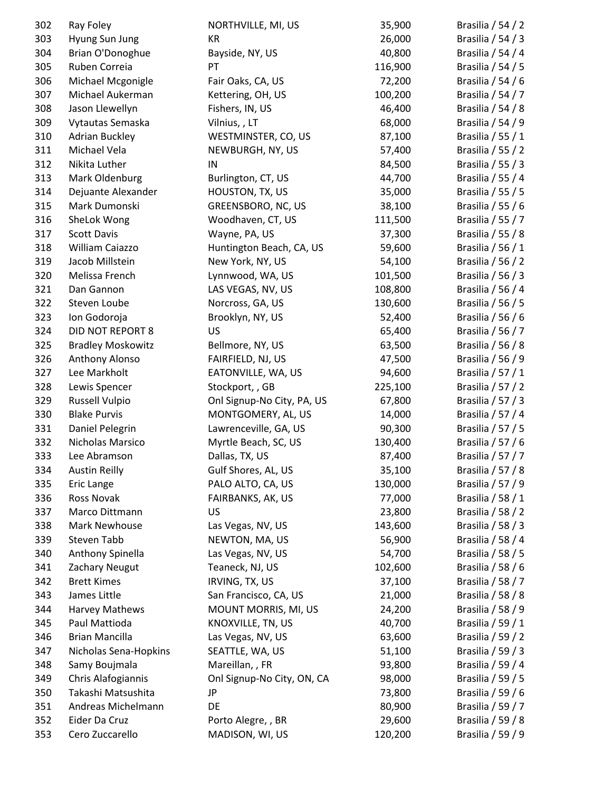| 302 | Ray Foley                | NORTHVILLE, MI, US         | 35,900  | Brasilia / 54 / 2 |
|-----|--------------------------|----------------------------|---------|-------------------|
| 303 | Hyung Sun Jung           | KR                         | 26,000  | Brasilia / 54 / 3 |
| 304 | Brian O'Donoghue         | Bayside, NY, US            | 40,800  | Brasilia / 54 / 4 |
| 305 | Ruben Correia            | PT                         | 116,900 | Brasilia / 54 / 5 |
| 306 | Michael Mcgonigle        | Fair Oaks, CA, US          | 72,200  | Brasilia / 54 / 6 |
| 307 | Michael Aukerman         | Kettering, OH, US          | 100,200 | Brasilia / 54 / 7 |
| 308 | Jason Llewellyn          | Fishers, IN, US            | 46,400  | Brasilia / 54 / 8 |
| 309 | Vytautas Semaska         | Vilnius,, LT               | 68,000  | Brasilia / 54 / 9 |
| 310 | <b>Adrian Buckley</b>    | WESTMINSTER, CO, US        | 87,100  | Brasilia / 55 / 1 |
| 311 | Michael Vela             | NEWBURGH, NY, US           | 57,400  | Brasilia / 55 / 2 |
| 312 | Nikita Luther            | IN                         | 84,500  | Brasilia / 55 / 3 |
| 313 | Mark Oldenburg           | Burlington, CT, US         | 44,700  | Brasilia / 55 / 4 |
| 314 | Dejuante Alexander       | HOUSTON, TX, US            | 35,000  | Brasilia / 55 / 5 |
| 315 | Mark Dumonski            | GREENSBORO, NC, US         | 38,100  | Brasilia / 55 / 6 |
| 316 | SheLok Wong              | Woodhaven, CT, US          | 111,500 | Brasilia / 55 / 7 |
| 317 | <b>Scott Davis</b>       | Wayne, PA, US              | 37,300  | Brasilia / 55 / 8 |
| 318 | William Caiazzo          | Huntington Beach, CA, US   | 59,600  | Brasilia / 56 / 1 |
| 319 | Jacob Millstein          | New York, NY, US           | 54,100  | Brasilia / 56 / 2 |
| 320 | Melissa French           | Lynnwood, WA, US           | 101,500 | Brasilia / 56 / 3 |
| 321 | Dan Gannon               | LAS VEGAS, NV, US          | 108,800 | Brasilia / 56 / 4 |
| 322 | Steven Loube             | Norcross, GA, US           | 130,600 | Brasilia / 56 / 5 |
| 323 | Ion Godoroja             | Brooklyn, NY, US           | 52,400  | Brasilia / 56 / 6 |
| 324 | <b>DID NOT REPORT 8</b>  | <b>US</b>                  | 65,400  | Brasilia / 56 / 7 |
| 325 | <b>Bradley Moskowitz</b> | Bellmore, NY, US           | 63,500  | Brasilia / 56 / 8 |
| 326 | Anthony Alonso           | FAIRFIELD, NJ, US          | 47,500  | Brasilia / 56 / 9 |
| 327 | Lee Markholt             | EATONVILLE, WA, US         | 94,600  | Brasilia / 57 / 1 |
| 328 | Lewis Spencer            | Stockport, , GB            | 225,100 | Brasilia / 57 / 2 |
| 329 | Russell Vulpio           | Onl Signup-No City, PA, US | 67,800  | Brasilia / 57 / 3 |
| 330 | <b>Blake Purvis</b>      | MONTGOMERY, AL, US         | 14,000  | Brasilia / 57 / 4 |
| 331 | Daniel Pelegrin          | Lawrenceville, GA, US      | 90,300  | Brasilia / 57 / 5 |
| 332 | Nicholas Marsico         | Myrtle Beach, SC, US       | 130,400 | Brasilia / 57 / 6 |
| 333 | Lee Abramson             | Dallas, TX, US             | 87,400  | Brasilia / 57 / 7 |
| 334 | <b>Austin Reilly</b>     | Gulf Shores, AL, US        | 35,100  | Brasilia / 57 / 8 |
| 335 | Eric Lange               | PALO ALTO, CA, US          | 130,000 | Brasilia / 57 / 9 |
| 336 | Ross Novak               | FAIRBANKS, AK, US          | 77,000  | Brasilia / 58 / 1 |
| 337 | Marco Dittmann           | US                         | 23,800  | Brasilia / 58 / 2 |
| 338 | Mark Newhouse            | Las Vegas, NV, US          | 143,600 | Brasilia / 58 / 3 |
| 339 | Steven Tabb              | NEWTON, MA, US             | 56,900  | Brasilia / 58 / 4 |
| 340 | Anthony Spinella         | Las Vegas, NV, US          | 54,700  | Brasilia / 58 / 5 |
| 341 | Zachary Neugut           | Teaneck, NJ, US            | 102,600 | Brasilia / 58 / 6 |
| 342 | <b>Brett Kimes</b>       | IRVING, TX, US             | 37,100  | Brasilia / 58 / 7 |
| 343 | James Little             | San Francisco, CA, US      | 21,000  | Brasilia / 58 / 8 |
| 344 | Harvey Mathews           | MOUNT MORRIS, MI, US       | 24,200  | Brasilia / 58 / 9 |
| 345 | Paul Mattioda            | KNOXVILLE, TN, US          | 40,700  | Brasilia / 59 / 1 |
| 346 | <b>Brian Mancilla</b>    | Las Vegas, NV, US          | 63,600  | Brasilia / 59 / 2 |
| 347 | Nicholas Sena-Hopkins    | SEATTLE, WA, US            | 51,100  | Brasilia / 59 / 3 |
| 348 | Samy Boujmala            | Mareillan, , FR            | 93,800  | Brasilia / 59 / 4 |
| 349 | Chris Alafogiannis       | Onl Signup-No City, ON, CA | 98,000  | Brasilia / 59 / 5 |
| 350 | Takashi Matsushita       | JP                         | 73,800  | Brasilia / 59 / 6 |
| 351 | Andreas Michelmann       | DE                         | 80,900  | Brasilia / 59 / 7 |
| 352 | Eider Da Cruz            | Porto Alegre, , BR         | 29,600  | Brasilia / 59 / 8 |
| 353 | Cero Zuccarello          | MADISON, WI, US            | 120,200 | Brasilia / 59 / 9 |
|     |                          |                            |         |                   |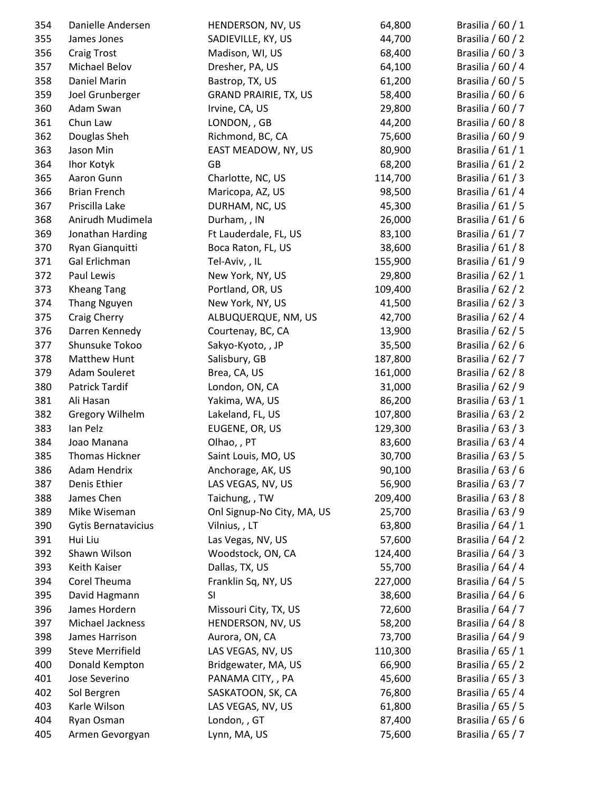| 354 | Danielle Andersen       | HENDERSON, NV, US            | 64,800  | Brasilia / 60 / 1 |
|-----|-------------------------|------------------------------|---------|-------------------|
| 355 | James Jones             | SADIEVILLE, KY, US           | 44,700  | Brasilia / 60 / 2 |
| 356 | <b>Craig Trost</b>      | Madison, WI, US              | 68,400  | Brasilia / 60 / 3 |
| 357 | Michael Belov           | Dresher, PA, US              | 64,100  | Brasilia / 60 / 4 |
| 358 | Daniel Marin            | Bastrop, TX, US              | 61,200  | Brasilia / $60/5$ |
| 359 | Joel Grunberger         | <b>GRAND PRAIRIE, TX, US</b> | 58,400  | Brasilia / 60 / 6 |
| 360 | Adam Swan               | Irvine, CA, US               | 29,800  | Brasilia / 60 / 7 |
| 361 | Chun Law                | LONDON, , GB                 | 44,200  | Brasilia / 60 / 8 |
| 362 | Douglas Sheh            | Richmond, BC, CA             | 75,600  | Brasilia / 60 / 9 |
| 363 | Jason Min               | EAST MEADOW, NY, US          | 80,900  | Brasilia / $61/1$ |
| 364 | Ihor Kotyk              | GB                           | 68,200  | Brasilia / 61 / 2 |
| 365 | Aaron Gunn              | Charlotte, NC, US            | 114,700 | Brasilia / $61/3$ |
| 366 | <b>Brian French</b>     | Maricopa, AZ, US             | 98,500  | Brasilia / 61 / 4 |
| 367 | Priscilla Lake          | DURHAM, NC, US               | 45,300  | Brasilia / $61/5$ |
| 368 | Anirudh Mudimela        | Durham, , IN                 | 26,000  | Brasilia / 61 / 6 |
| 369 | Jonathan Harding        | Ft Lauderdale, FL, US        | 83,100  | Brasilia / 61 / 7 |
| 370 | Ryan Gianquitti         | Boca Raton, FL, US           | 38,600  | Brasilia / 61 / 8 |
| 371 | Gal Erlichman           | Tel-Aviv,, IL                | 155,900 | Brasilia / 61 / 9 |
| 372 | Paul Lewis              | New York, NY, US             | 29,800  | Brasilia / 62 / 1 |
| 373 | <b>Kheang Tang</b>      | Portland, OR, US             | 109,400 | Brasilia / 62 / 2 |
| 374 | <b>Thang Nguyen</b>     | New York, NY, US             | 41,500  | Brasilia / $62/3$ |
| 375 | Craig Cherry            | ALBUQUERQUE, NM, US          | 42,700  | Brasilia / 62 / 4 |
| 376 | Darren Kennedy          | Courtenay, BC, CA            | 13,900  | Brasilia / 62 / 5 |
| 377 | Shunsuke Tokoo          | Sakyo-Kyoto, , JP            | 35,500  | Brasilia / 62 / 6 |
| 378 | Matthew Hunt            | Salisbury, GB                | 187,800 | Brasilia / 62 / 7 |
| 379 | Adam Souleret           | Brea, CA, US                 | 161,000 | Brasilia / 62 / 8 |
| 380 | Patrick Tardif          | London, ON, CA               | 31,000  | Brasilia / 62 / 9 |
| 381 | Ali Hasan               | Yakima, WA, US               | 86,200  | Brasilia / 63 / 1 |
| 382 | <b>Gregory Wilhelm</b>  | Lakeland, FL, US             | 107,800 | Brasilia / 63 / 2 |
| 383 | Ian Pelz                | EUGENE, OR, US               | 129,300 | Brasilia / 63 / 3 |
| 384 | Joao Manana             | Olhao, PT                    | 83,600  | Brasilia / 63 / 4 |
| 385 | <b>Thomas Hickner</b>   | Saint Louis, MO, US          | 30,700  | Brasilia / 63 / 5 |
| 386 | Adam Hendrix            | Anchorage, AK, US            | 90,100  | Brasilia / 63 / 6 |
| 387 | Denis Ethier            | LAS VEGAS, NV, US            | 56,900  | Brasilia / 63 / 7 |
| 388 | James Chen              | Taichung, , TW               | 209,400 | Brasilia / 63 / 8 |
| 389 | Mike Wiseman            | Onl Signup-No City, MA, US   | 25,700  | Brasilia / 63 / 9 |
| 390 | Gytis Bernatavicius     | Vilnius,, LT                 | 63,800  | Brasilia / 64 / 1 |
| 391 | Hui Liu                 | Las Vegas, NV, US            | 57,600  | Brasilia / $64/2$ |
| 392 | Shawn Wilson            | Woodstock, ON, CA            | 124,400 | Brasilia / 64 / 3 |
| 393 | Keith Kaiser            | Dallas, TX, US               | 55,700  | Brasilia / 64 / 4 |
| 394 | Corel Theuma            | Franklin Sq, NY, US          | 227,000 | Brasilia / 64 / 5 |
| 395 | David Hagmann           | SI                           | 38,600  | Brasilia / 64 / 6 |
| 396 | James Hordern           | Missouri City, TX, US        | 72,600  | Brasilia / 64 / 7 |
| 397 | Michael Jackness        | HENDERSON, NV, US            | 58,200  | Brasilia / 64 / 8 |
| 398 | James Harrison          | Aurora, ON, CA               | 73,700  | Brasilia / 64 / 9 |
| 399 | <b>Steve Merrifield</b> | LAS VEGAS, NV, US            | 110,300 | Brasilia / 65 / 1 |
| 400 | Donald Kempton          | Bridgewater, MA, US          | 66,900  | Brasilia / 65 / 2 |
| 401 | Jose Severino           | PANAMA CITY, , PA            | 45,600  | Brasilia / 65 / 3 |
| 402 | Sol Bergren             | SASKATOON, SK, CA            | 76,800  | Brasilia / 65 / 4 |
| 403 | Karle Wilson            | LAS VEGAS, NV, US            | 61,800  | Brasilia / 65 / 5 |
| 404 | Ryan Osman              | London, , GT                 | 87,400  | Brasilia / 65 / 6 |
| 405 | Armen Gevorgyan         | Lynn, MA, US                 | 75,600  | Brasilia / 65 / 7 |
|     |                         |                              |         |                   |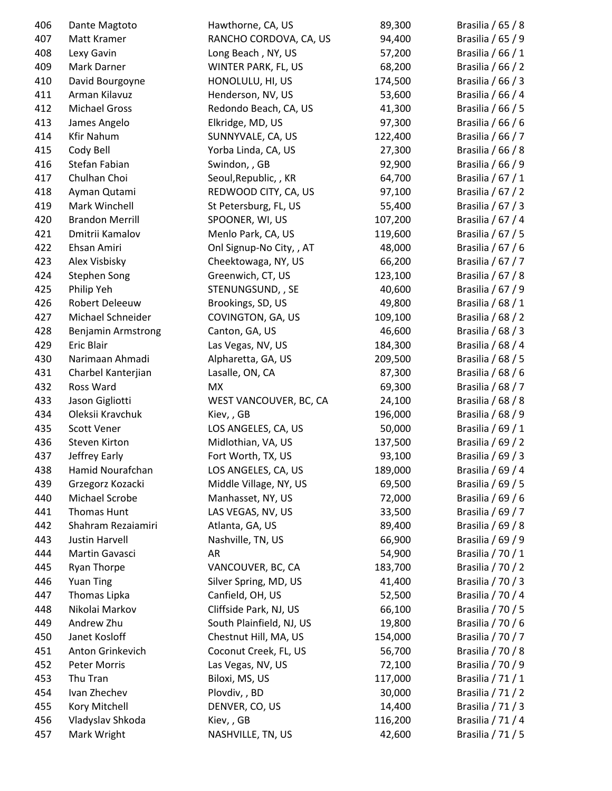| 406 | Dante Magtoto             | Hawthorne, CA, US        | 89,300  | Brasilia / 65 / 8   |
|-----|---------------------------|--------------------------|---------|---------------------|
| 407 | Matt Kramer               | RANCHO CORDOVA, CA, US   | 94,400  | Brasilia / 65 / 9   |
| 408 | Lexy Gavin                | Long Beach, NY, US       | 57,200  | Brasilia / 66 / 1   |
| 409 | Mark Darner               | WINTER PARK, FL, US      | 68,200  | Brasilia / 66 / 2   |
| 410 | David Bourgoyne           | HONOLULU, HI, US         | 174,500 | Brasilia / 66 / 3   |
| 411 | Arman Kilavuz             | Henderson, NV, US        | 53,600  | Brasilia / 66 / 4   |
| 412 | <b>Michael Gross</b>      | Redondo Beach, CA, US    | 41,300  | Brasilia / 66 / 5   |
| 413 | James Angelo              | Elkridge, MD, US         | 97,300  | Brasilia / 66 / 6   |
| 414 | <b>Kfir Nahum</b>         | SUNNYVALE, CA, US        | 122,400 | Brasilia / 66 / 7   |
| 415 | Cody Bell                 | Yorba Linda, CA, US      | 27,300  | Brasilia / 66 / 8   |
| 416 | Stefan Fabian             | Swindon, , GB            | 92,900  | Brasilia / 66 / 9   |
| 417 | Chulhan Choi              | Seoul, Republic, , KR    | 64,700  | Brasilia / 67 / 1   |
| 418 | Ayman Qutami              | REDWOOD CITY, CA, US     | 97,100  | Brasilia / 67 / 2   |
| 419 | Mark Winchell             | St Petersburg, FL, US    | 55,400  | Brasilia / 67 / 3   |
| 420 | <b>Brandon Merrill</b>    | SPOONER, WI, US          | 107,200 | Brasilia / 67 / 4   |
| 421 | Dmitrii Kamalov           | Menlo Park, CA, US       | 119,600 | Brasilia / 67 / 5   |
| 422 | Ehsan Amiri               | Onl Signup-No City,, AT  | 48,000  | Brasilia / 67 / 6   |
| 423 | Alex Visbisky             | Cheektowaga, NY, US      | 66,200  | Brasilia / 67 / 7   |
| 424 | <b>Stephen Song</b>       | Greenwich, CT, US        | 123,100 | Brasilia / 67 / 8   |
| 425 | Philip Yeh                | STENUNGSUND, , SE        | 40,600  | Brasilia / 67 / 9   |
| 426 | Robert Deleeuw            | Brookings, SD, US        | 49,800  | Brasilia / 68 / 1   |
| 427 | Michael Schneider         | COVINGTON, GA, US        | 109,100 | Brasilia / 68 / 2   |
| 428 | <b>Benjamin Armstrong</b> | Canton, GA, US           | 46,600  | Brasilia / 68 / 3   |
| 429 | Eric Blair                | Las Vegas, NV, US        | 184,300 | Brasilia / 68 / 4   |
| 430 | Narimaan Ahmadi           | Alpharetta, GA, US       | 209,500 | Brasilia / 68 / 5   |
| 431 | Charbel Kanterjian        | Lasalle, ON, CA          | 87,300  | Brasilia / 68 / 6   |
| 432 | Ross Ward                 | <b>MX</b>                | 69,300  | Brasilia / 68 / 7   |
| 433 | Jason Gigliotti           | WEST VANCOUVER, BC, CA   | 24,100  | Brasilia / 68 / 8   |
| 434 | Oleksii Kravchuk          | Kiev, GB                 | 196,000 | Brasilia / 68 / 9   |
| 435 | <b>Scott Vener</b>        | LOS ANGELES, CA, US      | 50,000  | Brasilia / 69 / 1   |
| 436 | Steven Kirton             | Midlothian, VA, US       | 137,500 | Brasilia / 69 / 2   |
| 437 | Jeffrey Early             | Fort Worth, TX, US       | 93,100  | Brasilia / 69 / 3   |
| 438 | Hamid Nourafchan          | LOS ANGELES, CA, US      | 189,000 | Brasilia / 69 / 4   |
| 439 | Grzegorz Kozacki          | Middle Village, NY, US   | 69,500  | Brasilia / 69 / 5   |
| 440 | Michael Scrobe            | Manhasset, NY, US        | 72,000  | Brasilia / 69 / 6   |
| 441 | Thomas Hunt               | LAS VEGAS, NV, US        | 33,500  | Brasilia / 69 / 7   |
| 442 | Shahram Rezaiamiri        | Atlanta, GA, US          | 89,400  | Brasilia / 69 / 8   |
| 443 | Justin Harvell            | Nashville, TN, US        | 66,900  | Brasilia / 69 / 9   |
| 444 | Martin Gavasci            | AR                       | 54,900  | Brasilia / 70 / 1   |
| 445 | Ryan Thorpe               | VANCOUVER, BC, CA        | 183,700 | Brasilia / 70 / 2   |
| 446 | <b>Yuan Ting</b>          | Silver Spring, MD, US    | 41,400  | Brasilia / 70 / 3   |
| 447 | Thomas Lipka              | Canfield, OH, US         | 52,500  | Brasilia / 70 / 4   |
| 448 | Nikolai Markov            | Cliffside Park, NJ, US   | 66,100  | Brasilia / 70 / 5   |
| 449 | Andrew Zhu                | South Plainfield, NJ, US | 19,800  | Brasilia / 70 / 6   |
| 450 | Janet Kosloff             | Chestnut Hill, MA, US    | 154,000 | Brasilia / 70 / 7   |
| 451 | Anton Grinkevich          | Coconut Creek, FL, US    | 56,700  | Brasilia / 70 / 8   |
| 452 | Peter Morris              | Las Vegas, NV, US        | 72,100  | Brasilia / 70 / 9   |
| 453 | Thu Tran                  | Biloxi, MS, US           | 117,000 | Brasilia / 71 / 1   |
| 454 | Ivan Zhechev              | Plovdiv, , BD            | 30,000  | Brasilia / 71 / 2   |
| 455 | Kory Mitchell             | DENVER, CO, US           | 14,400  | Brasilia $/ 71 / 3$ |
| 456 | Vladyslav Shkoda          | Kiev, , GB               | 116,200 | Brasilia / 71 / 4   |
| 457 | Mark Wright               | NASHVILLE, TN, US        | 42,600  | Brasilia / 71 / 5   |
|     |                           |                          |         |                     |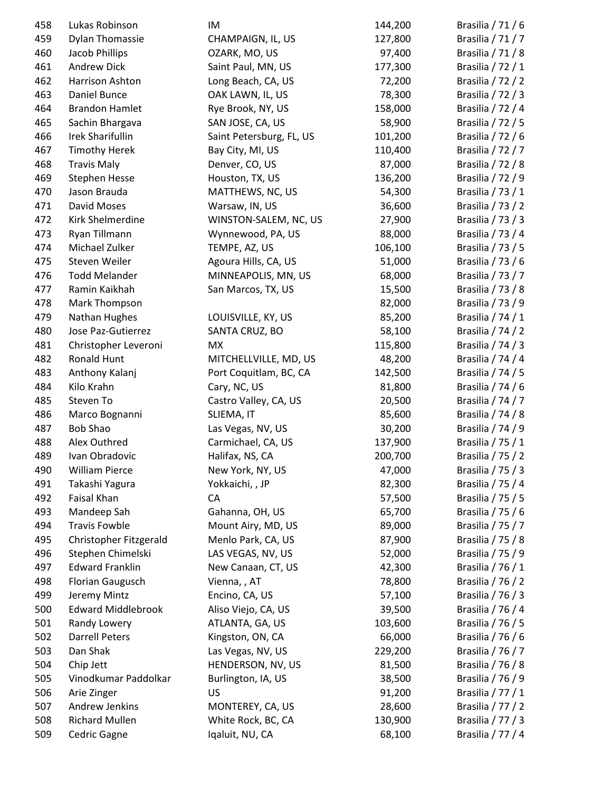| 458 | Lukas Robinson            | IM                       | 144,200 | Brasilia $/ 71 / 6$ |
|-----|---------------------------|--------------------------|---------|---------------------|
| 459 | <b>Dylan Thomassie</b>    | CHAMPAIGN, IL, US        | 127,800 | Brasilia / 71 / 7   |
| 460 | Jacob Phillips            | OZARK, MO, US            | 97,400  | Brasilia / 71 / 8   |
| 461 | <b>Andrew Dick</b>        | Saint Paul, MN, US       | 177,300 | Brasilia / 72 / 1   |
| 462 | Harrison Ashton           | Long Beach, CA, US       | 72,200  | Brasilia / 72 / 2   |
| 463 | Daniel Bunce              | OAK LAWN, IL, US         | 78,300  | Brasilia / 72 / 3   |
| 464 | <b>Brandon Hamlet</b>     | Rye Brook, NY, US        | 158,000 | Brasilia / 72 / 4   |
| 465 | Sachin Bhargava           | SAN JOSE, CA, US         | 58,900  | Brasilia / 72 / 5   |
| 466 | <b>Irek Sharifullin</b>   | Saint Petersburg, FL, US | 101,200 | Brasilia / 72 / 6   |
| 467 | <b>Timothy Herek</b>      | Bay City, MI, US         | 110,400 | Brasilia / 72 / 7   |
| 468 | <b>Travis Maly</b>        | Denver, CO, US           | 87,000  | Brasilia / 72 / 8   |
| 469 | <b>Stephen Hesse</b>      | Houston, TX, US          | 136,200 | Brasilia / 72 / 9   |
| 470 | Jason Brauda              | MATTHEWS, NC, US         | 54,300  | Brasilia / 73 / 1   |
| 471 | David Moses               | Warsaw, IN, US           | 36,600  | Brasilia / 73 / 2   |
| 472 | Kirk Shelmerdine          | WINSTON-SALEM, NC, US    | 27,900  | Brasilia / 73 / 3   |
| 473 | Ryan Tillmann             | Wynnewood, PA, US        | 88,000  | Brasilia / 73 / 4   |
| 474 | Michael Zulker            | TEMPE, AZ, US            | 106,100 | Brasilia $/ 73 / 5$ |
| 475 | Steven Weiler             | Agoura Hills, CA, US     | 51,000  | Brasilia / 73 / 6   |
| 476 | <b>Todd Melander</b>      | MINNEAPOLIS, MN, US      | 68,000  | Brasilia / 73 / 7   |
| 477 | Ramin Kaikhah             | San Marcos, TX, US       | 15,500  | Brasilia / 73 / 8   |
| 478 | Mark Thompson             |                          | 82,000  | Brasilia / 73 / 9   |
| 479 | Nathan Hughes             | LOUISVILLE, KY, US       | 85,200  | Brasilia / 74 / 1   |
| 480 | Jose Paz-Gutierrez        | SANTA CRUZ, BO           | 58,100  | Brasilia / 74 / 2   |
| 481 | Christopher Leveroni      | <b>MX</b>                | 115,800 | Brasilia / 74 / 3   |
| 482 | Ronald Hunt               | MITCHELLVILLE, MD, US    | 48,200  | Brasilia / 74 / 4   |
| 483 | Anthony Kalanj            | Port Coquitlam, BC, CA   | 142,500 | Brasilia / 74 / 5   |
| 484 | Kilo Krahn                | Cary, NC, US             | 81,800  | Brasilia / 74 / 6   |
| 485 | Steven To                 | Castro Valley, CA, US    | 20,500  | Brasilia / 74 / 7   |
| 486 | Marco Bognanni            | SLIEMA, IT               | 85,600  | Brasilia / 74 / 8   |
| 487 | <b>Bob Shao</b>           | Las Vegas, NV, US        | 30,200  | Brasilia / 74 / 9   |
| 488 | Alex Outhred              | Carmichael, CA, US       | 137,900 | Brasilia / 75 / 1   |
| 489 | Ivan Obradovic            | Halifax, NS, CA          | 200,700 | Brasilia / 75 / 2   |
| 490 | <b>William Pierce</b>     | New York, NY, US         | 47,000  | Brasilia / 75 / 3   |
| 491 | Takashi Yagura            | Yokkaichi, , JP          | 82,300  | Brasilia / 75 / 4   |
| 492 | Faisal Khan               | CA                       | 57,500  | Brasilia / 75 / 5   |
| 493 | Mandeep Sah               | Gahanna, OH, US          | 65,700  | Brasilia / 75 / 6   |
| 494 | <b>Travis Fowble</b>      | Mount Airy, MD, US       | 89,000  | Brasilia / 75 / 7   |
| 495 | Christopher Fitzgerald    | Menlo Park, CA, US       | 87,900  | Brasilia / 75 / 8   |
| 496 | Stephen Chimelski         | LAS VEGAS, NV, US        | 52,000  | Brasilia / 75 / 9   |
| 497 | <b>Edward Franklin</b>    | New Canaan, CT, US       | 42,300  | Brasilia / 76 / 1   |
| 498 | Florian Gaugusch          | Vienna, , AT             | 78,800  | Brasilia / 76 / 2   |
| 499 | Jeremy Mintz              | Encino, CA, US           | 57,100  | Brasilia / 76 / 3   |
| 500 | <b>Edward Middlebrook</b> | Aliso Viejo, CA, US      | 39,500  | Brasilia / 76 / 4   |
| 501 | Randy Lowery              | ATLANTA, GA, US          | 103,600 | Brasilia / 76 / 5   |
| 502 | <b>Darrell Peters</b>     | Kingston, ON, CA         | 66,000  | Brasilia / 76 / 6   |
| 503 | Dan Shak                  | Las Vegas, NV, US        | 229,200 | Brasilia / 76 / 7   |
| 504 | Chip Jett                 | HENDERSON, NV, US        | 81,500  | Brasilia / 76 / 8   |
| 505 | Vinodkumar Paddolkar      | Burlington, IA, US       | 38,500  | Brasilia / 76 / 9   |
| 506 | Arie Zinger               | US                       | 91,200  | Brasilia / 77 / 1   |
| 507 | Andrew Jenkins            | MONTEREY, CA, US         | 28,600  | Brasilia / 77 / 2   |
| 508 | <b>Richard Mullen</b>     | White Rock, BC, CA       | 130,900 | Brasilia / 77 / 3   |
| 509 | Cedric Gagne              | Iqaluit, NU, CA          | 68,100  | Brasilia / 77 / 4   |
|     |                           |                          |         |                     |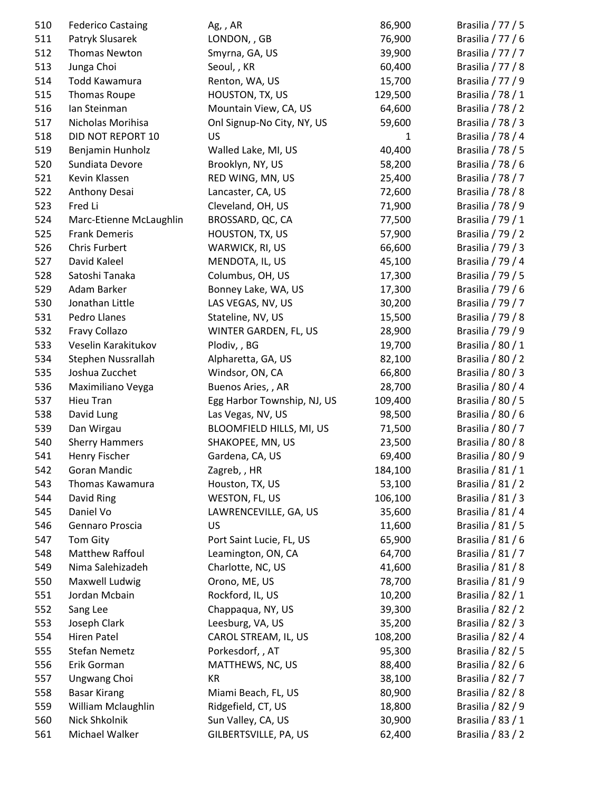| 510 | <b>Federico Castaing</b> | Ag, , AR                    | 86,900  | Brasilia $/ 77 / 5$ |
|-----|--------------------------|-----------------------------|---------|---------------------|
| 511 | Patryk Slusarek          | LONDON, , GB                | 76,900  | Brasilia / 77 / 6   |
| 512 | <b>Thomas Newton</b>     | Smyrna, GA, US              | 39,900  | Brasilia / 77 / 7   |
| 513 | Junga Choi               | Seoul, , KR                 | 60,400  | Brasilia / 77 / 8   |
| 514 | Todd Kawamura            | Renton, WA, US              | 15,700  | Brasilia / 77 / 9   |
| 515 | Thomas Roupe             | HOUSTON, TX, US             | 129,500 | Brasilia / 78 / 1   |
| 516 | Ian Steinman             | Mountain View, CA, US       | 64,600  | Brasilia / 78 / 2   |
| 517 | Nicholas Morihisa        | Onl Signup-No City, NY, US  | 59,600  | Brasilia / 78 / 3   |
| 518 | DID NOT REPORT 10        | US                          | 1       | Brasilia / 78 / 4   |
| 519 | Benjamin Hunholz         | Walled Lake, MI, US         | 40,400  | Brasilia / 78 / 5   |
| 520 | Sundiata Devore          | Brooklyn, NY, US            | 58,200  | Brasilia / 78 / 6   |
| 521 | Kevin Klassen            | RED WING, MN, US            | 25,400  | Brasilia / 78 / 7   |
| 522 | Anthony Desai            | Lancaster, CA, US           | 72,600  | Brasilia / 78 / 8   |
| 523 | Fred Li                  | Cleveland, OH, US           | 71,900  | Brasilia / 78 / 9   |
| 524 | Marc-Etienne McLaughlin  | BROSSARD, QC, CA            | 77,500  | Brasilia / 79 / 1   |
| 525 | <b>Frank Demeris</b>     | HOUSTON, TX, US             | 57,900  | Brasilia / 79 / 2   |
| 526 | <b>Chris Furbert</b>     | WARWICK, RI, US             | 66,600  | Brasilia / 79 / 3   |
| 527 | David Kaleel             | MENDOTA, IL, US             | 45,100  | Brasilia / 79 / 4   |
| 528 | Satoshi Tanaka           | Columbus, OH, US            | 17,300  | Brasilia / 79 / 5   |
| 529 | Adam Barker              | Bonney Lake, WA, US         | 17,300  | Brasilia / 79 / 6   |
| 530 | Jonathan Little          | LAS VEGAS, NV, US           | 30,200  | Brasilia / 79 / 7   |
| 531 | Pedro Llanes             | Stateline, NV, US           | 15,500  | Brasilia / 79 / 8   |
| 532 | Fravy Collazo            | WINTER GARDEN, FL, US       | 28,900  | Brasilia / 79 / 9   |
| 533 | Veselin Karakitukov      | Plodiv, , BG                | 19,700  | Brasilia / 80 / 1   |
| 534 | Stephen Nussrallah       | Alpharetta, GA, US          | 82,100  | Brasilia / 80 / 2   |
| 535 | Joshua Zucchet           | Windsor, ON, CA             | 66,800  | Brasilia / 80 / 3   |
| 536 | Maximiliano Veyga        | Buenos Aries,, AR           | 28,700  | Brasilia / 80 / 4   |
| 537 | Hieu Tran                | Egg Harbor Township, NJ, US | 109,400 | Brasilia / 80 / 5   |
| 538 | David Lung               | Las Vegas, NV, US           | 98,500  | Brasilia / 80 / 6   |
| 539 | Dan Wirgau               | BLOOMFIELD HILLS, MI, US    | 71,500  | Brasilia / 80 / 7   |
| 540 | <b>Sherry Hammers</b>    | SHAKOPEE, MN, US            | 23,500  | Brasilia / 80 / 8   |
| 541 | Henry Fischer            | Gardena, CA, US             | 69,400  | Brasilia / 80 / 9   |
| 542 | Goran Mandic             | Zagreb, , HR                | 184,100 | Brasilia / 81 / 1   |
| 543 | Thomas Kawamura          | Houston, TX, US             | 53,100  | Brasilia / 81 / 2   |
| 544 | David Ring               | WESTON, FL, US              | 106,100 | Brasilia / 81 / 3   |
| 545 | Daniel Vo                | LAWRENCEVILLE, GA, US       | 35,600  | Brasilia / 81 / 4   |
| 546 | Gennaro Proscia          | US                          | 11,600  | Brasilia / 81 / 5   |
| 547 | Tom Gity                 | Port Saint Lucie, FL, US    | 65,900  | Brasilia / 81 / 6   |
| 548 | Matthew Raffoul          | Leamington, ON, CA          | 64,700  | Brasilia / 81 / 7   |
| 549 | Nima Salehizadeh         | Charlotte, NC, US           | 41,600  | Brasilia / 81 / 8   |
| 550 | Maxwell Ludwig           | Orono, ME, US               | 78,700  | Brasilia / 81 / 9   |
| 551 | Jordan Mcbain            | Rockford, IL, US            | 10,200  | Brasilia / 82 / 1   |
| 552 | Sang Lee                 | Chappaqua, NY, US           | 39,300  | Brasilia / 82 / 2   |
| 553 | Joseph Clark             | Leesburg, VA, US            | 35,200  | Brasilia / 82 / 3   |
| 554 | Hiren Patel              | CAROL STREAM, IL, US        | 108,200 | Brasilia / 82 / 4   |
| 555 | <b>Stefan Nemetz</b>     | Porkesdorf, , AT            | 95,300  | Brasilia / 82 / 5   |
| 556 | Erik Gorman              | MATTHEWS, NC, US            | 88,400  | Brasilia / 82 / 6   |
| 557 | Ungwang Choi             | KR                          | 38,100  | Brasilia / 82 / 7   |
| 558 | <b>Basar Kirang</b>      | Miami Beach, FL, US         | 80,900  | Brasilia / 82 / 8   |
| 559 | William Mclaughlin       | Ridgefield, CT, US          | 18,800  | Brasilia / 82 / 9   |
| 560 | Nick Shkolnik            | Sun Valley, CA, US          | 30,900  | Brasilia / 83 / 1   |
| 561 | Michael Walker           | GILBERTSVILLE, PA, US       | 62,400  | Brasilia / 83 / 2   |
|     |                          |                             |         |                     |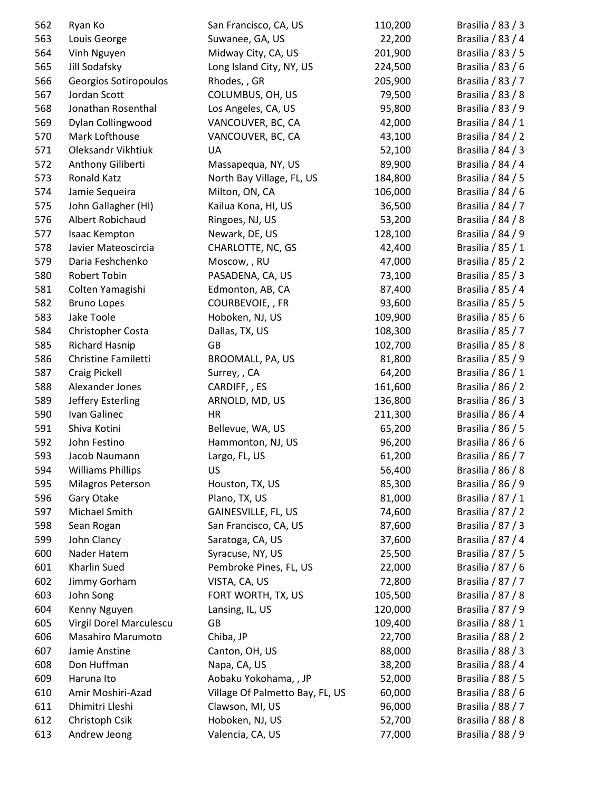| 562 | Ryan Ko                  | San Francisco, CA, US           | 110,200 | Brasilia / 83 / 3 |
|-----|--------------------------|---------------------------------|---------|-------------------|
| 563 | Louis George             | Suwanee, GA, US                 | 22,200  | Brasilia / 83 / 4 |
| 564 | Vinh Nguyen              | Midway City, CA, US             | 201,900 | Brasilia / 83 / 5 |
| 565 | Jill Sodafsky            | Long Island City, NY, US        | 224,500 | Brasilia / 83 / 6 |
| 566 | Georgios Sotiropoulos    | Rhodes, , GR                    | 205,900 | Brasilia / 83 / 7 |
| 567 | Jordan Scott             | COLUMBUS, OH, US                | 79,500  | Brasilia / 83 / 8 |
| 568 | Jonathan Rosenthal       | Los Angeles, CA, US             | 95,800  | Brasilia / 83 / 9 |
| 569 | Dylan Collingwood        | VANCOUVER, BC, CA               | 42,000  | Brasilia / 84 / 1 |
| 570 | Mark Lofthouse           | VANCOUVER, BC, CA               | 43,100  | Brasilia / 84 / 2 |
| 571 | Oleksandr Vikhtiuk       | UA                              | 52,100  | Brasilia / 84 / 3 |
| 572 | Anthony Giliberti        | Massapequa, NY, US              | 89,900  | Brasilia / 84 / 4 |
| 573 | <b>Ronald Katz</b>       | North Bay Village, FL, US       | 184,800 | Brasilia / 84 / 5 |
| 574 | Jamie Sequeira           | Milton, ON, CA                  | 106,000 | Brasilia / 84 / 6 |
| 575 | John Gallagher (HI)      | Kailua Kona, HI, US             | 36,500  | Brasilia / 84 / 7 |
| 576 | Albert Robichaud         | Ringoes, NJ, US                 | 53,200  | Brasilia / 84 / 8 |
| 577 | Isaac Kempton            | Newark, DE, US                  | 128,100 | Brasilia / 84 / 9 |
| 578 | Javier Mateoscircia      | CHARLOTTE, NC, GS               | 42,400  | Brasilia / 85 / 1 |
| 579 | Daria Feshchenko         | Moscow, , RU                    | 47,000  | Brasilia / 85 / 2 |
| 580 | Robert Tobin             | PASADENA, CA, US                | 73,100  | Brasilia / 85 / 3 |
| 581 | Colten Yamagishi         | Edmonton, AB, CA                | 87,400  | Brasilia / 85 / 4 |
| 582 | <b>Bruno Lopes</b>       | COURBEVOIE, , FR                | 93,600  | Brasilia / 85 / 5 |
| 583 | Jake Toole               | Hoboken, NJ, US                 | 109,900 | Brasilia / 85 / 6 |
| 584 | Christopher Costa        | Dallas, TX, US                  | 108,300 | Brasilia / 85 / 7 |
| 585 | <b>Richard Hasnip</b>    | GB                              | 102,700 | Brasilia / 85 / 8 |
| 586 | Christine Familetti      | BROOMALL, PA, US                | 81,800  | Brasilia / 85 / 9 |
| 587 | Craig Pickell            | Surrey, , CA                    | 64,200  | Brasilia / 86 / 1 |
| 588 | Alexander Jones          | CARDIFF, , ES                   | 161,600 | Brasilia / 86 / 2 |
| 589 | Jeffery Esterling        | ARNOLD, MD, US                  | 136,800 | Brasilia / 86 / 3 |
| 590 | Ivan Galinec             | HR                              | 211,300 | Brasilia / 86 / 4 |
| 591 | Shiva Kotini             | Bellevue, WA, US                | 65,200  | Brasilia / 86 / 5 |
| 592 | John Festino             | Hammonton, NJ, US               | 96,200  | Brasilia / 86 / 6 |
| 593 | Jacob Naumann            | Largo, FL, US                   | 61,200  | Brasilia / 86 / 7 |
| 594 | <b>Williams Phillips</b> | US                              | 56,400  | Brasilia / 86 / 8 |
| 595 | Milagros Peterson        | Houston, TX, US                 | 85,300  | Brasilia / 86 / 9 |
| 596 | Gary Otake               | Plano, TX, US                   | 81,000  | Brasilia / 87 / 1 |
| 597 | Michael Smith            | GAINESVILLE, FL, US             | 74,600  | Brasilia / 87 / 2 |
| 598 | Sean Rogan               | San Francisco, CA, US           | 87,600  | Brasilia / 87 / 3 |
| 599 | John Clancy              | Saratoga, CA, US                | 37,600  | Brasilia / 87 / 4 |
| 600 | Nader Hatem              | Syracuse, NY, US                | 25,500  | Brasilia / 87 / 5 |
| 601 | Kharlin Sued             | Pembroke Pines, FL, US          | 22,000  | Brasilia / 87 / 6 |
| 602 | Jimmy Gorham             | VISTA, CA, US                   | 72,800  | Brasilia / 87 / 7 |
| 603 | John Song                | FORT WORTH, TX, US              | 105,500 | Brasilia / 87 / 8 |
| 604 | Kenny Nguyen             | Lansing, IL, US                 | 120,000 | Brasilia / 87 / 9 |
| 605 | Virgil Dorel Marculescu  | GB                              | 109,400 | Brasilia / 88 / 1 |
| 606 | Masahiro Marumoto        | Chiba, JP                       | 22,700  | Brasilia / 88 / 2 |
| 607 | Jamie Anstine            | Canton, OH, US                  | 88,000  | Brasilia / 88 / 3 |
| 608 | Don Huffman              | Napa, CA, US                    | 38,200  | Brasilia / 88 / 4 |
| 609 | Haruna Ito               | Aobaku Yokohama, , JP           | 52,000  | Brasilia / 88 / 5 |
| 610 | Amir Moshiri-Azad        | Village Of Palmetto Bay, FL, US | 60,000  | Brasilia / 88 / 6 |
| 611 | Dhimitri Lleshi          | Clawson, MI, US                 | 96,000  | Brasilia / 88 / 7 |
| 612 | Christoph Csik           | Hoboken, NJ, US                 | 52,700  | Brasilia / 88 / 8 |
| 613 | Andrew Jeong             | Valencia, CA, US                | 77,000  | Brasilia / 88 / 9 |
|     |                          |                                 |         |                   |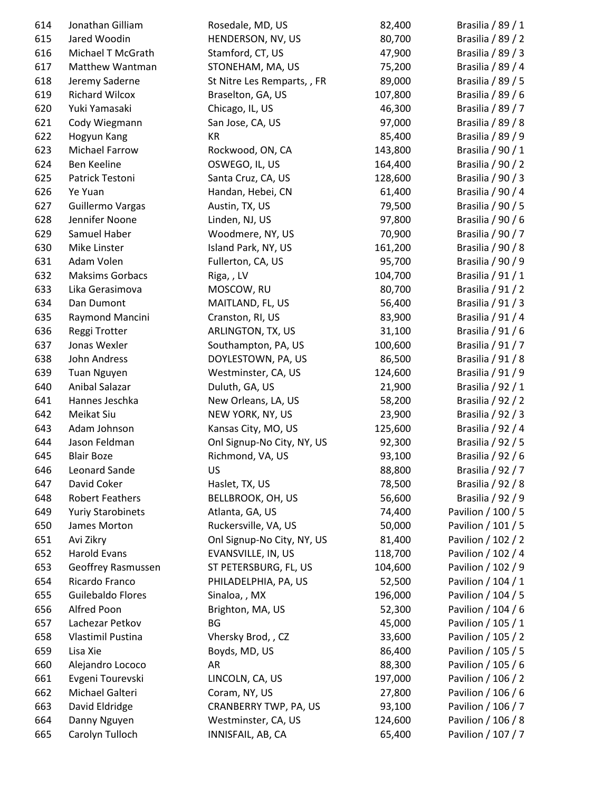| 614 | Jonathan Gilliam         | Rosedale, MD, US            | 82,400  | Brasilia / 89 / 1  |
|-----|--------------------------|-----------------------------|---------|--------------------|
| 615 | Jared Woodin             | HENDERSON, NV, US           | 80,700  | Brasilia / 89 / 2  |
| 616 | Michael T McGrath        | Stamford, CT, US            | 47,900  | Brasilia / 89 / 3  |
| 617 | Matthew Wantman          | STONEHAM, MA, US            | 75,200  | Brasilia / 89 / 4  |
| 618 | Jeremy Saderne           | St Nitre Les Remparts, , FR | 89,000  | Brasilia / 89 / 5  |
| 619 | Richard Wilcox           | Braselton, GA, US           | 107,800 | Brasilia / 89 / 6  |
| 620 | Yuki Yamasaki            | Chicago, IL, US             | 46,300  | Brasilia / 89 / 7  |
| 621 | Cody Wiegmann            | San Jose, CA, US            | 97,000  | Brasilia / 89 / 8  |
| 622 | Hogyun Kang              | KR                          | 85,400  | Brasilia / 89 / 9  |
| 623 | Michael Farrow           | Rockwood, ON, CA            | 143,800 | Brasilia / 90 / 1  |
| 624 | Ben Keeline              | OSWEGO, IL, US              | 164,400 | Brasilia / 90 / 2  |
| 625 | Patrick Testoni          | Santa Cruz, CA, US          | 128,600 | Brasilia / 90 / 3  |
| 626 | Ye Yuan                  | Handan, Hebei, CN           | 61,400  | Brasilia / 90 / 4  |
| 627 | Guillermo Vargas         | Austin, TX, US              | 79,500  | Brasilia / 90 / 5  |
| 628 | Jennifer Noone           | Linden, NJ, US              | 97,800  | Brasilia / 90 / 6  |
| 629 | Samuel Haber             | Woodmere, NY, US            | 70,900  | Brasilia / 90 / 7  |
| 630 | Mike Linster             | Island Park, NY, US         | 161,200 | Brasilia / 90 / 8  |
| 631 | Adam Volen               | Fullerton, CA, US           | 95,700  | Brasilia / 90 / 9  |
| 632 | <b>Maksims Gorbacs</b>   | Riga, , LV                  | 104,700 | Brasilia / 91 / 1  |
| 633 | Lika Gerasimova          | MOSCOW, RU                  | 80,700  | Brasilia / 91 / 2  |
| 634 | Dan Dumont               | MAITLAND, FL, US            | 56,400  | Brasilia / 91 / 3  |
| 635 | Raymond Mancini          | Cranston, RI, US            | 83,900  | Brasilia / 91 / 4  |
| 636 | Reggi Trotter            | ARLINGTON, TX, US           | 31,100  | Brasilia / 91 / 6  |
| 637 | Jonas Wexler             | Southampton, PA, US         | 100,600 | Brasilia / 91 / 7  |
| 638 | John Andress             | DOYLESTOWN, PA, US          | 86,500  | Brasilia / 91 / 8  |
| 639 | <b>Tuan Nguyen</b>       | Westminster, CA, US         | 124,600 | Brasilia / 91 / 9  |
| 640 | Anibal Salazar           | Duluth, GA, US              | 21,900  | Brasilia / 92 / 1  |
| 641 | Hannes Jeschka           | New Orleans, LA, US         | 58,200  | Brasilia / 92 / 2  |
| 642 | Meikat Siu               | NEW YORK, NY, US            | 23,900  | Brasilia / 92 / 3  |
| 643 | Adam Johnson             | Kansas City, MO, US         | 125,600 | Brasilia / 92 / 4  |
| 644 | Jason Feldman            | Onl Signup-No City, NY, US  | 92,300  | Brasilia / 92 / 5  |
| 645 | <b>Blair Boze</b>        | Richmond, VA, US            | 93,100  | Brasilia / 92 / 6  |
| 646 | Leonard Sande            | US                          | 88,800  | Brasilia / 92 / 7  |
| 647 | David Coker              | Haslet, TX, US              | 78,500  | Brasilia / 92 / 8  |
| 648 | <b>Robert Feathers</b>   | BELLBROOK, OH, US           | 56,600  | Brasilia / 92 / 9  |
| 649 | <b>Yuriy Starobinets</b> | Atlanta, GA, US             | 74,400  | Pavilion / 100 / 5 |
| 650 | James Morton             | Ruckersville, VA, US        | 50,000  | Pavilion / 101 / 5 |
| 651 | Avi Zikry                | Onl Signup-No City, NY, US  | 81,400  | Pavilion / 102 / 2 |
| 652 | <b>Harold Evans</b>      | EVANSVILLE, IN, US          | 118,700 | Pavilion / 102 / 4 |
| 653 | Geoffrey Rasmussen       | ST PETERSBURG, FL, US       | 104,600 | Pavilion / 102 / 9 |
| 654 | Ricardo Franco           | PHILADELPHIA, PA, US        | 52,500  | Pavilion / 104 / 1 |
| 655 | Guilebaldo Flores        | Sinaloa, , MX               | 196,000 | Pavilion / 104 / 5 |
| 656 | Alfred Poon              | Brighton, MA, US            | 52,300  | Pavilion / 104 / 6 |
| 657 | Lachezar Petkov          | BG                          | 45,000  | Pavilion / 105 / 1 |
| 658 | Vlastimil Pustina        | Vhersky Brod, , CZ          | 33,600  | Pavilion / 105 / 2 |
| 659 | Lisa Xie                 | Boyds, MD, US               | 86,400  | Pavilion / 105 / 5 |
| 660 | Alejandro Lococo         | AR                          | 88,300  | Pavilion / 105 / 6 |
| 661 | Evgeni Tourevski         | LINCOLN, CA, US             | 197,000 | Pavilion / 106 / 2 |
| 662 | Michael Galteri          | Coram, NY, US               | 27,800  | Pavilion / 106 / 6 |
| 663 | David Eldridge           | CRANBERRY TWP, PA, US       | 93,100  | Pavilion / 106 / 7 |
| 664 | Danny Nguyen             | Westminster, CA, US         | 124,600 | Pavilion / 106 / 8 |
| 665 | Carolyn Tulloch          | INNISFAIL, AB, CA           | 65,400  | Pavilion / 107 / 7 |
|     |                          |                             |         |                    |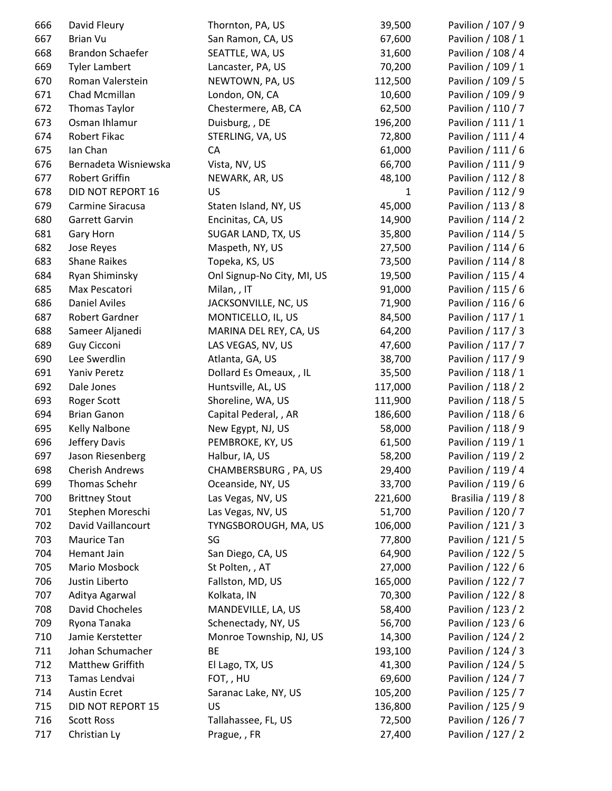| 666 | David Fleury            | Thornton, PA, US           | 39,500       | Pavilion / 107 / 9 |
|-----|-------------------------|----------------------------|--------------|--------------------|
| 667 | <b>Brian Vu</b>         | San Ramon, CA, US          | 67,600       | Pavilion / 108 / 1 |
| 668 | <b>Brandon Schaefer</b> | SEATTLE, WA, US            | 31,600       | Pavilion / 108 / 4 |
| 669 | <b>Tyler Lambert</b>    | Lancaster, PA, US          | 70,200       | Pavilion / 109 / 1 |
| 670 | Roman Valerstein        | NEWTOWN, PA, US            | 112,500      | Pavilion / 109 / 5 |
| 671 | Chad Mcmillan           | London, ON, CA             | 10,600       | Pavilion / 109 / 9 |
| 672 | Thomas Taylor           | Chestermere, AB, CA        | 62,500       | Pavilion / 110 / 7 |
| 673 | Osman Ihlamur           | Duisburg, , DE             | 196,200      | Pavilion / 111 / 1 |
| 674 | Robert Fikac            | STERLING, VA, US           | 72,800       | Pavilion / 111 / 4 |
| 675 | Ian Chan                | CA                         | 61,000       | Pavilion / 111 / 6 |
| 676 | Bernadeta Wisniewska    | Vista, NV, US              | 66,700       | Pavilion / 111 / 9 |
| 677 | Robert Griffin          | NEWARK, AR, US             | 48,100       | Pavilion / 112 / 8 |
| 678 | DID NOT REPORT 16       | US                         | $\mathbf{1}$ | Pavilion / 112 / 9 |
| 679 | Carmine Siracusa        | Staten Island, NY, US      | 45,000       | Pavilion / 113 / 8 |
| 680 | Garrett Garvin          | Encinitas, CA, US          | 14,900       | Pavilion / 114 / 2 |
| 681 | Gary Horn               | SUGAR LAND, TX, US         | 35,800       | Pavilion / 114 / 5 |
| 682 | Jose Reyes              | Maspeth, NY, US            | 27,500       | Pavilion / 114 / 6 |
| 683 | <b>Shane Raikes</b>     | Topeka, KS, US             | 73,500       | Pavilion / 114 / 8 |
| 684 | Ryan Shiminsky          | Onl Signup-No City, MI, US | 19,500       | Pavilion / 115 / 4 |
| 685 | Max Pescatori           | Milan, , IT                | 91,000       | Pavilion / 115 / 6 |
| 686 | <b>Daniel Aviles</b>    | JACKSONVILLE, NC, US       | 71,900       | Pavilion / 116 / 6 |
| 687 | Robert Gardner          | MONTICELLO, IL, US         | 84,500       | Pavilion / 117 / 1 |
| 688 | Sameer Aljanedi         | MARINA DEL REY, CA, US     | 64,200       | Pavilion / 117 / 3 |
| 689 | Guy Cicconi             | LAS VEGAS, NV, US          | 47,600       | Pavilion / 117 / 7 |
| 690 | Lee Swerdlin            | Atlanta, GA, US            | 38,700       | Pavilion / 117 / 9 |
| 691 | Yaniv Peretz            | Dollard Es Omeaux, , IL    | 35,500       | Pavilion / 118 / 1 |
| 692 | Dale Jones              | Huntsville, AL, US         | 117,000      | Pavilion / 118 / 2 |
| 693 | <b>Roger Scott</b>      | Shoreline, WA, US          | 111,900      | Pavilion / 118 / 5 |
| 694 | <b>Brian Ganon</b>      | Capital Pederal, , AR      | 186,600      | Pavilion / 118 / 6 |
| 695 | Kelly Nalbone           | New Egypt, NJ, US          | 58,000       | Pavilion / 118 / 9 |
| 696 | Jeffery Davis           | PEMBROKE, KY, US           | 61,500       | Pavilion / 119 / 1 |
| 697 | Jason Riesenberg        | Halbur, IA, US             | 58,200       | Pavilion / 119 / 2 |
| 698 | <b>Cherish Andrews</b>  | CHAMBERSBURG, PA, US       | 29,400       | Pavilion / 119 / 4 |
| 699 | Thomas Schehr           | Oceanside, NY, US          | 33,700       | Pavilion / 119 / 6 |
| 700 | <b>Brittney Stout</b>   | Las Vegas, NV, US          | 221,600      | Brasilia / 119 / 8 |
| 701 | Stephen Moreschi        | Las Vegas, NV, US          | 51,700       | Pavilion / 120 / 7 |
| 702 | David Vaillancourt      | TYNGSBOROUGH, MA, US       | 106,000      | Pavilion / 121 / 3 |
| 703 | Maurice Tan             | SG                         | 77,800       | Pavilion / 121 / 5 |
| 704 | Hemant Jain             | San Diego, CA, US          | 64,900       | Pavilion / 122 / 5 |
| 705 | Mario Mosbock           | St Polten, , AT            | 27,000       | Pavilion / 122 / 6 |
| 706 | Justin Liberto          | Fallston, MD, US           | 165,000      | Pavilion / 122 / 7 |
| 707 | Aditya Agarwal          | Kolkata, IN                | 70,300       | Pavilion / 122 / 8 |
| 708 | David Chocheles         | MANDEVILLE, LA, US         | 58,400       | Pavilion / 123 / 2 |
| 709 | Ryona Tanaka            | Schenectady, NY, US        | 56,700       | Pavilion / 123 / 6 |
| 710 | Jamie Kerstetter        | Monroe Township, NJ, US    | 14,300       | Pavilion / 124 / 2 |
| 711 | Johan Schumacher        | BE                         | 193,100      | Pavilion / 124 / 3 |
| 712 | Matthew Griffith        | El Lago, TX, US            | 41,300       | Pavilion / 124 / 5 |
| 713 | Tamas Lendvai           | FOT,, HU                   | 69,600       | Pavilion / 124 / 7 |
| 714 | <b>Austin Ecret</b>     | Saranac Lake, NY, US       | 105,200      | Pavilion / 125 / 7 |
| 715 | DID NOT REPORT 15       | US                         | 136,800      | Pavilion / 125 / 9 |
| 716 | <b>Scott Ross</b>       | Tallahassee, FL, US        | 72,500       | Pavilion / 126 / 7 |
| 717 | Christian Ly            | Prague, , FR               | 27,400       | Pavilion / 127 / 2 |
|     |                         |                            |              |                    |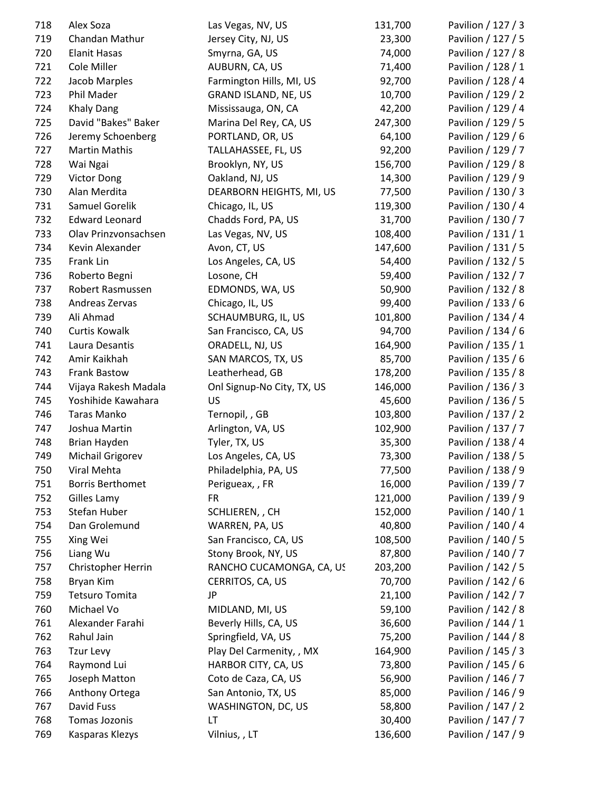| 718 | Alex Soza               | Las Vegas, NV, US           | 131,700 | Pavilion / 127 / 3 |
|-----|-------------------------|-----------------------------|---------|--------------------|
| 719 | Chandan Mathur          | Jersey City, NJ, US         | 23,300  | Pavilion / 127 / 5 |
| 720 | <b>Elanit Hasas</b>     | Smyrna, GA, US              | 74,000  | Pavilion / 127 / 8 |
| 721 | Cole Miller             | AUBURN, CA, US              | 71,400  | Pavilion / 128 / 1 |
| 722 | Jacob Marples           | Farmington Hills, MI, US    | 92,700  | Pavilion / 128 / 4 |
| 723 | Phil Mader              | <b>GRAND ISLAND, NE, US</b> | 10,700  | Pavilion / 129 / 2 |
| 724 | <b>Khaly Dang</b>       | Mississauga, ON, CA         | 42,200  | Pavilion / 129 / 4 |
| 725 | David "Bakes" Baker     | Marina Del Rey, CA, US      | 247,300 | Pavilion / 129 / 5 |
| 726 | Jeremy Schoenberg       | PORTLAND, OR, US            | 64,100  | Pavilion / 129 / 6 |
| 727 | <b>Martin Mathis</b>    | TALLAHASSEE, FL, US         | 92,200  | Pavilion / 129 / 7 |
| 728 | Wai Ngai                | Brooklyn, NY, US            | 156,700 | Pavilion / 129 / 8 |
| 729 | <b>Victor Dong</b>      | Oakland, NJ, US             | 14,300  | Pavilion / 129 / 9 |
| 730 | Alan Merdita            | DEARBORN HEIGHTS, MI, US    | 77,500  | Pavilion / 130 / 3 |
| 731 | Samuel Gorelik          | Chicago, IL, US             | 119,300 | Pavilion / 130 / 4 |
| 732 | <b>Edward Leonard</b>   | Chadds Ford, PA, US         | 31,700  | Pavilion / 130 / 7 |
| 733 | Olav Prinzvonsachsen    | Las Vegas, NV, US           | 108,400 | Pavilion / 131 / 1 |
| 734 | Kevin Alexander         | Avon, CT, US                | 147,600 | Pavilion / 131 / 5 |
| 735 | Frank Lin               | Los Angeles, CA, US         | 54,400  | Pavilion / 132 / 5 |
| 736 | Roberto Begni           | Losone, CH                  | 59,400  | Pavilion / 132 / 7 |
| 737 | Robert Rasmussen        | EDMONDS, WA, US             | 50,900  | Pavilion / 132 / 8 |
| 738 | Andreas Zervas          | Chicago, IL, US             | 99,400  | Pavilion / 133 / 6 |
| 739 | Ali Ahmad               | SCHAUMBURG, IL, US          | 101,800 | Pavilion / 134 / 4 |
| 740 | <b>Curtis Kowalk</b>    | San Francisco, CA, US       | 94,700  | Pavilion / 134 / 6 |
| 741 | Laura Desantis          | ORADELL, NJ, US             | 164,900 | Pavilion / 135 / 1 |
| 742 | Amir Kaikhah            | SAN MARCOS, TX, US          | 85,700  | Pavilion / 135 / 6 |
| 743 | <b>Frank Bastow</b>     | Leatherhead, GB             | 178,200 | Pavilion / 135 / 8 |
| 744 | Vijaya Rakesh Madala    | Onl Signup-No City, TX, US  | 146,000 | Pavilion / 136 / 3 |
| 745 | Yoshihide Kawahara      | US                          | 45,600  | Pavilion / 136 / 5 |
| 746 | Taras Manko             | Ternopil, , GB              | 103,800 | Pavilion / 137 / 2 |
| 747 | Joshua Martin           | Arlington, VA, US           | 102,900 | Pavilion / 137 / 7 |
| 748 | Brian Hayden            | Tyler, TX, US               | 35,300  | Pavilion / 138 / 4 |
| 749 | Michail Grigorev        | Los Angeles, CA, US         | 73,300  | Pavilion / 138 / 5 |
| 750 | Viral Mehta             | Philadelphia, PA, US        | 77,500  | Pavilion / 138 / 9 |
| 751 | <b>Borris Berthomet</b> | Perigueax, , FR             | 16,000  | Pavilion / 139 / 7 |
| 752 | Gilles Lamy             | <b>FR</b>                   | 121,000 | Pavilion / 139 / 9 |
| 753 | Stefan Huber            | SCHLIEREN, , CH             | 152,000 | Pavilion / 140 / 1 |
| 754 | Dan Grolemund           | WARREN, PA, US              | 40,800  | Pavilion / 140 / 4 |
| 755 | Xing Wei                | San Francisco, CA, US       | 108,500 | Pavilion / 140 / 5 |
| 756 | Liang Wu                | Stony Brook, NY, US         | 87,800  | Pavilion / 140 / 7 |
| 757 | Christopher Herrin      | RANCHO CUCAMONGA, CA, US    | 203,200 | Pavilion / 142 / 5 |
| 758 | <b>Bryan Kim</b>        | CERRITOS, CA, US            | 70,700  | Pavilion / 142 / 6 |
| 759 | <b>Tetsuro Tomita</b>   | JP                          | 21,100  | Pavilion / 142 / 7 |
| 760 | Michael Vo              | MIDLAND, MI, US             | 59,100  | Pavilion / 142 / 8 |
| 761 | Alexander Farahi        | Beverly Hills, CA, US       | 36,600  | Pavilion / 144 / 1 |
| 762 | Rahul Jain              | Springfield, VA, US         | 75,200  | Pavilion / 144 / 8 |
| 763 | Tzur Levy               | Play Del Carmenity, , MX    | 164,900 | Pavilion / 145 / 3 |
| 764 | Raymond Lui             | HARBOR CITY, CA, US         | 73,800  | Pavilion / 145 / 6 |
| 765 | Joseph Matton           | Coto de Caza, CA, US        | 56,900  | Pavilion / 146 / 7 |
| 766 | Anthony Ortega          | San Antonio, TX, US         | 85,000  | Pavilion / 146 / 9 |
| 767 | David Fuss              | WASHINGTON, DC, US          | 58,800  | Pavilion / 147 / 2 |
| 768 | Tomas Jozonis           | LT.                         | 30,400  | Pavilion / 147 / 7 |
| 769 | Kasparas Klezys         | Vilnius, , LT               | 136,600 | Pavilion / 147 / 9 |
|     |                         |                             |         |                    |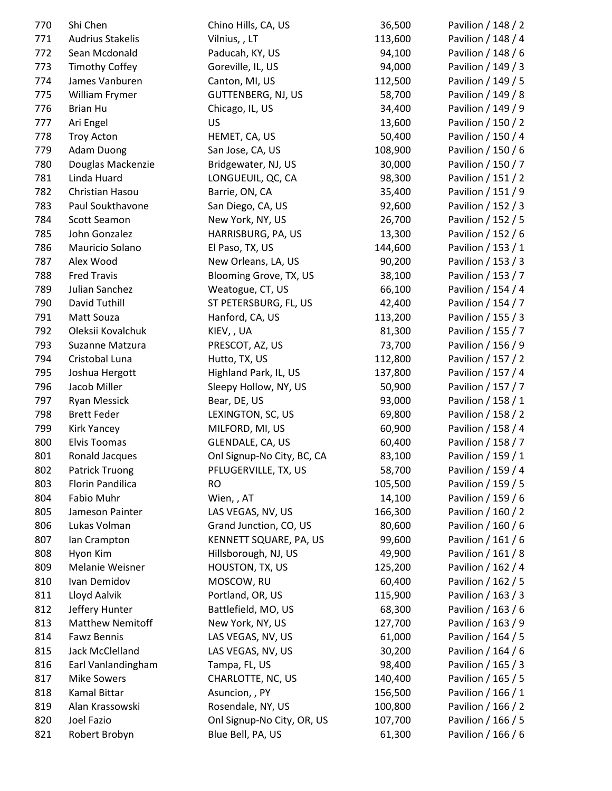| 770 | Shi Chen                | Chino Hills, CA, US        | 36,500  | Pavilion / 148 / 2 |
|-----|-------------------------|----------------------------|---------|--------------------|
| 771 | <b>Audrius Stakelis</b> | Vilnius, , LT              | 113,600 | Pavilion / 148 / 4 |
| 772 | Sean Mcdonald           | Paducah, KY, US            | 94,100  | Pavilion / 148 / 6 |
| 773 | <b>Timothy Coffey</b>   | Goreville, IL, US          | 94,000  | Pavilion / 149 / 3 |
| 774 | James Vanburen          | Canton, MI, US             | 112,500 | Pavilion / 149 / 5 |
| 775 | William Frymer          | <b>GUTTENBERG, NJ, US</b>  | 58,700  | Pavilion / 149 / 8 |
| 776 | <b>Brian Hu</b>         | Chicago, IL, US            | 34,400  | Pavilion / 149 / 9 |
| 777 | Ari Engel               | US                         | 13,600  | Pavilion / 150 / 2 |
| 778 | <b>Troy Acton</b>       | HEMET, CA, US              | 50,400  | Pavilion / 150 / 4 |
| 779 | <b>Adam Duong</b>       | San Jose, CA, US           | 108,900 | Pavilion / 150 / 6 |
| 780 | Douglas Mackenzie       | Bridgewater, NJ, US        | 30,000  | Pavilion / 150 / 7 |
| 781 | Linda Huard             | LONGUEUIL, QC, CA          | 98,300  | Pavilion / 151 / 2 |
| 782 | Christian Hasou         | Barrie, ON, CA             | 35,400  | Pavilion / 151 / 9 |
| 783 | Paul Soukthavone        | San Diego, CA, US          | 92,600  | Pavilion / 152 / 3 |
| 784 | Scott Seamon            | New York, NY, US           | 26,700  | Pavilion / 152 / 5 |
| 785 | John Gonzalez           | HARRISBURG, PA, US         | 13,300  | Pavilion / 152 / 6 |
| 786 | Mauricio Solano         | El Paso, TX, US            | 144,600 | Pavilion / 153 / 1 |
| 787 | Alex Wood               | New Orleans, LA, US        | 90,200  | Pavilion / 153 / 3 |
| 788 | <b>Fred Travis</b>      | Blooming Grove, TX, US     | 38,100  | Pavilion / 153 / 7 |
| 789 | Julian Sanchez          | Weatogue, CT, US           | 66,100  | Pavilion / 154 / 4 |
| 790 | David Tuthill           | ST PETERSBURG, FL, US      | 42,400  | Pavilion / 154 / 7 |
| 791 | Matt Souza              | Hanford, CA, US            | 113,200 | Pavilion / 155 / 3 |
| 792 | Oleksii Kovalchuk       | KIEV, , UA                 | 81,300  | Pavilion / 155 / 7 |
| 793 | Suzanne Matzura         | PRESCOT, AZ, US            | 73,700  | Pavilion / 156 / 9 |
| 794 | Cristobal Luna          | Hutto, TX, US              | 112,800 | Pavilion / 157 / 2 |
| 795 | Joshua Hergott          | Highland Park, IL, US      | 137,800 | Pavilion / 157 / 4 |
| 796 | Jacob Miller            | Sleepy Hollow, NY, US      | 50,900  | Pavilion / 157 / 7 |
| 797 | Ryan Messick            | Bear, DE, US               | 93,000  | Pavilion / 158 / 1 |
| 798 | <b>Brett Feder</b>      | LEXINGTON, SC, US          | 69,800  | Pavilion / 158 / 2 |
| 799 | <b>Kirk Yancey</b>      | MILFORD, MI, US            | 60,900  | Pavilion / 158 / 4 |
| 800 | <b>Elvis Toomas</b>     | GLENDALE, CA, US           | 60,400  | Pavilion / 158 / 7 |
| 801 | Ronald Jacques          | Onl Signup-No City, BC, CA | 83,100  | Pavilion / 159 / 1 |
| 802 | <b>Patrick Truong</b>   | PFLUGERVILLE, TX, US       | 58,700  | Pavilion / 159 / 4 |
| 803 | Florin Pandilica        | RO.                        | 105,500 | Pavilion / 159 / 5 |
| 804 | Fabio Muhr              | Wien, , AT                 | 14,100  | Pavilion / 159 / 6 |
| 805 | Jameson Painter         | LAS VEGAS, NV, US          | 166,300 | Pavilion / 160 / 2 |
| 806 | Lukas Volman            | Grand Junction, CO, US     | 80,600  | Pavilion / 160 / 6 |
| 807 | Ian Crampton            | KENNETT SQUARE, PA, US     | 99,600  | Pavilion / 161 / 6 |
| 808 | Hyon Kim                | Hillsborough, NJ, US       | 49,900  | Pavilion / 161 / 8 |
| 809 | Melanie Weisner         | HOUSTON, TX, US            | 125,200 | Pavilion / 162 / 4 |
| 810 | Ivan Demidov            | MOSCOW, RU                 | 60,400  | Pavilion / 162 / 5 |
| 811 | Lloyd Aalvik            | Portland, OR, US           | 115,900 | Pavilion / 163 / 3 |
| 812 | Jeffery Hunter          | Battlefield, MO, US        | 68,300  | Pavilion / 163 / 6 |
|     | <b>Matthew Nemitoff</b> |                            |         | Pavilion / 163 / 9 |
| 813 |                         | New York, NY, US           | 127,700 |                    |
| 814 | <b>Fawz Bennis</b>      | LAS VEGAS, NV, US          | 61,000  | Pavilion / 164 / 5 |
| 815 | Jack McClelland         | LAS VEGAS, NV, US          | 30,200  | Pavilion / 164 / 6 |
| 816 | Earl Vanlandingham      | Tampa, FL, US              | 98,400  | Pavilion / 165 / 3 |
| 817 | <b>Mike Sowers</b>      | CHARLOTTE, NC, US          | 140,400 | Pavilion / 165 / 5 |
| 818 | <b>Kamal Bittar</b>     | Asuncion, , PY             | 156,500 | Pavilion / 166 / 1 |
| 819 | Alan Krassowski         | Rosendale, NY, US          | 100,800 | Pavilion / 166 / 2 |
| 820 | Joel Fazio              | Onl Signup-No City, OR, US | 107,700 | Pavilion / 166 / 5 |
| 821 | Robert Brobyn           | Blue Bell, PA, US          | 61,300  | Pavilion / 166 / 6 |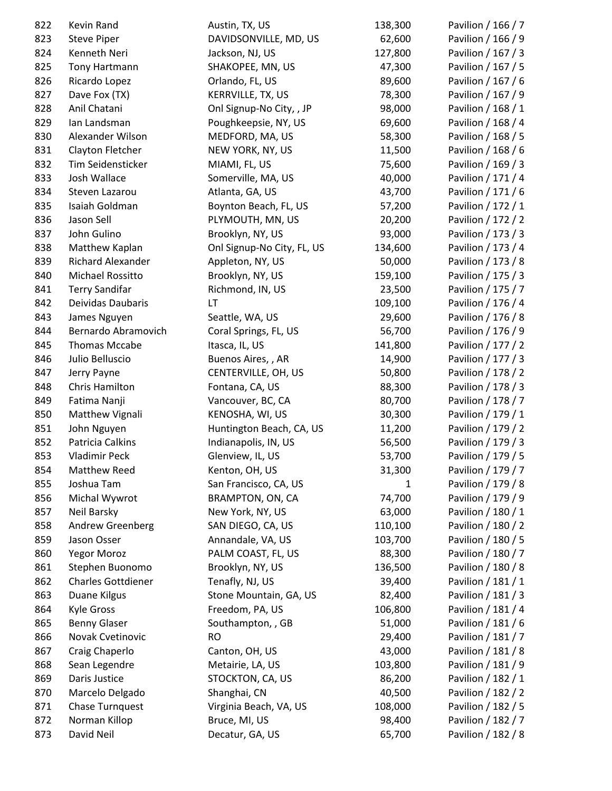| 822 | Kevin Rand                | Austin, TX, US             | 138,300 | Pavilion / 166 / 7 |
|-----|---------------------------|----------------------------|---------|--------------------|
| 823 | <b>Steve Piper</b>        | DAVIDSONVILLE, MD, US      | 62,600  | Pavilion / 166 / 9 |
| 824 | Kenneth Neri              | Jackson, NJ, US            | 127,800 | Pavilion / 167 / 3 |
| 825 | Tony Hartmann             | SHAKOPEE, MN, US           | 47,300  | Pavilion / 167 / 5 |
| 826 | Ricardo Lopez             | Orlando, FL, US            | 89,600  | Pavilion / 167 / 6 |
| 827 | Dave Fox (TX)             | KERRVILLE, TX, US          | 78,300  | Pavilion / 167 / 9 |
| 828 | Anil Chatani              | Onl Signup-No City, , JP   | 98,000  | Pavilion / 168 / 1 |
| 829 | Ian Landsman              | Poughkeepsie, NY, US       | 69,600  | Pavilion / 168 / 4 |
| 830 | Alexander Wilson          | MEDFORD, MA, US            | 58,300  | Pavilion / 168 / 5 |
| 831 | Clayton Fletcher          | NEW YORK, NY, US           | 11,500  | Pavilion / 168 / 6 |
| 832 | Tim Seidensticker         | MIAMI, FL, US              | 75,600  | Pavilion / 169 / 3 |
| 833 | Josh Wallace              | Somerville, MA, US         | 40,000  | Pavilion / 171 / 4 |
| 834 | Steven Lazarou            | Atlanta, GA, US            | 43,700  | Pavilion / 171 / 6 |
| 835 | Isaiah Goldman            | Boynton Beach, FL, US      | 57,200  | Pavilion / 172 / 1 |
| 836 | Jason Sell                | PLYMOUTH, MN, US           | 20,200  | Pavilion / 172 / 2 |
| 837 | John Gulino               | Brooklyn, NY, US           | 93,000  | Pavilion / 173 / 3 |
| 838 | Matthew Kaplan            | Onl Signup-No City, FL, US | 134,600 | Pavilion / 173 / 4 |
| 839 | Richard Alexander         | Appleton, NY, US           | 50,000  | Pavilion / 173 / 8 |
| 840 | Michael Rossitto          | Brooklyn, NY, US           | 159,100 | Pavilion / 175 / 3 |
| 841 | <b>Terry Sandifar</b>     | Richmond, IN, US           | 23,500  | Pavilion / 175 / 7 |
| 842 | Deividas Daubaris         | LT                         | 109,100 | Pavilion / 176 / 4 |
| 843 | James Nguyen              | Seattle, WA, US            | 29,600  | Pavilion / 176 / 8 |
| 844 | Bernardo Abramovich       | Coral Springs, FL, US      | 56,700  | Pavilion / 176 / 9 |
| 845 | <b>Thomas Mccabe</b>      | Itasca, IL, US             | 141,800 | Pavilion / 177 / 2 |
| 846 | Julio Belluscio           | Buenos Aires,, AR          | 14,900  | Pavilion / 177 / 3 |
| 847 | Jerry Payne               | CENTERVILLE, OH, US        | 50,800  | Pavilion / 178 / 2 |
| 848 | Chris Hamilton            | Fontana, CA, US            | 88,300  | Pavilion / 178 / 3 |
| 849 | Fatima Nanji              | Vancouver, BC, CA          | 80,700  | Pavilion / 178 / 7 |
| 850 | Matthew Vignali           | KENOSHA, WI, US            | 30,300  | Pavilion / 179 / 1 |
| 851 | John Nguyen               | Huntington Beach, CA, US   | 11,200  | Pavilion / 179 / 2 |
| 852 | Patricia Calkins          | Indianapolis, IN, US       | 56,500  | Pavilion / 179 / 3 |
| 853 | <b>Vladimir Peck</b>      | Glenview, IL, US           | 53,700  | Pavilion / 179 / 5 |
| 854 | Matthew Reed              | Kenton, OH, US             | 31,300  | Pavilion / 179 / 7 |
| 855 | Joshua Tam                | San Francisco, CA, US      | 1       | Pavilion / 179 / 8 |
| 856 | Michal Wywrot             | BRAMPTON, ON, CA           | 74,700  | Pavilion / 179 / 9 |
| 857 | Neil Barsky               | New York, NY, US           | 63,000  | Pavilion / 180 / 1 |
| 858 | Andrew Greenberg          | SAN DIEGO, CA, US          | 110,100 | Pavilion / 180 / 2 |
| 859 | Jason Osser               | Annandale, VA, US          | 103,700 | Pavilion / 180 / 5 |
| 860 | Yegor Moroz               | PALM COAST, FL, US         | 88,300  | Pavilion / 180 / 7 |
| 861 | Stephen Buonomo           | Brooklyn, NY, US           | 136,500 | Pavilion / 180 / 8 |
| 862 | <b>Charles Gottdiener</b> | Tenafly, NJ, US            | 39,400  | Pavilion / 181 / 1 |
| 863 | Duane Kilgus              | Stone Mountain, GA, US     | 82,400  | Pavilion / 181 / 3 |
| 864 | <b>Kyle Gross</b>         | Freedom, PA, US            | 106,800 | Pavilion / 181 / 4 |
| 865 | <b>Benny Glaser</b>       | Southampton, , GB          | 51,000  | Pavilion / 181 / 6 |
| 866 | Novak Cvetinovic          | <b>RO</b>                  | 29,400  | Pavilion / 181 / 7 |
| 867 | Craig Chaperlo            | Canton, OH, US             | 43,000  | Pavilion / 181 / 8 |
| 868 | Sean Legendre             | Metairie, LA, US           | 103,800 | Pavilion / 181 / 9 |
| 869 | Daris Justice             | STOCKTON, CA, US           | 86,200  | Pavilion / 182 / 1 |
| 870 | Marcelo Delgado           | Shanghai, CN               | 40,500  | Pavilion / 182 / 2 |
| 871 | Chase Turnquest           | Virginia Beach, VA, US     | 108,000 | Pavilion / 182 / 5 |
| 872 | Norman Killop             | Bruce, MI, US              | 98,400  | Pavilion / 182 / 7 |
| 873 | David Neil                | Decatur, GA, US            | 65,700  | Pavilion / 182 / 8 |
|     |                           |                            |         |                    |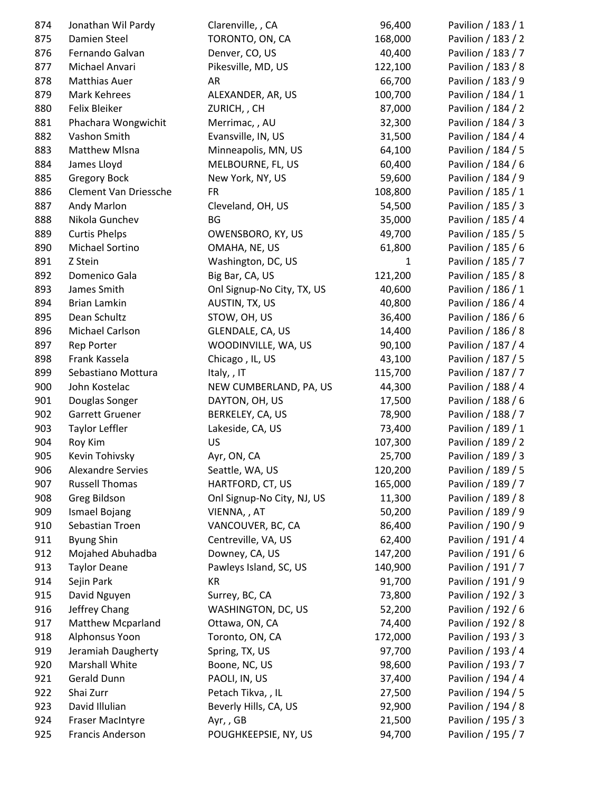| 874 | Jonathan Wil Pardy       | Clarenville, , CA          | 96,400       | Pavilion / 183 / 1 |
|-----|--------------------------|----------------------------|--------------|--------------------|
| 875 | Damien Steel             | TORONTO, ON, CA            | 168,000      | Pavilion / 183 / 2 |
| 876 | Fernando Galvan          | Denver, CO, US             | 40,400       | Pavilion / 183 / 7 |
| 877 | Michael Anvari           | Pikesville, MD, US         | 122,100      | Pavilion / 183 / 8 |
| 878 | <b>Matthias Auer</b>     | AR                         | 66,700       | Pavilion / 183 / 9 |
| 879 | Mark Kehrees             | ALEXANDER, AR, US          | 100,700      | Pavilion / 184 / 1 |
| 880 | Felix Bleiker            | ZURICH, , CH               | 87,000       | Pavilion / 184 / 2 |
| 881 | Phachara Wongwichit      | Merrimac, , AU             | 32,300       | Pavilion / 184 / 3 |
| 882 | Vashon Smith             | Evansville, IN, US         | 31,500       | Pavilion / 184 / 4 |
| 883 | <b>Matthew Mlsna</b>     | Minneapolis, MN, US        | 64,100       | Pavilion / 184 / 5 |
| 884 | James Lloyd              | MELBOURNE, FL, US          | 60,400       | Pavilion / 184 / 6 |
| 885 | <b>Gregory Bock</b>      | New York, NY, US           | 59,600       | Pavilion / 184 / 9 |
| 886 | Clement Van Driessche    | <b>FR</b>                  | 108,800      | Pavilion / 185 / 1 |
| 887 | Andy Marlon              | Cleveland, OH, US          | 54,500       | Pavilion / 185 / 3 |
| 888 | Nikola Gunchev           | <b>BG</b>                  | 35,000       | Pavilion / 185 / 4 |
| 889 | <b>Curtis Phelps</b>     | OWENSBORO, KY, US          | 49,700       | Pavilion / 185 / 5 |
| 890 | Michael Sortino          | OMAHA, NE, US              | 61,800       | Pavilion / 185 / 6 |
| 891 | Z Stein                  | Washington, DC, US         | $\mathbf{1}$ | Pavilion / 185 / 7 |
| 892 | Domenico Gala            | Big Bar, CA, US            | 121,200      | Pavilion / 185 / 8 |
| 893 | James Smith              | Onl Signup-No City, TX, US | 40,600       | Pavilion / 186 / 1 |
| 894 | Brian Lamkin             | AUSTIN, TX, US             | 40,800       | Pavilion / 186 / 4 |
| 895 | Dean Schultz             | STOW, OH, US               | 36,400       | Pavilion / 186 / 6 |
| 896 | Michael Carlson          | GLENDALE, CA, US           | 14,400       | Pavilion / 186 / 8 |
| 897 | Rep Porter               | WOODINVILLE, WA, US        | 90,100       | Pavilion / 187 / 4 |
| 898 | Frank Kassela            | Chicago, IL, US            | 43,100       | Pavilion / 187 / 5 |
| 899 | Sebastiano Mottura       | Italy, , IT                | 115,700      | Pavilion / 187 / 7 |
| 900 | John Kostelac            | NEW CUMBERLAND, PA, US     | 44,300       | Pavilion / 188 / 4 |
| 901 | Douglas Songer           | DAYTON, OH, US             | 17,500       | Pavilion / 188 / 6 |
| 902 | Garrett Gruener          | BERKELEY, CA, US           | 78,900       | Pavilion / 188 / 7 |
| 903 | <b>Taylor Leffler</b>    | Lakeside, CA, US           | 73,400       | Pavilion / 189 / 1 |
| 904 | Roy Kim                  | <b>US</b>                  | 107,300      | Pavilion / 189 / 2 |
| 905 | Kevin Tohivsky           | Ayr, ON, CA                | 25,700       | Pavilion / 189 / 3 |
| 906 | <b>Alexandre Servies</b> | Seattle, WA, US            | 120,200      | Pavilion / 189 / 5 |
| 907 | <b>Russell Thomas</b>    | HARTFORD, CT, US           | 165,000      | Pavilion / 189 / 7 |
| 908 | Greg Bildson             | Onl Signup-No City, NJ, US | 11,300       | Pavilion / 189 / 8 |
| 909 | Ismael Bojang            | VIENNA, , AT               | 50,200       | Pavilion / 189 / 9 |
| 910 | Sebastian Troen          | VANCOUVER, BC, CA          | 86,400       | Pavilion / 190 / 9 |
| 911 | <b>Byung Shin</b>        | Centreville, VA, US        | 62,400       | Pavilion / 191 / 4 |
| 912 | Mojahed Abuhadba         | Downey, CA, US             | 147,200      | Pavilion / 191 / 6 |
| 913 | <b>Taylor Deane</b>      | Pawleys Island, SC, US     | 140,900      | Pavilion / 191 / 7 |
| 914 | Sejin Park               | KR                         | 91,700       | Pavilion / 191 / 9 |
| 915 | David Nguyen             | Surrey, BC, CA             | 73,800       | Pavilion / 192 / 3 |
| 916 | Jeffrey Chang            | WASHINGTON, DC, US         | 52,200       | Pavilion / 192 / 6 |
| 917 | <b>Matthew Mcparland</b> | Ottawa, ON, CA             | 74,400       | Pavilion / 192 / 8 |
| 918 | Alphonsus Yoon           | Toronto, ON, CA            | 172,000      | Pavilion / 193 / 3 |
| 919 | Jeramiah Daugherty       | Spring, TX, US             | 97,700       | Pavilion / 193 / 4 |
| 920 | Marshall White           | Boone, NC, US              | 98,600       | Pavilion / 193 / 7 |
| 921 | Gerald Dunn              | PAOLI, IN, US              | 37,400       | Pavilion / 194 / 4 |
| 922 | Shai Zurr                | Petach Tikva, , IL         | 27,500       | Pavilion / 194 / 5 |
| 923 | David Illulian           | Beverly Hills, CA, US      | 92,900       | Pavilion / 194 / 8 |
| 924 | <b>Fraser MacIntyre</b>  | Ayr,, GB                   | 21,500       | Pavilion / 195 / 3 |
| 925 | Francis Anderson         | POUGHKEEPSIE, NY, US       | 94,700       | Pavilion / 195 / 7 |
|     |                          |                            |              |                    |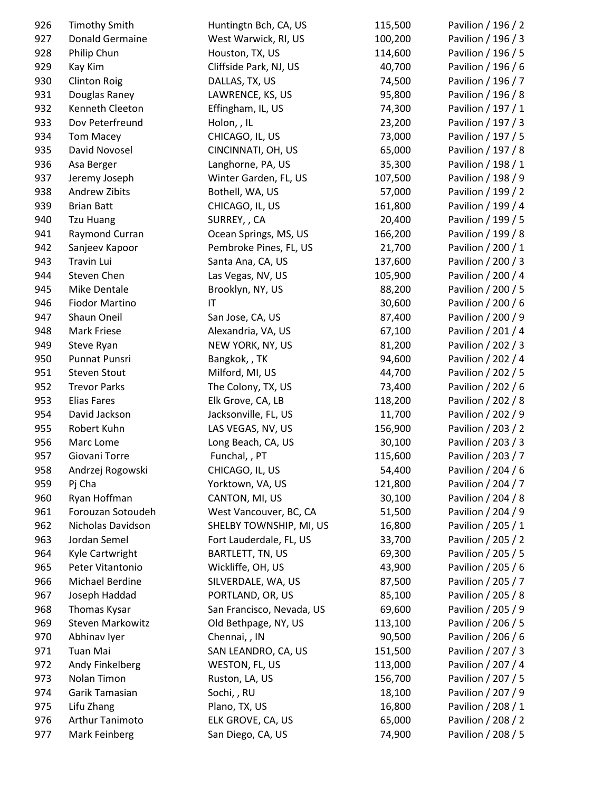| 926 | <b>Timothy Smith</b>   | Huntingtn Bch, CA, US     | 115,500 | Pavilion / 196 / 2 |
|-----|------------------------|---------------------------|---------|--------------------|
| 927 | Donald Germaine        | West Warwick, RI, US      | 100,200 | Pavilion / 196 / 3 |
| 928 | Philip Chun            | Houston, TX, US           | 114,600 | Pavilion / 196 / 5 |
| 929 | Kay Kim                | Cliffside Park, NJ, US    | 40,700  | Pavilion / 196 / 6 |
| 930 | <b>Clinton Roig</b>    | DALLAS, TX, US            | 74,500  | Pavilion / 196 / 7 |
| 931 | Douglas Raney          | LAWRENCE, KS, US          | 95,800  | Pavilion / 196 / 8 |
| 932 | Kenneth Cleeton        | Effingham, IL, US         | 74,300  | Pavilion / 197 / 1 |
| 933 | Dov Peterfreund        | Holon, , IL               | 23,200  | Pavilion / 197 / 3 |
| 934 | <b>Tom Macey</b>       | CHICAGO, IL, US           | 73,000  | Pavilion / 197 / 5 |
| 935 | David Novosel          | CINCINNATI, OH, US        | 65,000  | Pavilion / 197 / 8 |
| 936 | Asa Berger             | Langhorne, PA, US         | 35,300  | Pavilion / 198 / 1 |
| 937 | Jeremy Joseph          | Winter Garden, FL, US     | 107,500 | Pavilion / 198 / 9 |
| 938 | Andrew Zibits          | Bothell, WA, US           | 57,000  | Pavilion / 199 / 2 |
| 939 | <b>Brian Batt</b>      | CHICAGO, IL, US           | 161,800 | Pavilion / 199 / 4 |
| 940 | <b>Tzu Huang</b>       | SURREY, , CA              | 20,400  | Pavilion / 199 / 5 |
| 941 | Raymond Curran         | Ocean Springs, MS, US     | 166,200 | Pavilion / 199 / 8 |
| 942 | Sanjeev Kapoor         | Pembroke Pines, FL, US    | 21,700  | Pavilion / 200 / 1 |
| 943 | Travin Lui             | Santa Ana, CA, US         | 137,600 | Pavilion / 200 / 3 |
| 944 | Steven Chen            | Las Vegas, NV, US         | 105,900 | Pavilion / 200 / 4 |
| 945 | Mike Dentale           | Brooklyn, NY, US          | 88,200  | Pavilion / 200 / 5 |
| 946 | <b>Fiodor Martino</b>  | IT                        | 30,600  | Pavilion / 200 / 6 |
| 947 | Shaun Oneil            | San Jose, CA, US          | 87,400  | Pavilion / 200 / 9 |
| 948 | Mark Friese            | Alexandria, VA, US        | 67,100  | Pavilion / 201 / 4 |
| 949 | Steve Ryan             | NEW YORK, NY, US          | 81,200  | Pavilion / 202 / 3 |
| 950 | Punnat Punsri          | Bangkok, , TK             | 94,600  | Pavilion / 202 / 4 |
| 951 | <b>Steven Stout</b>    | Milford, MI, US           | 44,700  | Pavilion / 202 / 5 |
| 952 | <b>Trevor Parks</b>    | The Colony, TX, US        | 73,400  | Pavilion / 202 / 6 |
| 953 | <b>Elias Fares</b>     | Elk Grove, CA, LB         | 118,200 | Pavilion / 202 / 8 |
| 954 | David Jackson          | Jacksonville, FL, US      | 11,700  | Pavilion / 202 / 9 |
| 955 | Robert Kuhn            | LAS VEGAS, NV, US         | 156,900 | Pavilion / 203 / 2 |
| 956 | Marc Lome              | Long Beach, CA, US        | 30,100  | Pavilion / 203 / 3 |
| 957 | Giovani Torre          | Funchal, , PT             | 115,600 | Pavilion / 203 / 7 |
| 958 | Andrzej Rogowski       | CHICAGO, IL, US           | 54,400  | Pavilion / 204 / 6 |
| 959 | Pj Cha                 | Yorktown, VA, US          | 121,800 | Pavilion / 204 / 7 |
| 960 | Ryan Hoffman           | CANTON, MI, US            | 30,100  | Pavilion / 204 / 8 |
| 961 | Forouzan Sotoudeh      | West Vancouver, BC, CA    | 51,500  | Pavilion / 204 / 9 |
| 962 | Nicholas Davidson      | SHELBY TOWNSHIP, MI, US   | 16,800  | Pavilion / 205 / 1 |
| 963 | Jordan Semel           | Fort Lauderdale, FL, US   | 33,700  | Pavilion / 205 / 2 |
| 964 | Kyle Cartwright        | BARTLETT, TN, US          | 69,300  | Pavilion / 205 / 5 |
| 965 | Peter Vitantonio       | Wickliffe, OH, US         | 43,900  | Pavilion / 205 / 6 |
| 966 | Michael Berdine        | SILVERDALE, WA, US        | 87,500  | Pavilion / 205 / 7 |
| 967 | Joseph Haddad          | PORTLAND, OR, US          | 85,100  | Pavilion / 205 / 8 |
| 968 | Thomas Kysar           | San Francisco, Nevada, US | 69,600  | Pavilion / 205 / 9 |
| 969 | Steven Markowitz       | Old Bethpage, NY, US      | 113,100 | Pavilion / 206 / 5 |
| 970 | Abhinav Iyer           | Chennai, , IN             | 90,500  | Pavilion / 206 / 6 |
| 971 | Tuan Mai               | SAN LEANDRO, CA, US       | 151,500 | Pavilion / 207 / 3 |
| 972 | Andy Finkelberg        | WESTON, FL, US            | 113,000 | Pavilion / 207 / 4 |
| 973 | Nolan Timon            | Ruston, LA, US            | 156,700 | Pavilion / 207 / 5 |
| 974 | Garik Tamasian         | Sochi, , RU               | 18,100  | Pavilion / 207 / 9 |
| 975 | Lifu Zhang             | Plano, TX, US             | 16,800  | Pavilion / 208 / 1 |
| 976 | <b>Arthur Tanimoto</b> | ELK GROVE, CA, US         | 65,000  | Pavilion / 208 / 2 |
| 977 | Mark Feinberg          | San Diego, CA, US         | 74,900  | Pavilion / 208 / 5 |
|     |                        |                           |         |                    |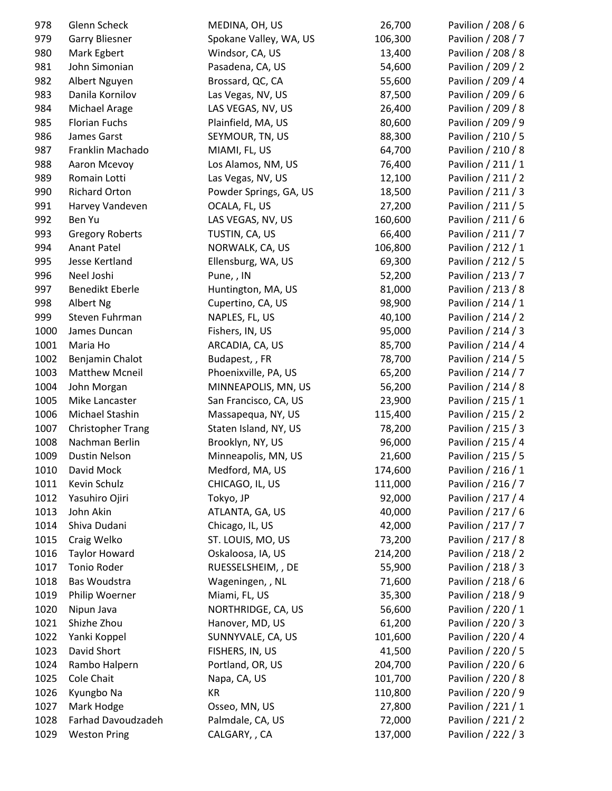| 978  | Glenn Scheck             | MEDINA, OH, US         | 26,700  | Pavilion / 208 / 6 |
|------|--------------------------|------------------------|---------|--------------------|
| 979  | <b>Garry Bliesner</b>    | Spokane Valley, WA, US | 106,300 | Pavilion / 208 / 7 |
| 980  | Mark Egbert              | Windsor, CA, US        | 13,400  | Pavilion / 208 / 8 |
| 981  | John Simonian            | Pasadena, CA, US       | 54,600  | Pavilion / 209 / 2 |
| 982  | Albert Nguyen            | Brossard, QC, CA       | 55,600  | Pavilion / 209 / 4 |
| 983  | Danila Kornilov          | Las Vegas, NV, US      | 87,500  | Pavilion / 209 / 6 |
| 984  | Michael Arage            | LAS VEGAS, NV, US      | 26,400  | Pavilion / 209 / 8 |
| 985  | <b>Florian Fuchs</b>     | Plainfield, MA, US     | 80,600  | Pavilion / 209 / 9 |
| 986  | James Garst              | SEYMOUR, TN, US        | 88,300  | Pavilion / 210 / 5 |
| 987  | Franklin Machado         | MIAMI, FL, US          | 64,700  | Pavilion / 210 / 8 |
| 988  | Aaron Mcevoy             | Los Alamos, NM, US     | 76,400  | Pavilion / 211 / 1 |
| 989  | Romain Lotti             | Las Vegas, NV, US      | 12,100  | Pavilion / 211 / 2 |
| 990  | <b>Richard Orton</b>     | Powder Springs, GA, US | 18,500  | Pavilion / 211 / 3 |
| 991  | Harvey Vandeven          | OCALA, FL, US          | 27,200  | Pavilion / 211 / 5 |
| 992  | Ben Yu                   | LAS VEGAS, NV, US      | 160,600 | Pavilion / 211 / 6 |
| 993  | <b>Gregory Roberts</b>   | TUSTIN, CA, US         | 66,400  | Pavilion / 211 / 7 |
| 994  | <b>Anant Patel</b>       | NORWALK, CA, US        | 106,800 | Pavilion / 212 / 1 |
| 995  | Jesse Kertland           | Ellensburg, WA, US     | 69,300  | Pavilion / 212 / 5 |
| 996  | Neel Joshi               | Pune, , IN             | 52,200  | Pavilion / 213 / 7 |
| 997  | Benedikt Eberle          | Huntington, MA, US     | 81,000  | Pavilion / 213 / 8 |
| 998  | Albert Ng                | Cupertino, CA, US      | 98,900  | Pavilion / 214 / 1 |
| 999  | Steven Fuhrman           | NAPLES, FL, US         | 40,100  | Pavilion / 214 / 2 |
| 1000 | James Duncan             | Fishers, IN, US        | 95,000  | Pavilion / 214 / 3 |
| 1001 | Maria Ho                 | ARCADIA, CA, US        | 85,700  | Pavilion / 214 / 4 |
| 1002 | Benjamin Chalot          | Budapest, , FR         | 78,700  | Pavilion / 214 / 5 |
| 1003 | <b>Matthew Mcneil</b>    | Phoenixville, PA, US   | 65,200  | Pavilion / 214 / 7 |
| 1004 | John Morgan              | MINNEAPOLIS, MN, US    | 56,200  | Pavilion / 214 / 8 |
| 1005 | Mike Lancaster           | San Francisco, CA, US  | 23,900  | Pavilion / 215 / 1 |
| 1006 | Michael Stashin          | Massapequa, NY, US     | 115,400 | Pavilion / 215 / 2 |
| 1007 | <b>Christopher Trang</b> | Staten Island, NY, US  | 78,200  | Pavilion / 215 / 3 |
| 1008 | Nachman Berlin           | Brooklyn, NY, US       | 96,000  | Pavilion / 215 / 4 |
| 1009 | <b>Dustin Nelson</b>     | Minneapolis, MN, US    | 21,600  | Pavilion / 215 / 5 |
| 1010 | David Mock               | Medford, MA, US        | 174,600 | Pavilion / 216 / 1 |
| 1011 | Kevin Schulz             | CHICAGO, IL, US        | 111,000 | Pavilion / 216 / 7 |
| 1012 | Yasuhiro Ojiri           | Tokyo, JP              | 92,000  | Pavilion / 217 / 4 |
| 1013 | John Akin                | ATLANTA, GA, US        | 40,000  | Pavilion / 217 / 6 |
| 1014 | Shiva Dudani             | Chicago, IL, US        | 42,000  | Pavilion / 217 / 7 |
| 1015 | Craig Welko              | ST. LOUIS, MO, US      | 73,200  | Pavilion / 217 / 8 |
| 1016 | <b>Taylor Howard</b>     | Oskaloosa, IA, US      | 214,200 | Pavilion / 218 / 2 |
| 1017 | Tonio Roder              | RUESSELSHEIM, , DE     | 55,900  | Pavilion / 218 / 3 |
| 1018 | Bas Woudstra             | Wageningen, , NL       | 71,600  | Pavilion / 218 / 6 |
| 1019 | Philip Woerner           | Miami, FL, US          | 35,300  | Pavilion / 218 / 9 |
| 1020 | Nipun Java               | NORTHRIDGE, CA, US     | 56,600  | Pavilion / 220 / 1 |
| 1021 | Shizhe Zhou              | Hanover, MD, US        | 61,200  | Pavilion / 220 / 3 |
| 1022 | Yanki Koppel             | SUNNYVALE, CA, US      | 101,600 | Pavilion / 220 / 4 |
| 1023 | David Short              | FISHERS, IN, US        | 41,500  | Pavilion / 220 / 5 |
| 1024 | Rambo Halpern            | Portland, OR, US       | 204,700 | Pavilion / 220 / 6 |
| 1025 | Cole Chait               | Napa, CA, US           | 101,700 | Pavilion / 220 / 8 |
| 1026 | Kyungbo Na               | KR                     | 110,800 | Pavilion / 220 / 9 |
| 1027 | Mark Hodge               | Osseo, MN, US          | 27,800  | Pavilion / 221 / 1 |
| 1028 | Farhad Davoudzadeh       | Palmdale, CA, US       | 72,000  | Pavilion / 221 / 2 |
| 1029 | <b>Weston Pring</b>      | CALGARY, , CA          | 137,000 | Pavilion / 222 / 3 |
|      |                          |                        |         |                    |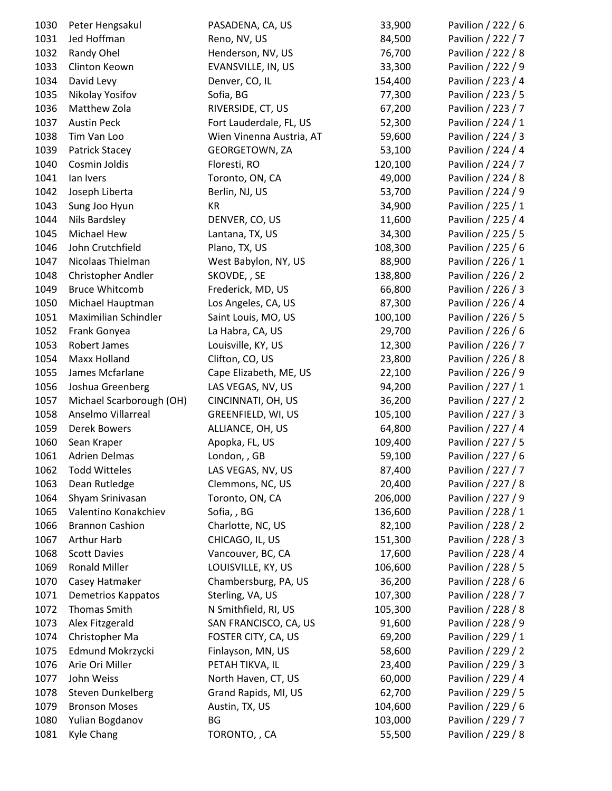| 1030 | Peter Hengsakul               | PASADENA, CA, US         | 33,900             | Pavilion / 222 / 6 |
|------|-------------------------------|--------------------------|--------------------|--------------------|
| 1031 | Jed Hoffman                   | Reno, NV, US             | 84,500             | Pavilion / 222 / 7 |
| 1032 | Randy Ohel                    | Henderson, NV, US        | 76,700             | Pavilion / 222 / 8 |
| 1033 | Clinton Keown                 | EVANSVILLE, IN, US       | 33,300             | Pavilion / 222 / 9 |
| 1034 | David Levy                    | Denver, CO, IL           | 154,400            | Pavilion / 223 / 4 |
| 1035 | Nikolay Yosifov               | Sofia, BG                | 77,300             | Pavilion / 223 / 5 |
| 1036 | Matthew Zola                  | RIVERSIDE, CT, US        | 67,200             | Pavilion / 223 / 7 |
| 1037 | <b>Austin Peck</b>            | Fort Lauderdale, FL, US  | 52,300             | Pavilion / 224 / 1 |
| 1038 | Tim Van Loo                   | Wien Vinenna Austria, AT | 59,600             | Pavilion / 224 / 3 |
| 1039 | <b>Patrick Stacey</b>         | GEORGETOWN, ZA           | 53,100             | Pavilion / 224 / 4 |
| 1040 | Cosmin Joldis                 | Floresti, RO             | 120,100            | Pavilion / 224 / 7 |
| 1041 | lan Ivers                     | Toronto, ON, CA          | 49,000             | Pavilion / 224 / 8 |
| 1042 | Joseph Liberta                | Berlin, NJ, US           | 53,700             | Pavilion / 224 / 9 |
| 1043 | Sung Joo Hyun                 | KR                       | 34,900             | Pavilion / 225 / 1 |
| 1044 | Nils Bardsley                 | DENVER, CO, US           | 11,600             | Pavilion / 225 / 4 |
| 1045 | Michael Hew                   | Lantana, TX, US          | 34,300             | Pavilion / 225 / 5 |
| 1046 | John Crutchfield              | Plano, TX, US            | 108,300            | Pavilion / 225 / 6 |
| 1047 | Nicolaas Thielman             | West Babylon, NY, US     | 88,900             | Pavilion / 226 / 1 |
| 1048 | Christopher Andler            | SKOVDE, , SE             | 138,800            | Pavilion / 226 / 2 |
| 1049 | <b>Bruce Whitcomb</b>         | Frederick, MD, US        | 66,800             | Pavilion / 226 / 3 |
| 1050 | Michael Hauptman              | Los Angeles, CA, US      | 87,300             | Pavilion / 226 / 4 |
| 1051 | Maximilian Schindler          | Saint Louis, MO, US      | 100,100            | Pavilion / 226 / 5 |
| 1052 | Frank Gonyea                  | La Habra, CA, US         | 29,700             | Pavilion / 226 / 6 |
| 1053 | Robert James                  | Louisville, KY, US       | 12,300             | Pavilion / 226 / 7 |
| 1054 | Maxx Holland                  | Clifton, CO, US          | 23,800             | Pavilion / 226 / 8 |
| 1055 | James Mcfarlane               | Cape Elizabeth, ME, US   | 22,100             | Pavilion / 226 / 9 |
| 1056 | Joshua Greenberg              | LAS VEGAS, NV, US        | 94,200             | Pavilion / 227 / 1 |
| 1057 | Michael Scarborough (OH)      | CINCINNATI, OH, US       | 36,200             | Pavilion / 227 / 2 |
| 1058 | Anselmo Villarreal            | GREENFIELD, WI, US       | 105,100            | Pavilion / 227 / 3 |
| 1059 | Derek Bowers                  | ALLIANCE, OH, US         | 64,800             | Pavilion / 227 / 4 |
| 1060 | Sean Kraper                   | Apopka, FL, US           | 109,400            | Pavilion / 227 / 5 |
| 1061 | <b>Adrien Delmas</b>          | London, , GB             | 59,100             | Pavilion / 227 / 6 |
| 1062 | <b>Todd Witteles</b>          | LAS VEGAS, NV, US        | 87,400             | Pavilion / 227 / 7 |
| 1063 | Dean Rutledge                 | Clemmons, NC, US         | 20,400             | Pavilion / 227 / 8 |
| 1064 | Shyam Srinivasan              | Toronto, ON, CA          | 206,000            | Pavilion / 227 / 9 |
| 1065 | Valentino Konakchiev          | Sofia, BG                | 136,600            | Pavilion / 228 / 1 |
| 1066 | <b>Brannon Cashion</b>        | Charlotte, NC, US        | 82,100             | Pavilion / 228 / 2 |
| 1067 | Arthur Harb                   | CHICAGO, IL, US          | 151,300            | Pavilion / 228 / 3 |
| 1068 | <b>Scott Davies</b>           | Vancouver, BC, CA        | 17,600             | Pavilion / 228 / 4 |
| 1069 | <b>Ronald Miller</b>          | LOUISVILLE, KY, US       | 106,600            | Pavilion / 228 / 5 |
| 1070 | Casey Hatmaker                | Chambersburg, PA, US     | 36,200             | Pavilion / 228 / 6 |
| 1071 | Demetrios Kappatos            | Sterling, VA, US         | 107,300            | Pavilion / 228 / 7 |
| 1072 | Thomas Smith                  | N Smithfield, RI, US     | 105,300            | Pavilion / 228 / 8 |
| 1073 | Alex Fitzgerald               | SAN FRANCISCO, CA, US    | 91,600             | Pavilion / 228 / 9 |
| 1074 | Christopher Ma                | FOSTER CITY, CA, US      | 69,200             | Pavilion / 229 / 1 |
| 1075 | Edmund Mokrzycki              | Finlayson, MN, US        | 58,600             | Pavilion / 229 / 2 |
|      |                               |                          |                    |                    |
| 1076 | Arie Ori Miller<br>John Weiss | PETAH TIKVA, IL          | 23,400             | Pavilion / 229 / 3 |
| 1077 |                               | North Haven, CT, US      | 60,000             | Pavilion / 229 / 4 |
| 1078 | <b>Steven Dunkelberg</b>      | Grand Rapids, MI, US     | 62,700             | Pavilion / 229 / 5 |
| 1079 | <b>Bronson Moses</b>          | Austin, TX, US<br>BG     | 104,600<br>103,000 | Pavilion / 229 / 6 |
| 1080 | Yulian Bogdanov               |                          |                    | Pavilion / 229 / 7 |
| 1081 | <b>Kyle Chang</b>             | TORONTO,, CA             | 55,500             | Pavilion / 229 / 8 |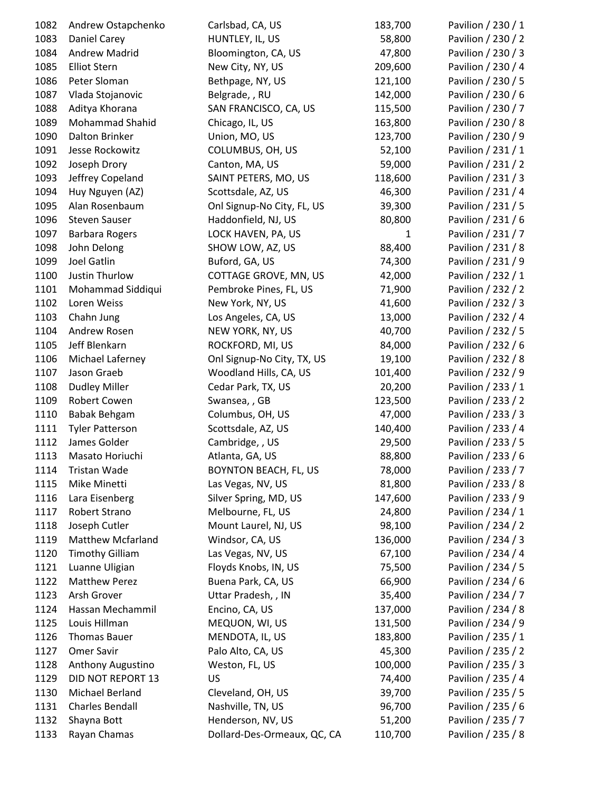| 1082 | Andrew Ostapchenko       | Carlsbad, CA, US             | 183,700      | Pavilion / 230 / 1 |
|------|--------------------------|------------------------------|--------------|--------------------|
| 1083 | Daniel Carey             | HUNTLEY, IL, US              | 58,800       | Pavilion / 230 / 2 |
| 1084 | Andrew Madrid            | Bloomington, CA, US          | 47,800       | Pavilion / 230 / 3 |
| 1085 | <b>Elliot Stern</b>      | New City, NY, US             | 209,600      | Pavilion / 230 / 4 |
| 1086 | Peter Sloman             | Bethpage, NY, US             | 121,100      | Pavilion / 230 / 5 |
| 1087 | Vlada Stojanovic         | Belgrade, , RU               | 142,000      | Pavilion / 230 / 6 |
| 1088 | Aditya Khorana           | SAN FRANCISCO, CA, US        | 115,500      | Pavilion / 230 / 7 |
| 1089 | <b>Mohammad Shahid</b>   | Chicago, IL, US              | 163,800      | Pavilion / 230 / 8 |
| 1090 | Dalton Brinker           | Union, MO, US                | 123,700      | Pavilion / 230 / 9 |
| 1091 | Jesse Rockowitz          | COLUMBUS, OH, US             | 52,100       | Pavilion / 231 / 1 |
| 1092 | Joseph Drory             | Canton, MA, US               | 59,000       | Pavilion / 231 / 2 |
| 1093 | Jeffrey Copeland         | SAINT PETERS, MO, US         | 118,600      | Pavilion / 231 / 3 |
| 1094 | Huy Nguyen (AZ)          | Scottsdale, AZ, US           | 46,300       | Pavilion / 231 / 4 |
| 1095 | Alan Rosenbaum           | Onl Signup-No City, FL, US   | 39,300       | Pavilion / 231 / 5 |
| 1096 | <b>Steven Sauser</b>     | Haddonfield, NJ, US          | 80,800       | Pavilion / 231 / 6 |
| 1097 | <b>Barbara Rogers</b>    | LOCK HAVEN, PA, US           | $\mathbf{1}$ | Pavilion / 231 / 7 |
| 1098 | John Delong              | SHOW LOW, AZ, US             | 88,400       | Pavilion / 231 / 8 |
| 1099 | Joel Gatlin              | Buford, GA, US               | 74,300       | Pavilion / 231 / 9 |
| 1100 | <b>Justin Thurlow</b>    | COTTAGE GROVE, MN, US        | 42,000       | Pavilion / 232 / 1 |
| 1101 | Mohammad Siddiqui        | Pembroke Pines, FL, US       | 71,900       | Pavilion / 232 / 2 |
| 1102 | Loren Weiss              | New York, NY, US             | 41,600       | Pavilion / 232 / 3 |
| 1103 | Chahn Jung               | Los Angeles, CA, US          | 13,000       | Pavilion / 232 / 4 |
| 1104 | Andrew Rosen             | NEW YORK, NY, US             | 40,700       | Pavilion / 232 / 5 |
| 1105 | Jeff Blenkarn            | ROCKFORD, MI, US             | 84,000       | Pavilion / 232 / 6 |
| 1106 | Michael Laferney         | Onl Signup-No City, TX, US   | 19,100       | Pavilion / 232 / 8 |
| 1107 | Jason Graeb              | Woodland Hills, CA, US       | 101,400      | Pavilion / 232 / 9 |
| 1108 | <b>Dudley Miller</b>     | Cedar Park, TX, US           | 20,200       | Pavilion / 233 / 1 |
| 1109 | Robert Cowen             | Swansea, , GB                | 123,500      | Pavilion / 233 / 2 |
| 1110 | <b>Babak Behgam</b>      | Columbus, OH, US             | 47,000       | Pavilion / 233 / 3 |
| 1111 | <b>Tyler Patterson</b>   | Scottsdale, AZ, US           | 140,400      | Pavilion / 233 / 4 |
| 1112 | James Golder             | Cambridge, , US              | 29,500       | Pavilion / 233 / 5 |
| 1113 | Masato Horiuchi          | Atlanta, GA, US              | 88,800       | Pavilion / 233 / 6 |
| 1114 | Tristan Wade             | <b>BOYNTON BEACH, FL, US</b> | 78,000       | Pavilion / 233 / 7 |
| 1115 | Mike Minetti             | Las Vegas, NV, US            | 81,800       | Pavilion / 233 / 8 |
| 1116 | Lara Eisenberg           | Silver Spring, MD, US        | 147,600      | Pavilion / 233 / 9 |
| 1117 | Robert Strano            | Melbourne, FL, US            | 24,800       | Pavilion / 234 / 1 |
| 1118 | Joseph Cutler            | Mount Laurel, NJ, US         | 98,100       | Pavilion / 234 / 2 |
| 1119 | <b>Matthew Mcfarland</b> | Windsor, CA, US              | 136,000      | Pavilion / 234 / 3 |
| 1120 | <b>Timothy Gilliam</b>   | Las Vegas, NV, US            | 67,100       | Pavilion / 234 / 4 |
| 1121 | Luanne Uligian           | Floyds Knobs, IN, US         | 75,500       | Pavilion / 234 / 5 |
| 1122 | <b>Matthew Perez</b>     | Buena Park, CA, US           | 66,900       | Pavilion / 234 / 6 |
| 1123 | Arsh Grover              | Uttar Pradesh, , IN          | 35,400       | Pavilion / 234 / 7 |
| 1124 | Hassan Mechammil         | Encino, CA, US               | 137,000      | Pavilion / 234 / 8 |
| 1125 | Louis Hillman            | MEQUON, WI, US               | 131,500      | Pavilion / 234 / 9 |
| 1126 | <b>Thomas Bauer</b>      | MENDOTA, IL, US              | 183,800      | Pavilion / 235 / 1 |
| 1127 | Omer Savir               | Palo Alto, CA, US            | 45,300       | Pavilion / 235 / 2 |
| 1128 | Anthony Augustino        | Weston, FL, US               | 100,000      | Pavilion / 235 / 3 |
| 1129 | DID NOT REPORT 13        | <b>US</b>                    | 74,400       | Pavilion / 235 / 4 |
| 1130 | Michael Berland          | Cleveland, OH, US            | 39,700       | Pavilion / 235 / 5 |
| 1131 | <b>Charles Bendall</b>   | Nashville, TN, US            | 96,700       | Pavilion / 235 / 6 |
| 1132 | Shayna Bott              | Henderson, NV, US            | 51,200       | Pavilion / 235 / 7 |
| 1133 | Rayan Chamas             | Dollard-Des-Ormeaux, QC, CA  | 110,700      | Pavilion / 235 / 8 |
|      |                          |                              |              |                    |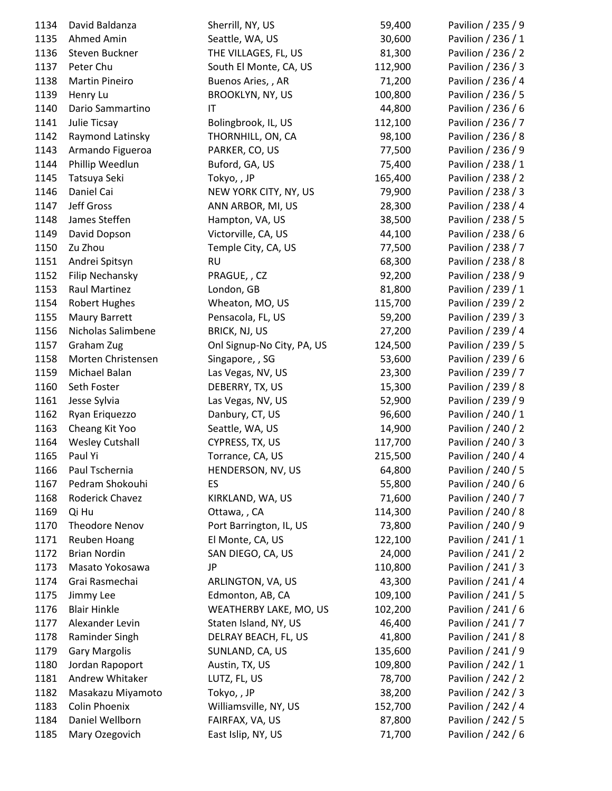| 1134 | David Baldanza         | Sherrill, NY, US           | 59,400  | Pavilion / 235 / 9 |
|------|------------------------|----------------------------|---------|--------------------|
| 1135 | Ahmed Amin             | Seattle, WA, US            | 30,600  | Pavilion / 236 / 1 |
| 1136 | Steven Buckner         | THE VILLAGES, FL, US       | 81,300  | Pavilion / 236 / 2 |
| 1137 | Peter Chu              | South El Monte, CA, US     | 112,900 | Pavilion / 236 / 3 |
| 1138 | <b>Martin Pineiro</b>  | Buenos Aries,, AR          | 71,200  | Pavilion / 236 / 4 |
| 1139 | Henry Lu               | <b>BROOKLYN, NY, US</b>    | 100,800 | Pavilion / 236 / 5 |
| 1140 | Dario Sammartino       | IT                         | 44,800  | Pavilion / 236 / 6 |
| 1141 | Julie Ticsay           | Bolingbrook, IL, US        | 112,100 | Pavilion / 236 / 7 |
| 1142 | Raymond Latinsky       | THORNHILL, ON, CA          | 98,100  | Pavilion / 236 / 8 |
| 1143 | Armando Figueroa       | PARKER, CO, US             | 77,500  | Pavilion / 236 / 9 |
| 1144 | Phillip Weedlun        | Buford, GA, US             | 75,400  | Pavilion / 238 / 1 |
| 1145 | Tatsuya Seki           | Tokyo,, JP                 | 165,400 | Pavilion / 238 / 2 |
| 1146 | Daniel Cai             | NEW YORK CITY, NY, US      | 79,900  | Pavilion / 238 / 3 |
| 1147 | Jeff Gross             | ANN ARBOR, MI, US          | 28,300  | Pavilion / 238 / 4 |
| 1148 | James Steffen          | Hampton, VA, US            | 38,500  | Pavilion / 238 / 5 |
| 1149 | David Dopson           | Victorville, CA, US        | 44,100  | Pavilion / 238 / 6 |
| 1150 | Zu Zhou                | Temple City, CA, US        | 77,500  | Pavilion / 238 / 7 |
| 1151 | Andrei Spitsyn         | <b>RU</b>                  | 68,300  | Pavilion / 238 / 8 |
| 1152 | Filip Nechansky        | PRAGUE,, CZ                | 92,200  | Pavilion / 238 / 9 |
| 1153 | Raul Martinez          | London, GB                 | 81,800  | Pavilion / 239 / 1 |
| 1154 |                        | Wheaton, MO, US            | 115,700 | Pavilion / 239 / 2 |
|      | Robert Hughes          |                            | 59,200  |                    |
| 1155 | Maury Barrett          | Pensacola, FL, US          |         | Pavilion / 239 / 3 |
| 1156 | Nicholas Salimbene     | BRICK, NJ, US              | 27,200  | Pavilion / 239 / 4 |
| 1157 | Graham Zug             | Onl Signup-No City, PA, US | 124,500 | Pavilion / 239 / 5 |
| 1158 | Morten Christensen     | Singapore, , SG            | 53,600  | Pavilion / 239 / 6 |
| 1159 | Michael Balan          | Las Vegas, NV, US          | 23,300  | Pavilion / 239 / 7 |
| 1160 | Seth Foster            | DEBERRY, TX, US            | 15,300  | Pavilion / 239 / 8 |
| 1161 | Jesse Sylvia           | Las Vegas, NV, US          | 52,900  | Pavilion / 239 / 9 |
| 1162 | Ryan Eriquezzo         | Danbury, CT, US            | 96,600  | Pavilion / 240 / 1 |
| 1163 | Cheang Kit Yoo         | Seattle, WA, US            | 14,900  | Pavilion / 240 / 2 |
| 1164 | <b>Wesley Cutshall</b> | CYPRESS, TX, US            | 117,700 | Pavilion / 240 / 3 |
| 1165 | Paul Yi                | Torrance, CA, US           | 215,500 | Pavilion / 240 / 4 |
| 1166 | Paul Tschernia         | HENDERSON, NV, US          | 64,800  | Pavilion / 240 / 5 |
| 1167 | Pedram Shokouhi        | ES                         | 55,800  | Pavilion / 240 / 6 |
| 1168 | Roderick Chavez        | KIRKLAND, WA, US           | 71,600  | Pavilion / 240 / 7 |
| 1169 | Qi Hu                  | Ottawa, , CA               | 114,300 | Pavilion / 240 / 8 |
| 1170 | <b>Theodore Nenov</b>  | Port Barrington, IL, US    | 73,800  | Pavilion / 240 / 9 |
| 1171 | Reuben Hoang           | El Monte, CA, US           | 122,100 | Pavilion / 241 / 1 |
| 1172 | <b>Brian Nordin</b>    | SAN DIEGO, CA, US          | 24,000  | Pavilion / 241 / 2 |
| 1173 | Masato Yokosawa        | JP                         | 110,800 | Pavilion / 241 / 3 |
| 1174 | Grai Rasmechai         | ARLINGTON, VA, US          | 43,300  | Pavilion / 241 / 4 |
| 1175 | Jimmy Lee              | Edmonton, AB, CA           | 109,100 | Pavilion / 241 / 5 |
| 1176 | <b>Blair Hinkle</b>    | WEATHERBY LAKE, MO, US     | 102,200 | Pavilion / 241 / 6 |
| 1177 | Alexander Levin        | Staten Island, NY, US      | 46,400  | Pavilion / 241 / 7 |
| 1178 | Raminder Singh         | DELRAY BEACH, FL, US       | 41,800  | Pavilion / 241 / 8 |
| 1179 | <b>Gary Margolis</b>   | SUNLAND, CA, US            | 135,600 | Pavilion / 241 / 9 |
| 1180 | Jordan Rapoport        | Austin, TX, US             | 109,800 | Pavilion / 242 / 1 |
| 1181 | Andrew Whitaker        | LUTZ, FL, US               | 78,700  | Pavilion / 242 / 2 |
| 1182 | Masakazu Miyamoto      | Tokyo,, JP                 | 38,200  | Pavilion / 242 / 3 |
| 1183 | <b>Colin Phoenix</b>   | Williamsville, NY, US      | 152,700 | Pavilion / 242 / 4 |
| 1184 | Daniel Wellborn        | FAIRFAX, VA, US            | 87,800  | Pavilion / 242 / 5 |
| 1185 | Mary Ozegovich         | East Islip, NY, US         | 71,700  | Pavilion / 242 / 6 |
|      |                        |                            |         |                    |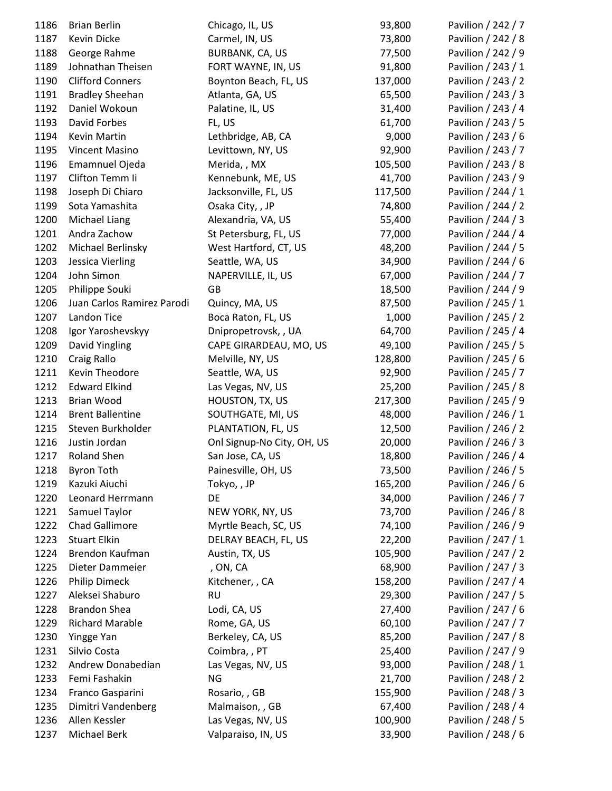| 1186 | <b>Brian Berlin</b>        | Chicago, IL, US            | 93,800  | Pavilion / 242 / 7 |
|------|----------------------------|----------------------------|---------|--------------------|
| 1187 | Kevin Dicke                | Carmel, IN, US             | 73,800  | Pavilion / 242 / 8 |
| 1188 | George Rahme               | BURBANK, CA, US            | 77,500  | Pavilion / 242 / 9 |
| 1189 | Johnathan Theisen          | FORT WAYNE, IN, US         | 91,800  | Pavilion / 243 / 1 |
| 1190 | <b>Clifford Conners</b>    | Boynton Beach, FL, US      | 137,000 | Pavilion / 243 / 2 |
| 1191 | <b>Bradley Sheehan</b>     | Atlanta, GA, US            | 65,500  | Pavilion / 243 / 3 |
| 1192 | Daniel Wokoun              | Palatine, IL, US           | 31,400  | Pavilion / 243 / 4 |
| 1193 | David Forbes               | FL, US                     | 61,700  | Pavilion / 243 / 5 |
| 1194 | Kevin Martin               | Lethbridge, AB, CA         | 9,000   | Pavilion / 243 / 6 |
| 1195 | <b>Vincent Masino</b>      | Levittown, NY, US          | 92,900  | Pavilion / 243 / 7 |
| 1196 | <b>Emamnuel Ojeda</b>      | Merida, , MX               | 105,500 | Pavilion / 243 / 8 |
| 1197 | Clifton Temm Ii            | Kennebunk, ME, US          | 41,700  | Pavilion / 243 / 9 |
| 1198 | Joseph Di Chiaro           | Jacksonville, FL, US       | 117,500 | Pavilion / 244 / 1 |
| 1199 | Sota Yamashita             | Osaka City, , JP           | 74,800  | Pavilion / 244 / 2 |
| 1200 | Michael Liang              | Alexandria, VA, US         | 55,400  | Pavilion / 244 / 3 |
| 1201 | Andra Zachow               | St Petersburg, FL, US      | 77,000  | Pavilion / 244 / 4 |
| 1202 | Michael Berlinsky          | West Hartford, CT, US      | 48,200  | Pavilion / 244 / 5 |
| 1203 | Jessica Vierling           | Seattle, WA, US            | 34,900  | Pavilion / 244 / 6 |
| 1204 | John Simon                 | NAPERVILLE, IL, US         | 67,000  | Pavilion / 244 / 7 |
| 1205 | Philippe Souki             | GB                         | 18,500  | Pavilion / 244 / 9 |
| 1206 | Juan Carlos Ramirez Parodi | Quincy, MA, US             | 87,500  | Pavilion / 245 / 1 |
| 1207 | Landon Tice                | Boca Raton, FL, US         | 1,000   | Pavilion / 245 / 2 |
| 1208 | Igor Yaroshevskyy          | Dnipropetrovsk, , UA       | 64,700  | Pavilion / 245 / 4 |
| 1209 | David Yingling             | CAPE GIRARDEAU, MO, US     | 49,100  | Pavilion / 245 / 5 |
| 1210 | Craig Rallo                | Melville, NY, US           | 128,800 | Pavilion / 245 / 6 |
| 1211 | Kevin Theodore             | Seattle, WA, US            | 92,900  | Pavilion / 245 / 7 |
| 1212 | <b>Edward Elkind</b>       | Las Vegas, NV, US          | 25,200  | Pavilion / 245 / 8 |
| 1213 | <b>Brian Wood</b>          | HOUSTON, TX, US            | 217,300 | Pavilion / 245 / 9 |
| 1214 | <b>Brent Ballentine</b>    | SOUTHGATE, MI, US          | 48,000  | Pavilion / 246 / 1 |
| 1215 | Steven Burkholder          | PLANTATION, FL, US         | 12,500  | Pavilion / 246 / 2 |
| 1216 | Justin Jordan              | Onl Signup-No City, OH, US | 20,000  | Pavilion / 246 / 3 |
| 1217 | <b>Roland Shen</b>         | San Jose, CA, US           | 18,800  | Pavilion / 246 / 4 |
| 1218 | <b>Byron Toth</b>          | Painesville, OH, US        | 73,500  | Pavilion / 246 / 5 |
| 1219 | Kazuki Aiuchi              | Tokyo, , JP                | 165,200 | Pavilion / 246 / 6 |
| 1220 | Leonard Herrmann           | DE                         | 34,000  | Pavilion / 246 / 7 |
| 1221 | Samuel Taylor              | NEW YORK, NY, US           | 73,700  | Pavilion / 246 / 8 |
| 1222 | <b>Chad Gallimore</b>      | Myrtle Beach, SC, US       | 74,100  | Pavilion / 246 / 9 |
| 1223 | <b>Stuart Elkin</b>        | DELRAY BEACH, FL, US       | 22,200  | Pavilion / 247 / 1 |
| 1224 | Brendon Kaufman            | Austin, TX, US             | 105,900 | Pavilion / 247 / 2 |
| 1225 | Dieter Dammeier            | , ON, CA                   | 68,900  | Pavilion / 247 / 3 |
| 1226 | <b>Philip Dimeck</b>       | Kitchener, , CA            | 158,200 | Pavilion / 247 / 4 |
| 1227 | Aleksei Shaburo            | <b>RU</b>                  | 29,300  | Pavilion / 247 / 5 |
| 1228 | <b>Brandon Shea</b>        | Lodi, CA, US               | 27,400  | Pavilion / 247 / 6 |
| 1229 | <b>Richard Marable</b>     | Rome, GA, US               | 60,100  | Pavilion / 247 / 7 |
| 1230 | Yingge Yan                 | Berkeley, CA, US           | 85,200  | Pavilion / 247 / 8 |
| 1231 | Silvio Costa               | Coimbra, , PT              | 25,400  | Pavilion / 247 / 9 |
| 1232 | Andrew Donabedian          | Las Vegas, NV, US          | 93,000  | Pavilion / 248 / 1 |
| 1233 | Femi Fashakin              | <b>NG</b>                  | 21,700  | Pavilion / 248 / 2 |
| 1234 | Franco Gasparini           | Rosario, , GB              | 155,900 | Pavilion / 248 / 3 |
| 1235 | Dimitri Vandenberg         | Malmaison, , GB            | 67,400  | Pavilion / 248 / 4 |
| 1236 | Allen Kessler              | Las Vegas, NV, US          | 100,900 | Pavilion / 248 / 5 |
| 1237 | Michael Berk               | Valparaiso, IN, US         | 33,900  | Pavilion / 248 / 6 |
|      |                            |                            |         |                    |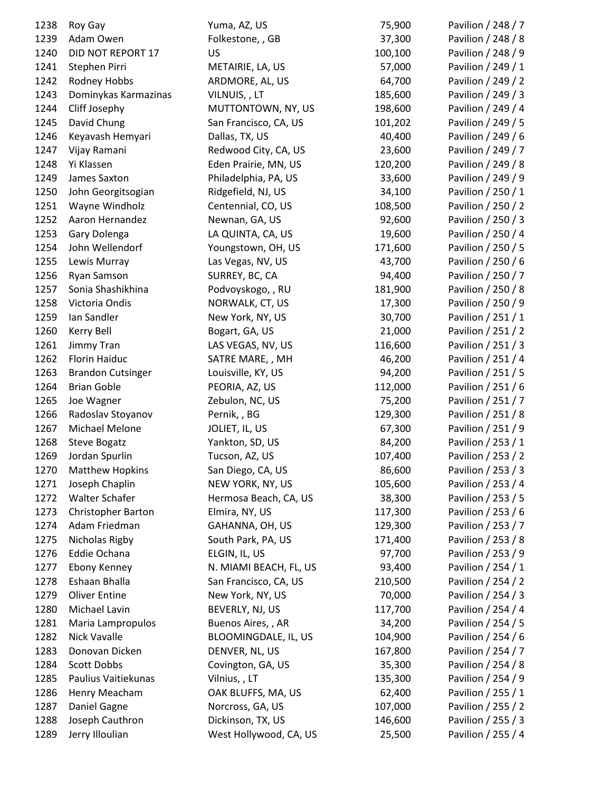| 1238 | Roy Gay                   | Yuma, AZ, US           | 75,900  | Pavilion / 248 / 7 |
|------|---------------------------|------------------------|---------|--------------------|
| 1239 | Adam Owen                 | Folkestone, , GB       | 37,300  | Pavilion / 248 / 8 |
| 1240 | DID NOT REPORT 17         | US                     | 100,100 | Pavilion / 248 / 9 |
| 1241 | Stephen Pirri             | METAIRIE, LA, US       | 57,000  | Pavilion / 249 / 1 |
| 1242 | Rodney Hobbs              | ARDMORE, AL, US        | 64,700  | Pavilion / 249 / 2 |
| 1243 | Dominykas Karmazinas      | VILNUIS,, LT           | 185,600 | Pavilion / 249 / 3 |
| 1244 | Cliff Josephy             | MUTTONTOWN, NY, US     | 198,600 | Pavilion / 249 / 4 |
| 1245 | David Chung               | San Francisco, CA, US  | 101,202 | Pavilion / 249 / 5 |
| 1246 | Keyavash Hemyari          | Dallas, TX, US         | 40,400  | Pavilion / 249 / 6 |
| 1247 | Vijay Ramani              | Redwood City, CA, US   | 23,600  | Pavilion / 249 / 7 |
| 1248 | Yi Klassen                | Eden Prairie, MN, US   | 120,200 | Pavilion / 249 / 8 |
| 1249 | James Saxton              | Philadelphia, PA, US   | 33,600  | Pavilion / 249 / 9 |
| 1250 | John Georgitsogian        | Ridgefield, NJ, US     | 34,100  | Pavilion / 250 / 1 |
| 1251 | Wayne Windholz            | Centennial, CO, US     | 108,500 | Pavilion / 250 / 2 |
| 1252 | Aaron Hernandez           | Newnan, GA, US         | 92,600  | Pavilion / 250 / 3 |
| 1253 | Gary Dolenga              | LA QUINTA, CA, US      | 19,600  | Pavilion / 250 / 4 |
| 1254 | John Wellendorf           | Youngstown, OH, US     | 171,600 | Pavilion / 250 / 5 |
| 1255 | Lewis Murray              | Las Vegas, NV, US      | 43,700  | Pavilion / 250 / 6 |
| 1256 | Ryan Samson               | SURREY, BC, CA         | 94,400  | Pavilion / 250 / 7 |
| 1257 | Sonia Shashikhina         | Podvoyskogo, , RU      | 181,900 | Pavilion / 250 / 8 |
| 1258 | Victoria Ondis            | NORWALK, CT, US        | 17,300  | Pavilion / 250 / 9 |
| 1259 | Ian Sandler               | New York, NY, US       | 30,700  | Pavilion / 251 / 1 |
| 1260 | Kerry Bell                | Bogart, GA, US         | 21,000  | Pavilion / 251 / 2 |
| 1261 | Jimmy Tran                | LAS VEGAS, NV, US      | 116,600 | Pavilion / 251 / 3 |
| 1262 | Florin Haiduc             | SATRE MARE, , MH       | 46,200  | Pavilion / 251 / 4 |
| 1263 | <b>Brandon Cutsinger</b>  | Louisville, KY, US     | 94,200  | Pavilion / 251 / 5 |
| 1264 | <b>Brian Goble</b>        | PEORIA, AZ, US         | 112,000 | Pavilion / 251 / 6 |
| 1265 | Joe Wagner                | Zebulon, NC, US        | 75,200  | Pavilion / 251 / 7 |
| 1266 | Radoslav Stoyanov         | Pernik, , BG           | 129,300 | Pavilion / 251 / 8 |
| 1267 | Michael Melone            | JOLIET, IL, US         | 67,300  | Pavilion / 251 / 9 |
| 1268 | Steve Bogatz              | Yankton, SD, US        | 84,200  | Pavilion / 253 / 1 |
| 1269 | Jordan Spurlin            | Tucson, AZ, US         | 107,400 | Pavilion / 253 / 2 |
| 1270 | <b>Matthew Hopkins</b>    | San Diego, CA, US      | 86,600  | Pavilion / 253 / 3 |
| 1271 | Joseph Chaplin            | NEW YORK, NY, US       | 105,600 | Pavilion / 253 / 4 |
| 1272 | Walter Schafer            | Hermosa Beach, CA, US  | 38,300  | Pavilion / 253 / 5 |
| 1273 | <b>Christopher Barton</b> | Elmira, NY, US         | 117,300 | Pavilion / 253 / 6 |
| 1274 | Adam Friedman             | GAHANNA, OH, US        | 129,300 | Pavilion / 253 / 7 |
| 1275 | Nicholas Rigby            | South Park, PA, US     | 171,400 | Pavilion / 253 / 8 |
| 1276 | Eddie Ochana              | ELGIN, IL, US          | 97,700  | Pavilion / 253 / 9 |
|      |                           |                        |         | Pavilion / 254 / 1 |
| 1277 | <b>Ebony Kenney</b>       | N. MIAMI BEACH, FL, US | 93,400  |                    |
| 1278 | Eshaan Bhalla             | San Francisco, CA, US  | 210,500 | Pavilion / 254 / 2 |
| 1279 | <b>Oliver Entine</b>      | New York, NY, US       | 70,000  | Pavilion / 254 / 3 |
| 1280 | Michael Lavin             | BEVERLY, NJ, US        | 117,700 | Pavilion / 254 / 4 |
| 1281 | Maria Lampropulos         | Buenos Aires,, AR      | 34,200  | Pavilion / 254 / 5 |
| 1282 | Nick Vavalle              | BLOOMINGDALE, IL, US   | 104,900 | Pavilion / 254 / 6 |
| 1283 | Donovan Dicken            | DENVER, NL, US         | 167,800 | Pavilion / 254 / 7 |
| 1284 | <b>Scott Dobbs</b>        | Covington, GA, US      | 35,300  | Pavilion / 254 / 8 |
| 1285 | Paulius Vaitiekunas       | Vilnius, , LT          | 135,300 | Pavilion / 254 / 9 |
| 1286 | Henry Meacham             | OAK BLUFFS, MA, US     | 62,400  | Pavilion / 255 / 1 |
| 1287 | Daniel Gagne              | Norcross, GA, US       | 107,000 | Pavilion / 255 / 2 |
| 1288 | Joseph Cauthron           | Dickinson, TX, US      | 146,600 | Pavilion / 255 / 3 |
| 1289 | Jerry Illoulian           | West Hollywood, CA, US | 25,500  | Pavilion / 255 / 4 |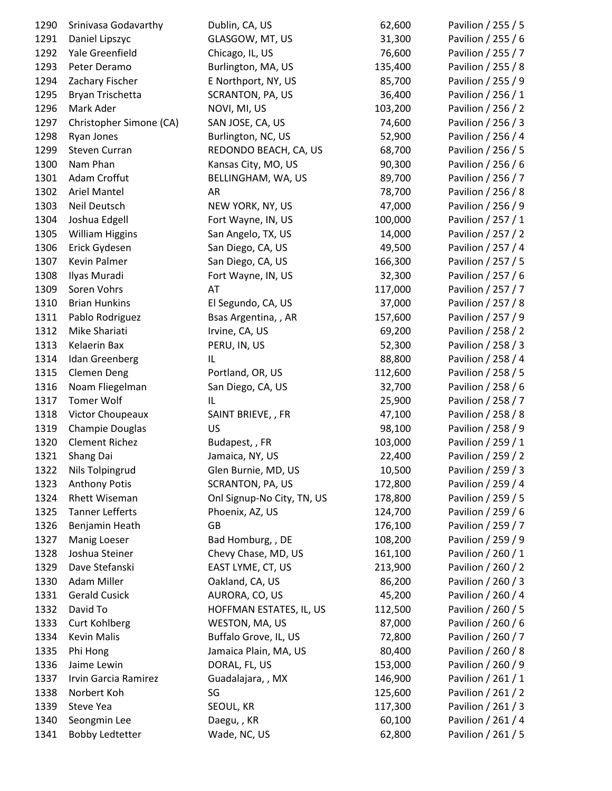| 1290 | Srinivasa Godavarthy    | Dublin, CA, US             | 62,600  | Pavilion / 255 / 5 |
|------|-------------------------|----------------------------|---------|--------------------|
| 1291 | Daniel Lipszyc          | GLASGOW, MT, US            | 31,300  | Pavilion / 255 / 6 |
| 1292 | Yale Greenfield         | Chicago, IL, US            | 76,600  | Pavilion / 255 / 7 |
| 1293 | Peter Deramo            | Burlington, MA, US         | 135,400 | Pavilion / 255 / 8 |
| 1294 | Zachary Fischer         | E Northport, NY, US        | 85,700  | Pavilion / 255 / 9 |
| 1295 | Bryan Trischetta        | SCRANTON, PA, US           | 36,400  | Pavilion / 256 / 1 |
| 1296 | Mark Ader               | NOVI, MI, US               | 103,200 | Pavilion / 256 / 2 |
| 1297 | Christopher Simone (CA) | SAN JOSE, CA, US           | 74,600  | Pavilion / 256 / 3 |
| 1298 | Ryan Jones              | Burlington, NC, US         | 52,900  | Pavilion / 256 / 4 |
| 1299 | <b>Steven Curran</b>    | REDONDO BEACH, CA, US      | 68,700  | Pavilion / 256 / 5 |
| 1300 | Nam Phan                | Kansas City, MO, US        | 90,300  | Pavilion / 256 / 6 |
| 1301 | Adam Croffut            | BELLINGHAM, WA, US         | 89,700  | Pavilion / 256 / 7 |
| 1302 | Ariel Mantel            | AR                         | 78,700  | Pavilion / 256 / 8 |
| 1303 | Neil Deutsch            | NEW YORK, NY, US           | 47,000  | Pavilion / 256 / 9 |
| 1304 | Joshua Edgell           | Fort Wayne, IN, US         | 100,000 | Pavilion / 257 / 1 |
| 1305 | <b>William Higgins</b>  | San Angelo, TX, US         | 14,000  | Pavilion / 257 / 2 |
| 1306 | Erick Gydesen           | San Diego, CA, US          | 49,500  | Pavilion / 257 / 4 |
| 1307 | Kevin Palmer            | San Diego, CA, US          | 166,300 | Pavilion / 257 / 5 |
| 1308 | Ilyas Muradi            | Fort Wayne, IN, US         | 32,300  | Pavilion / 257 / 6 |
| 1309 | Soren Vohrs             | AT                         | 117,000 | Pavilion / 257 / 7 |
| 1310 | <b>Brian Hunkins</b>    | El Segundo, CA, US         | 37,000  | Pavilion / 257 / 8 |
| 1311 | Pablo Rodriguez         | Bsas Argentina, , AR       | 157,600 | Pavilion / 257 / 9 |
| 1312 | Mike Shariati           | Irvine, CA, US             | 69,200  | Pavilion / 258 / 2 |
| 1313 | Kelaerin Bax            | PERU, IN, US               | 52,300  | Pavilion / 258 / 3 |
| 1314 | Idan Greenberg          | IL                         | 88,800  | Pavilion / 258 / 4 |
| 1315 | <b>Clemen Deng</b>      | Portland, OR, US           | 112,600 | Pavilion / 258 / 5 |
| 1316 | Noam Fliegelman         | San Diego, CA, US          | 32,700  | Pavilion / 258 / 6 |
| 1317 | <b>Tomer Wolf</b>       | IL                         | 25,900  | Pavilion / 258 / 7 |
| 1318 | Victor Choupeaux        | SAINT BRIEVE, , FR         | 47,100  | Pavilion / 258 / 8 |
| 1319 | Champie Douglas         | <b>US</b>                  | 98,100  | Pavilion / 258 / 9 |
| 1320 | <b>Clement Richez</b>   | Budapest, , FR             | 103,000 | Pavilion / 259 / 1 |
| 1321 | Shang Dai               | Jamaica, NY, US            | 22,400  | Pavilion / 259 / 2 |
| 1322 | Nils Tolpingrud         | Glen Burnie, MD, US        | 10,500  | Pavilion / 259 / 3 |
| 1323 | <b>Anthony Potis</b>    | <b>SCRANTON, PA, US</b>    | 172,800 | Pavilion / 259 / 4 |
| 1324 | Rhett Wiseman           | Onl Signup-No City, TN, US | 178,800 | Pavilion / 259 / 5 |
| 1325 | <b>Tanner Lefferts</b>  | Phoenix, AZ, US            | 124,700 | Pavilion / 259 / 6 |
| 1326 | Benjamin Heath          | GB                         | 176,100 | Pavilion / 259 / 7 |
| 1327 | <b>Manig Loeser</b>     | Bad Homburg, , DE          | 108,200 | Pavilion / 259 / 9 |
| 1328 | Joshua Steiner          | Chevy Chase, MD, US        | 161,100 | Pavilion / 260 / 1 |
| 1329 | Dave Stefanski          | EAST LYME, CT, US          | 213,900 | Pavilion / 260 / 2 |
| 1330 | Adam Miller             | Oakland, CA, US            | 86,200  | Pavilion / 260 / 3 |
| 1331 | <b>Gerald Cusick</b>    | AURORA, CO, US             | 45,200  | Pavilion / 260 / 4 |
| 1332 | David To                | HOFFMAN ESTATES, IL, US    | 112,500 | Pavilion / 260 / 5 |
| 1333 | <b>Curt Kohlberg</b>    | WESTON, MA, US             | 87,000  | Pavilion / 260 / 6 |
| 1334 | Kevin Malis             | Buffalo Grove, IL, US      | 72,800  | Pavilion / 260 / 7 |
| 1335 | Phi Hong                | Jamaica Plain, MA, US      | 80,400  | Pavilion / 260 / 8 |
| 1336 | Jaime Lewin             | DORAL, FL, US              | 153,000 | Pavilion / 260 / 9 |
| 1337 | Irvin Garcia Ramirez    | Guadalajara, , MX          | 146,900 | Pavilion / 261 / 1 |
| 1338 | Norbert Koh             | SG                         | 125,600 | Pavilion / 261 / 2 |
| 1339 | Steve Yea               | SEOUL, KR                  | 117,300 | Pavilion / 261 / 3 |
| 1340 | Seongmin Lee            | Daegu,, KR                 | 60,100  | Pavilion / 261 / 4 |
| 1341 | <b>Bobby Ledtetter</b>  | Wade, NC, US               | 62,800  | Pavilion / 261 / 5 |
|      |                         |                            |         |                    |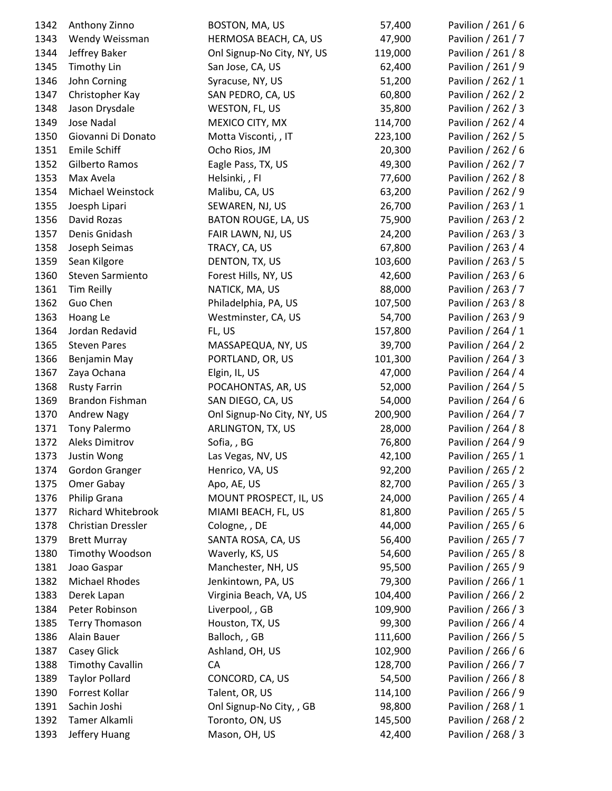| 1342 | Anthony Zinno             | BOSTON, MA, US             | 57,400  | Pavilion / 261 / 6 |
|------|---------------------------|----------------------------|---------|--------------------|
| 1343 | Wendy Weissman            | HERMOSA BEACH, CA, US      | 47,900  | Pavilion / 261 / 7 |
| 1344 | Jeffrey Baker             | Onl Signup-No City, NY, US | 119,000 | Pavilion / 261 / 8 |
| 1345 | <b>Timothy Lin</b>        | San Jose, CA, US           | 62,400  | Pavilion / 261 / 9 |
| 1346 | John Corning              | Syracuse, NY, US           | 51,200  | Pavilion / 262 / 1 |
| 1347 | Christopher Kay           | SAN PEDRO, CA, US          | 60,800  | Pavilion / 262 / 2 |
| 1348 | Jason Drysdale            | WESTON, FL, US             | 35,800  | Pavilion / 262 / 3 |
| 1349 | Jose Nadal                | MEXICO CITY, MX            | 114,700 | Pavilion / 262 / 4 |
| 1350 | Giovanni Di Donato        | Motta Visconti, , IT       | 223,100 | Pavilion / 262 / 5 |
| 1351 | <b>Emile Schiff</b>       | Ocho Rios, JM              | 20,300  | Pavilion / 262 / 6 |
| 1352 | Gilberto Ramos            | Eagle Pass, TX, US         | 49,300  | Pavilion / 262 / 7 |
| 1353 | Max Avela                 | Helsinki, , FI             | 77,600  | Pavilion / 262 / 8 |
| 1354 | Michael Weinstock         | Malibu, CA, US             | 63,200  | Pavilion / 262 / 9 |
| 1355 | Joesph Lipari             | SEWAREN, NJ, US            | 26,700  | Pavilion / 263 / 1 |
| 1356 | David Rozas               | <b>BATON ROUGE, LA, US</b> | 75,900  | Pavilion / 263 / 2 |
| 1357 | Denis Gnidash             | FAIR LAWN, NJ, US          | 24,200  | Pavilion / 263 / 3 |
| 1358 | Joseph Seimas             | TRACY, CA, US              | 67,800  | Pavilion / 263 / 4 |
| 1359 | Sean Kilgore              | DENTON, TX, US             | 103,600 | Pavilion / 263 / 5 |
| 1360 | Steven Sarmiento          | Forest Hills, NY, US       | 42,600  | Pavilion / 263 / 6 |
| 1361 | Tim Reilly                | NATICK, MA, US             | 88,000  | Pavilion / 263 / 7 |
| 1362 | Guo Chen                  | Philadelphia, PA, US       | 107,500 | Pavilion / 263 / 8 |
| 1363 | Hoang Le                  | Westminster, CA, US        | 54,700  | Pavilion / 263 / 9 |
| 1364 | Jordan Redavid            | FL, US                     | 157,800 | Pavilion / 264 / 1 |
| 1365 | <b>Steven Pares</b>       | MASSAPEQUA, NY, US         | 39,700  | Pavilion / 264 / 2 |
| 1366 | Benjamin May              | PORTLAND, OR, US           | 101,300 | Pavilion / 264 / 3 |
| 1367 | Zaya Ochana               | Elgin, IL, US              | 47,000  | Pavilion / 264 / 4 |
| 1368 | <b>Rusty Farrin</b>       | POCAHONTAS, AR, US         | 52,000  | Pavilion / 264 / 5 |
| 1369 | Brandon Fishman           | SAN DIEGO, CA, US          | 54,000  | Pavilion / 264 / 6 |
| 1370 | Andrew Nagy               | Onl Signup-No City, NY, US | 200,900 | Pavilion / 264 / 7 |
| 1371 | Tony Palermo              | ARLINGTON, TX, US          | 28,000  | Pavilion / 264 / 8 |
| 1372 | <b>Aleks Dimitrov</b>     | Sofia, , BG                | 76,800  | Pavilion / 264 / 9 |
| 1373 | Justin Wong               | Las Vegas, NV, US          | 42,100  | Pavilion / 265 / 1 |
| 1374 | Gordon Granger            | Henrico, VA, US            | 92,200  | Pavilion / 265 / 2 |
| 1375 | Omer Gabay                | Apo, AE, US                | 82,700  | Pavilion / 265 / 3 |
| 1376 | Philip Grana              | MOUNT PROSPECT, IL, US     | 24,000  | Pavilion / 265 / 4 |
| 1377 | <b>Richard Whitebrook</b> | MIAMI BEACH, FL, US        | 81,800  | Pavilion / 265 / 5 |
| 1378 | Christian Dressler        | Cologne, , DE              | 44,000  | Pavilion / 265 / 6 |
| 1379 | <b>Brett Murray</b>       | SANTA ROSA, CA, US         | 56,400  | Pavilion / 265 / 7 |
| 1380 | Timothy Woodson           | Waverly, KS, US            | 54,600  | Pavilion / 265 / 8 |
| 1381 | Joao Gaspar               | Manchester, NH, US         | 95,500  | Pavilion / 265 / 9 |
| 1382 | Michael Rhodes            | Jenkintown, PA, US         | 79,300  | Pavilion / 266 / 1 |
| 1383 | Derek Lapan               | Virginia Beach, VA, US     | 104,400 | Pavilion / 266 / 2 |
| 1384 | Peter Robinson            | Liverpool, , GB            | 109,900 | Pavilion / 266 / 3 |
| 1385 | <b>Terry Thomason</b>     | Houston, TX, US            | 99,300  | Pavilion / 266 / 4 |
| 1386 | Alain Bauer               | Balloch, , GB              | 111,600 | Pavilion / 266 / 5 |
| 1387 | Casey Glick               | Ashland, OH, US            | 102,900 | Pavilion / 266 / 6 |
| 1388 | <b>Timothy Cavallin</b>   | CA                         | 128,700 | Pavilion / 266 / 7 |
| 1389 | <b>Taylor Pollard</b>     | CONCORD, CA, US            | 54,500  | Pavilion / 266 / 8 |
| 1390 | Forrest Kollar            | Talent, OR, US             | 114,100 | Pavilion / 266 / 9 |
| 1391 | Sachin Joshi              | Onl Signup-No City, , GB   | 98,800  | Pavilion / 268 / 1 |
| 1392 | Tamer Alkamli             | Toronto, ON, US            | 145,500 | Pavilion / 268 / 2 |
| 1393 | Jeffery Huang             | Mason, OH, US              | 42,400  | Pavilion / 268 / 3 |
|      |                           |                            |         |                    |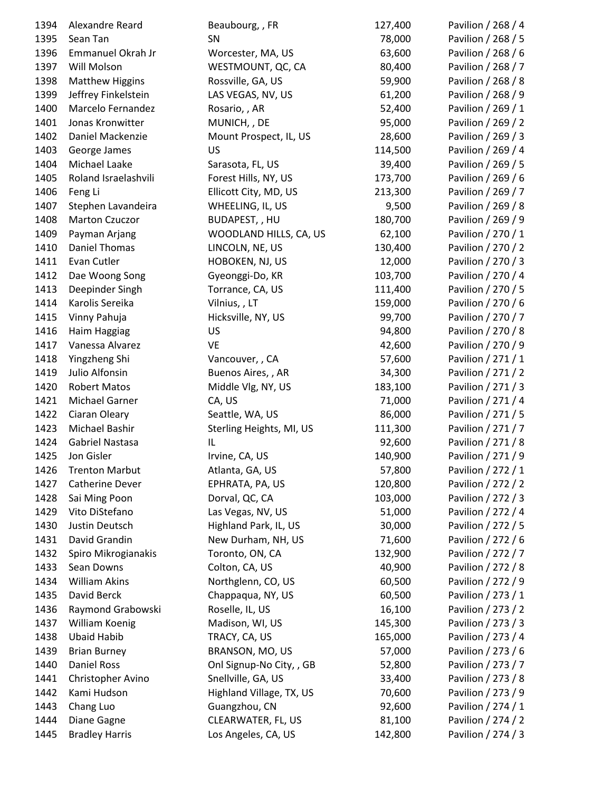| 1394 | Alexandre Reard        | Beaubourg, , FR          | 127,400 | Pavilion / 268 / 4 |
|------|------------------------|--------------------------|---------|--------------------|
| 1395 | Sean Tan               | SN                       | 78,000  | Pavilion / 268 / 5 |
| 1396 | Emmanuel Okrah Jr      | Worcester, MA, US        | 63,600  | Pavilion / 268 / 6 |
| 1397 | Will Molson            | WESTMOUNT, QC, CA        | 80,400  | Pavilion / 268 / 7 |
| 1398 | <b>Matthew Higgins</b> | Rossville, GA, US        | 59,900  | Pavilion / 268 / 8 |
| 1399 | Jeffrey Finkelstein    | LAS VEGAS, NV, US        | 61,200  | Pavilion / 268 / 9 |
| 1400 | Marcelo Fernandez      | Rosario, , AR            | 52,400  | Pavilion / 269 / 1 |
| 1401 | Jonas Kronwitter       | MUNICH, , DE             | 95,000  | Pavilion / 269 / 2 |
| 1402 | Daniel Mackenzie       | Mount Prospect, IL, US   | 28,600  | Pavilion / 269 / 3 |
| 1403 | George James           | US                       | 114,500 | Pavilion / 269 / 4 |
| 1404 | Michael Laake          | Sarasota, FL, US         | 39,400  | Pavilion / 269 / 5 |
| 1405 | Roland Israelashvili   | Forest Hills, NY, US     | 173,700 | Pavilion / 269 / 6 |
| 1406 | Feng Li                | Ellicott City, MD, US    | 213,300 | Pavilion / 269 / 7 |
| 1407 | Stephen Lavandeira     | WHEELING, IL, US         | 9,500   | Pavilion / 269 / 8 |
| 1408 | <b>Marton Czuczor</b>  | BUDAPEST, , HU           | 180,700 | Pavilion / 269 / 9 |
| 1409 | Payman Arjang          | WOODLAND HILLS, CA, US   | 62,100  | Pavilion / 270 / 1 |
| 1410 | Daniel Thomas          | LINCOLN, NE, US          | 130,400 | Pavilion / 270 / 2 |
| 1411 | Evan Cutler            | HOBOKEN, NJ, US          | 12,000  | Pavilion / 270 / 3 |
| 1412 | Dae Woong Song         | Gyeonggi-Do, KR          | 103,700 | Pavilion / 270 / 4 |
| 1413 | Deepinder Singh        | Torrance, CA, US         | 111,400 | Pavilion / 270 / 5 |
| 1414 | Karolis Sereika        | Vilnius, , LT            | 159,000 | Pavilion / 270 / 6 |
| 1415 | Vinny Pahuja           | Hicksville, NY, US       | 99,700  | Pavilion / 270 / 7 |
| 1416 | Haim Haggiag           | US                       | 94,800  | Pavilion / 270 / 8 |
| 1417 | Vanessa Alvarez        | VE                       | 42,600  | Pavilion / 270 / 9 |
| 1418 | Yingzheng Shi          | Vancouver, , CA          | 57,600  | Pavilion / 271 / 1 |
| 1419 | Julio Alfonsin         | Buenos Aires, , AR       | 34,300  | Pavilion / 271 / 2 |
| 1420 | <b>Robert Matos</b>    | Middle Vlg, NY, US       | 183,100 | Pavilion / 271 / 3 |
| 1421 | Michael Garner         | CA, US                   | 71,000  | Pavilion / 271 / 4 |
| 1422 | Ciaran Oleary          | Seattle, WA, US          | 86,000  | Pavilion / 271 / 5 |
| 1423 | Michael Bashir         | Sterling Heights, MI, US | 111,300 | Pavilion / 271 / 7 |
| 1424 | Gabriel Nastasa        | IL                       | 92,600  | Pavilion / 271 / 8 |
| 1425 | Jon Gisler             | Irvine, CA, US           | 140,900 | Pavilion / 271 / 9 |
| 1426 | <b>Trenton Marbut</b>  | Atlanta, GA, US          | 57,800  | Pavilion / 272 / 1 |
| 1427 | <b>Catherine Dever</b> | EPHRATA, PA, US          | 120,800 | Pavilion / 272 / 2 |
| 1428 | Sai Ming Poon          | Dorval, QC, CA           | 103,000 | Pavilion / 272 / 3 |
| 1429 | Vito DiStefano         | Las Vegas, NV, US        | 51,000  | Pavilion / 272 / 4 |
| 1430 | Justin Deutsch         | Highland Park, IL, US    | 30,000  | Pavilion / 272 / 5 |
| 1431 | David Grandin          | New Durham, NH, US       | 71,600  | Pavilion / 272 / 6 |
| 1432 | Spiro Mikrogianakis    | Toronto, ON, CA          | 132,900 | Pavilion / 272 / 7 |
| 1433 | Sean Downs             | Colton, CA, US           | 40,900  | Pavilion / 272 / 8 |
| 1434 | <b>William Akins</b>   | Northglenn, CO, US       | 60,500  | Pavilion / 272 / 9 |
| 1435 | David Berck            | Chappaqua, NY, US        | 60,500  | Pavilion / 273 / 1 |
| 1436 | Raymond Grabowski      | Roselle, IL, US          | 16,100  | Pavilion / 273 / 2 |
| 1437 | William Koenig         | Madison, WI, US          | 145,300 | Pavilion / 273 / 3 |
| 1438 | <b>Ubaid Habib</b>     | TRACY, CA, US            | 165,000 | Pavilion / 273 / 4 |
| 1439 | <b>Brian Burney</b>    | BRANSON, MO, US          | 57,000  | Pavilion / 273 / 6 |
| 1440 | <b>Daniel Ross</b>     | Onl Signup-No City, , GB | 52,800  | Pavilion / 273 / 7 |
| 1441 | Christopher Avino      | Snellville, GA, US       | 33,400  | Pavilion / 273 / 8 |
| 1442 | Kami Hudson            | Highland Village, TX, US | 70,600  | Pavilion / 273 / 9 |
| 1443 | Chang Luo              | Guangzhou, CN            | 92,600  | Pavilion / 274 / 1 |
| 1444 | Diane Gagne            | CLEARWATER, FL, US       | 81,100  | Pavilion / 274 / 2 |
| 1445 | <b>Bradley Harris</b>  | Los Angeles, CA, US      | 142,800 | Pavilion / 274 / 3 |
|      |                        |                          |         |                    |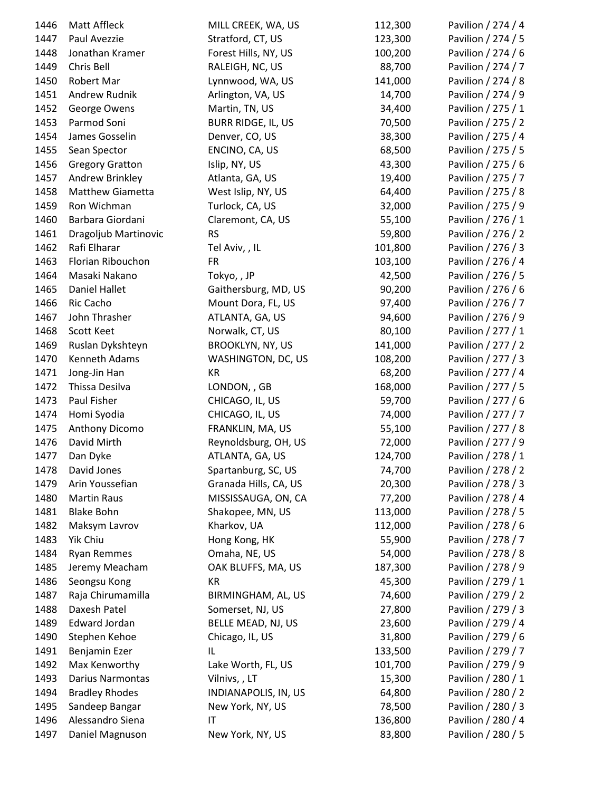| 1446 | Matt Affleck            | MILL CREEK, WA, US        | 112,300 | Pavilion / 274 / 4 |
|------|-------------------------|---------------------------|---------|--------------------|
| 1447 | Paul Avezzie            | Stratford, CT, US         | 123,300 | Pavilion / 274 / 5 |
| 1448 | Jonathan Kramer         | Forest Hills, NY, US      | 100,200 | Pavilion / 274 / 6 |
| 1449 | Chris Bell              | RALEIGH, NC, US           | 88,700  | Pavilion / 274 / 7 |
| 1450 | Robert Mar              | Lynnwood, WA, US          | 141,000 | Pavilion / 274 / 8 |
| 1451 | Andrew Rudnik           | Arlington, VA, US         | 14,700  | Pavilion / 274 / 9 |
| 1452 | George Owens            | Martin, TN, US            | 34,400  | Pavilion / 275 / 1 |
| 1453 | Parmod Soni             | <b>BURR RIDGE, IL, US</b> | 70,500  | Pavilion / 275 / 2 |
| 1454 | James Gosselin          | Denver, CO, US            | 38,300  | Pavilion / 275 / 4 |
| 1455 | Sean Spector            | ENCINO, CA, US            | 68,500  | Pavilion / 275 / 5 |
| 1456 | <b>Gregory Gratton</b>  | Islip, NY, US             | 43,300  | Pavilion / 275 / 6 |
| 1457 | Andrew Brinkley         | Atlanta, GA, US           | 19,400  | Pavilion / 275 / 7 |
| 1458 | <b>Matthew Giametta</b> | West Islip, NY, US        | 64,400  | Pavilion / 275 / 8 |
| 1459 | Ron Wichman             | Turlock, CA, US           | 32,000  | Pavilion / 275 / 9 |
| 1460 | Barbara Giordani        | Claremont, CA, US         | 55,100  | Pavilion / 276 / 1 |
| 1461 | Dragoljub Martinovic    | <b>RS</b>                 | 59,800  | Pavilion / 276 / 2 |
| 1462 | Rafi Elharar            | Tel Aviv, , IL            | 101,800 | Pavilion / 276 / 3 |
| 1463 | Florian Ribouchon       | <b>FR</b>                 | 103,100 | Pavilion / 276 / 4 |
| 1464 | Masaki Nakano           | Tokyo,, JP                | 42,500  | Pavilion / 276 / 5 |
| 1465 | <b>Daniel Hallet</b>    | Gaithersburg, MD, US      | 90,200  | Pavilion / 276 / 6 |
| 1466 | Ric Cacho               | Mount Dora, FL, US        | 97,400  | Pavilion / 276 / 7 |
| 1467 | John Thrasher           | ATLANTA, GA, US           | 94,600  | Pavilion / 276 / 9 |
| 1468 | Scott Keet              | Norwalk, CT, US           | 80,100  | Pavilion / 277 / 1 |
| 1469 | Ruslan Dykshteyn        | <b>BROOKLYN, NY, US</b>   | 141,000 | Pavilion / 277 / 2 |
| 1470 | Kenneth Adams           | WASHINGTON, DC, US        | 108,200 | Pavilion / 277 / 3 |
| 1471 | Jong-Jin Han            | KR                        | 68,200  | Pavilion / 277 / 4 |
| 1472 | Thissa Desilva          | LONDON, , GB              | 168,000 | Pavilion / 277 / 5 |
| 1473 | Paul Fisher             | CHICAGO, IL, US           | 59,700  | Pavilion / 277 / 6 |
| 1474 | Homi Syodia             | CHICAGO, IL, US           | 74,000  | Pavilion / 277 / 7 |
| 1475 | Anthony Dicomo          | FRANKLIN, MA, US          | 55,100  | Pavilion / 277 / 8 |
| 1476 | David Mirth             | Reynoldsburg, OH, US      | 72,000  | Pavilion / 277 / 9 |
| 1477 | Dan Dyke                | ATLANTA, GA, US           | 124,700 | Pavilion / 278 / 1 |
| 1478 | David Jones             | Spartanburg, SC, US       | 74,700  | Pavilion / 278 / 2 |
| 1479 | Arin Youssefian         | Granada Hills, CA, US     | 20,300  | Pavilion / 278 / 3 |
| 1480 | <b>Martin Raus</b>      | MISSISSAUGA, ON, CA       | 77,200  | Pavilion / 278 / 4 |
| 1481 | <b>Blake Bohn</b>       | Shakopee, MN, US          | 113,000 | Pavilion / 278 / 5 |
| 1482 | Maksym Lavrov           | Kharkov, UA               | 112,000 | Pavilion / 278 / 6 |
| 1483 | Yik Chiu                | Hong Kong, HK             | 55,900  | Pavilion / 278 / 7 |
| 1484 | <b>Ryan Remmes</b>      | Omaha, NE, US             | 54,000  | Pavilion / 278 / 8 |
| 1485 | Jeremy Meacham          | OAK BLUFFS, MA, US        | 187,300 | Pavilion / 278 / 9 |
| 1486 | Seongsu Kong            | KR                        | 45,300  | Pavilion / 279 / 1 |
| 1487 | Raja Chirumamilla       | BIRMINGHAM, AL, US        | 74,600  | Pavilion / 279 / 2 |
| 1488 | Daxesh Patel            | Somerset, NJ, US          | 27,800  | Pavilion / 279 / 3 |
| 1489 | <b>Edward Jordan</b>    | BELLE MEAD, NJ, US        | 23,600  | Pavilion / 279 / 4 |
| 1490 | Stephen Kehoe           | Chicago, IL, US           | 31,800  | Pavilion / 279 / 6 |
| 1491 | Benjamin Ezer           | IL                        | 133,500 | Pavilion / 279 / 7 |
| 1492 | Max Kenworthy           | Lake Worth, FL, US        | 101,700 | Pavilion / 279 / 9 |
| 1493 | Darius Narmontas        | Vilnivs,, LT              | 15,300  | Pavilion / 280 / 1 |
| 1494 | <b>Bradley Rhodes</b>   | INDIANAPOLIS, IN, US      | 64,800  | Pavilion / 280 / 2 |
| 1495 | Sandeep Bangar          | New York, NY, US          | 78,500  | Pavilion / 280 / 3 |
| 1496 | Alessandro Siena        | IT                        | 136,800 | Pavilion / 280 / 4 |
| 1497 | Daniel Magnuson         | New York, NY, US          | 83,800  | Pavilion / 280 / 5 |
|      |                         |                           |         |                    |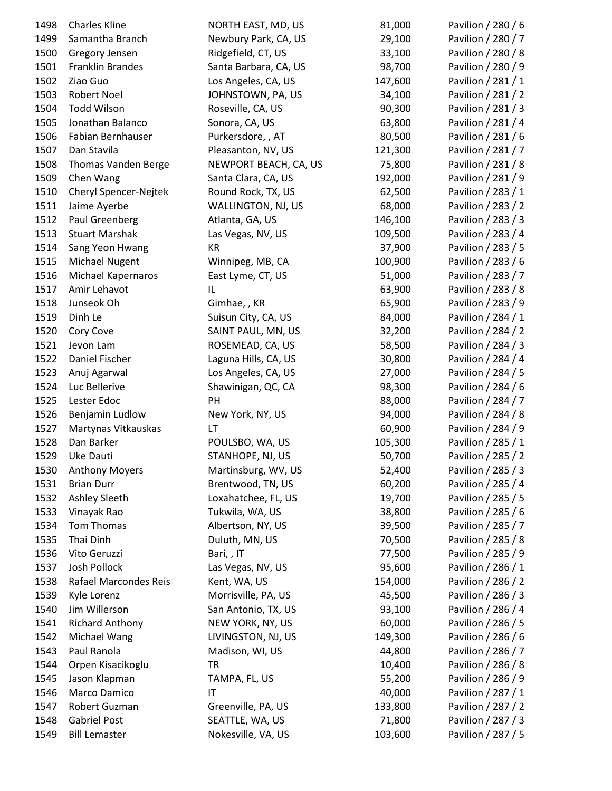| 1498 | <b>Charles Kline</b>   | NORTH EAST, MD, US    | 81,000  | Pavilion / 280 / 6 |
|------|------------------------|-----------------------|---------|--------------------|
| 1499 | Samantha Branch        | Newbury Park, CA, US  | 29,100  | Pavilion / 280 / 7 |
| 1500 | Gregory Jensen         | Ridgefield, CT, US    | 33,100  | Pavilion / 280 / 8 |
| 1501 | Franklin Brandes       | Santa Barbara, CA, US | 98,700  | Pavilion / 280 / 9 |
| 1502 | Ziao Guo               | Los Angeles, CA, US   | 147,600 | Pavilion / 281 / 1 |
| 1503 | Robert Noel            | JOHNSTOWN, PA, US     | 34,100  | Pavilion / 281 / 2 |
| 1504 | <b>Todd Wilson</b>     | Roseville, CA, US     | 90,300  | Pavilion / 281 / 3 |
| 1505 | Jonathan Balanco       | Sonora, CA, US        | 63,800  | Pavilion / 281 / 4 |
| 1506 | Fabian Bernhauser      | Purkersdore, , AT     | 80,500  | Pavilion / 281 / 6 |
| 1507 | Dan Stavila            | Pleasanton, NV, US    | 121,300 | Pavilion / 281 / 7 |
| 1508 | Thomas Vanden Berge    | NEWPORT BEACH, CA, US | 75,800  | Pavilion / 281 / 8 |
| 1509 | Chen Wang              | Santa Clara, CA, US   | 192,000 | Pavilion / 281 / 9 |
| 1510 | Cheryl Spencer-Nejtek  | Round Rock, TX, US    | 62,500  | Pavilion / 283 / 1 |
| 1511 | Jaime Ayerbe           | WALLINGTON, NJ, US    | 68,000  | Pavilion / 283 / 2 |
| 1512 | Paul Greenberg         | Atlanta, GA, US       | 146,100 | Pavilion / 283 / 3 |
| 1513 | <b>Stuart Marshak</b>  | Las Vegas, NV, US     | 109,500 | Pavilion / 283 / 4 |
| 1514 | Sang Yeon Hwang        | KR                    | 37,900  | Pavilion / 283 / 5 |
| 1515 | <b>Michael Nugent</b>  | Winnipeg, MB, CA      | 100,900 | Pavilion / 283 / 6 |
| 1516 | Michael Kapernaros     | East Lyme, CT, US     | 51,000  | Pavilion / 283 / 7 |
| 1517 | Amir Lehavot           | IL                    | 63,900  | Pavilion / 283 / 8 |
| 1518 | Junseok Oh             | Gimhae, , KR          | 65,900  | Pavilion / 283 / 9 |
| 1519 | Dinh Le                | Suisun City, CA, US   | 84,000  | Pavilion / 284 / 1 |
| 1520 | Cory Cove              | SAINT PAUL, MN, US    | 32,200  | Pavilion / 284 / 2 |
| 1521 | Jevon Lam              | ROSEMEAD, CA, US      | 58,500  | Pavilion / 284 / 3 |
| 1522 | Daniel Fischer         | Laguna Hills, CA, US  | 30,800  | Pavilion / 284 / 4 |
| 1523 | Anuj Agarwal           | Los Angeles, CA, US   | 27,000  | Pavilion / 284 / 5 |
| 1524 | Luc Bellerive          | Shawinigan, QC, CA    | 98,300  | Pavilion / 284 / 6 |
| 1525 | Lester Edoc            | PH                    | 88,000  | Pavilion / 284 / 7 |
| 1526 | Benjamin Ludlow        | New York, NY, US      | 94,000  | Pavilion / 284 / 8 |
| 1527 | Martynas Vitkauskas    | LT                    | 60,900  | Pavilion / 284 / 9 |
| 1528 | Dan Barker             | POULSBO, WA, US       | 105,300 | Pavilion / 285 / 1 |
| 1529 | Uke Dauti              | STANHOPE, NJ, US      | 50,700  | Pavilion / 285 / 2 |
| 1530 | <b>Anthony Moyers</b>  | Martinsburg, WV, US   | 52,400  | Pavilion / 285 / 3 |
| 1531 | <b>Brian Durr</b>      | Brentwood, TN, US     | 60,200  | Pavilion / 285 / 4 |
| 1532 | Ashley Sleeth          | Loxahatchee, FL, US   | 19,700  | Pavilion / 285 / 5 |
| 1533 | Vinayak Rao            | Tukwila, WA, US       | 38,800  | Pavilion / 285 / 6 |
| 1534 | Tom Thomas             | Albertson, NY, US     | 39,500  | Pavilion / 285 / 7 |
| 1535 | Thai Dinh              | Duluth, MN, US        | 70,500  | Pavilion / 285 / 8 |
| 1536 | Vito Geruzzi           | Bari,, IT             | 77,500  | Pavilion / 285 / 9 |
| 1537 | <b>Josh Pollock</b>    | Las Vegas, NV, US     | 95,600  | Pavilion / 286 / 1 |
| 1538 | Rafael Marcondes Reis  | Kent, WA, US          | 154,000 | Pavilion / 286 / 2 |
| 1539 | Kyle Lorenz            | Morrisville, PA, US   | 45,500  | Pavilion / 286 / 3 |
| 1540 | Jim Willerson          | San Antonio, TX, US   | 93,100  | Pavilion / 286 / 4 |
| 1541 | <b>Richard Anthony</b> | NEW YORK, NY, US      | 60,000  | Pavilion / 286 / 5 |
| 1542 | Michael Wang           | LIVINGSTON, NJ, US    | 149,300 | Pavilion / 286 / 6 |
| 1543 | Paul Ranola            | Madison, WI, US       | 44,800  | Pavilion / 286 / 7 |
| 1544 | Orpen Kisacikoglu      | <b>TR</b>             | 10,400  | Pavilion / 286 / 8 |
| 1545 | Jason Klapman          | TAMPA, FL, US         | 55,200  | Pavilion / 286 / 9 |
| 1546 | Marco Damico           | IT                    | 40,000  | Pavilion / 287 / 1 |
| 1547 | Robert Guzman          | Greenville, PA, US    | 133,800 | Pavilion / 287 / 2 |
| 1548 | <b>Gabriel Post</b>    | SEATTLE, WA, US       | 71,800  | Pavilion / 287 / 3 |
| 1549 | <b>Bill Lemaster</b>   | Nokesville, VA, US    | 103,600 | Pavilion / 287 / 5 |
|      |                        |                       |         |                    |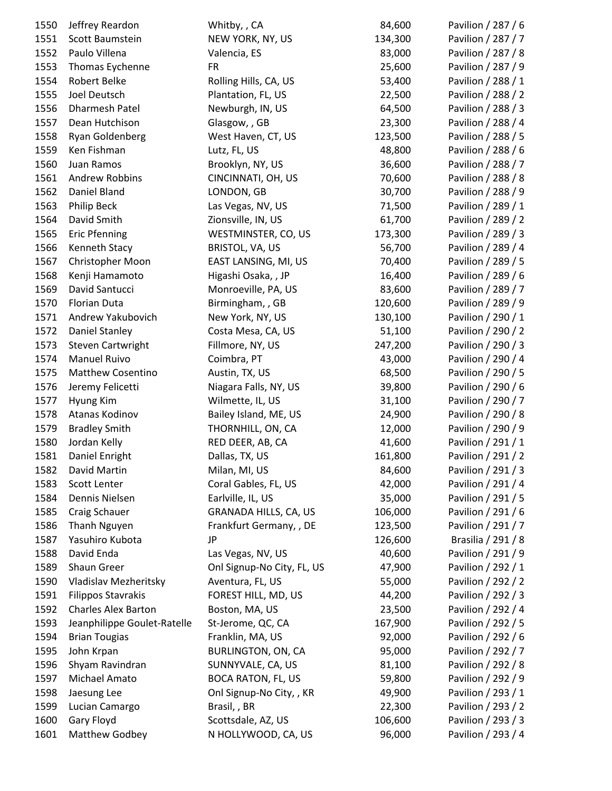| 1550 | Jeffrey Reardon             | Whitby, , CA               | 84,600  | Pavilion / 287 / 6 |
|------|-----------------------------|----------------------------|---------|--------------------|
| 1551 | Scott Baumstein             | NEW YORK, NY, US           | 134,300 | Pavilion / 287 / 7 |
| 1552 | Paulo Villena               | Valencia, ES               | 83,000  | Pavilion / 287 / 8 |
| 1553 | Thomas Eychenne             | <b>FR</b>                  | 25,600  | Pavilion / 287 / 9 |
| 1554 | Robert Belke                | Rolling Hills, CA, US      | 53,400  | Pavilion / 288 / 1 |
| 1555 | Joel Deutsch                | Plantation, FL, US         | 22,500  | Pavilion / 288 / 2 |
| 1556 | Dharmesh Patel              | Newburgh, IN, US           | 64,500  | Pavilion / 288 / 3 |
| 1557 | Dean Hutchison              | Glasgow, , GB              | 23,300  | Pavilion / 288 / 4 |
| 1558 | Ryan Goldenberg             | West Haven, CT, US         | 123,500 | Pavilion / 288 / 5 |
| 1559 | Ken Fishman                 | Lutz, FL, US               | 48,800  | Pavilion / 288 / 6 |
| 1560 | Juan Ramos                  | Brooklyn, NY, US           | 36,600  | Pavilion / 288 / 7 |
| 1561 | Andrew Robbins              | CINCINNATI, OH, US         | 70,600  | Pavilion / 288 / 8 |
| 1562 | Daniel Bland                | LONDON, GB                 | 30,700  | Pavilion / 288 / 9 |
| 1563 | Philip Beck                 | Las Vegas, NV, US          | 71,500  | Pavilion / 289 / 1 |
| 1564 | David Smith                 | Zionsville, IN, US         | 61,700  | Pavilion / 289 / 2 |
| 1565 | <b>Eric Pfenning</b>        | WESTMINSTER, CO, US        | 173,300 | Pavilion / 289 / 3 |
| 1566 | Kenneth Stacy               | BRISTOL, VA, US            | 56,700  | Pavilion / 289 / 4 |
| 1567 | Christopher Moon            | EAST LANSING, MI, US       | 70,400  | Pavilion / 289 / 5 |
| 1568 | Kenji Hamamoto              | Higashi Osaka, , JP        | 16,400  | Pavilion / 289 / 6 |
| 1569 | David Santucci              | Monroeville, PA, US        | 83,600  | Pavilion / 289 / 7 |
| 1570 | Florian Duta                | Birmingham, , GB           | 120,600 | Pavilion / 289 / 9 |
| 1571 | Andrew Yakubovich           | New York, NY, US           | 130,100 | Pavilion / 290 / 1 |
| 1572 | <b>Daniel Stanley</b>       | Costa Mesa, CA, US         | 51,100  | Pavilion / 290 / 2 |
| 1573 | <b>Steven Cartwright</b>    | Fillmore, NY, US           | 247,200 | Pavilion / 290 / 3 |
| 1574 | <b>Manuel Ruivo</b>         | Coimbra, PT                | 43,000  | Pavilion / 290 / 4 |
| 1575 | <b>Matthew Cosentino</b>    | Austin, TX, US             | 68,500  | Pavilion / 290 / 5 |
| 1576 | Jeremy Felicetti            | Niagara Falls, NY, US      | 39,800  | Pavilion / 290 / 6 |
| 1577 | Hyung Kim                   | Wilmette, IL, US           | 31,100  | Pavilion / 290 / 7 |
| 1578 | Atanas Kodinov              | Bailey Island, ME, US      | 24,900  | Pavilion / 290 / 8 |
| 1579 | <b>Bradley Smith</b>        | THORNHILL, ON, CA          | 12,000  | Pavilion / 290 / 9 |
| 1580 | Jordan Kelly                | RED DEER, AB, CA           | 41,600  | Pavilion / 291 / 1 |
| 1581 | Daniel Enright              | Dallas, TX, US             | 161,800 | Pavilion / 291 / 2 |
| 1582 | David Martin                | Milan, MI, US              | 84,600  | Pavilion / 291 / 3 |
| 1583 | Scott Lenter                | Coral Gables, FL, US       | 42,000  | Pavilion / 291 / 4 |
| 1584 | Dennis Nielsen              | Earlville, IL, US          | 35,000  | Pavilion / 291 / 5 |
| 1585 | Craig Schauer               | GRANADA HILLS, CA, US      | 106,000 | Pavilion / 291 / 6 |
| 1586 | Thanh Nguyen                | Frankfurt Germany, , DE    | 123,500 | Pavilion / 291 / 7 |
| 1587 | Yasuhiro Kubota             | JP                         | 126,600 | Brasilia / 291 / 8 |
|      |                             |                            | 40,600  | Pavilion / 291 / 9 |
| 1588 | David Enda                  | Las Vegas, NV, US          |         |                    |
| 1589 | Shaun Greer                 | Onl Signup-No City, FL, US | 47,900  | Pavilion / 292 / 1 |
| 1590 | Vladislav Mezheritsky       | Aventura, FL, US           | 55,000  | Pavilion / 292 / 2 |
| 1591 | <b>Filippos Stavrakis</b>   | FOREST HILL, MD, US        | 44,200  | Pavilion / 292 / 3 |
| 1592 | <b>Charles Alex Barton</b>  | Boston, MA, US             | 23,500  | Pavilion / 292 / 4 |
| 1593 | Jeanphilippe Goulet-Ratelle | St-Jerome, QC, CA          | 167,900 | Pavilion / 292 / 5 |
| 1594 | <b>Brian Tougias</b>        | Franklin, MA, US           | 92,000  | Pavilion / 292 / 6 |
| 1595 | John Krpan                  | BURLINGTON, ON, CA         | 95,000  | Pavilion / 292 / 7 |
| 1596 | Shyam Ravindran             | SUNNYVALE, CA, US          | 81,100  | Pavilion / 292 / 8 |
| 1597 | Michael Amato               | <b>BOCA RATON, FL, US</b>  | 59,800  | Pavilion / 292 / 9 |
| 1598 | Jaesung Lee                 | Onl Signup-No City, , KR   | 49,900  | Pavilion / 293 / 1 |
| 1599 | Lucian Camargo              | Brasil, , BR               | 22,300  | Pavilion / 293 / 2 |
| 1600 | Gary Floyd                  | Scottsdale, AZ, US         | 106,600 | Pavilion / 293 / 3 |
| 1601 | Matthew Godbey              | N HOLLYWOOD, CA, US        | 96,000  | Pavilion / 293 / 4 |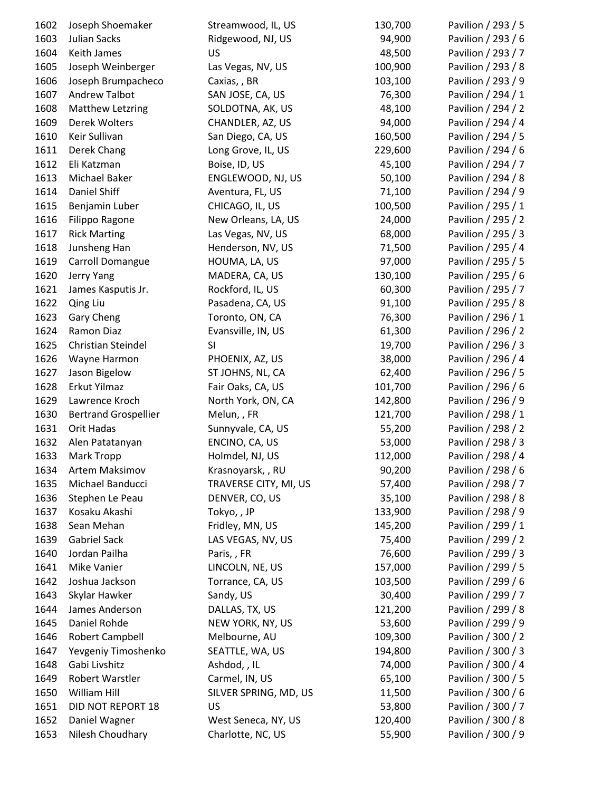| 1602 | Joseph Shoemaker            | Streamwood, IL, US    | 130,700 | Pavilion / 293 / 5 |
|------|-----------------------------|-----------------------|---------|--------------------|
| 1603 | <b>Julian Sacks</b>         | Ridgewood, NJ, US     | 94,900  | Pavilion / 293 / 6 |
| 1604 | Keith James                 | <b>US</b>             | 48,500  | Pavilion / 293 / 7 |
| 1605 | Joseph Weinberger           | Las Vegas, NV, US     | 100,900 | Pavilion / 293 / 8 |
| 1606 | Joseph Brumpacheco          | Caxias, , BR          | 103,100 | Pavilion / 293 / 9 |
| 1607 | Andrew Talbot               | SAN JOSE, CA, US      | 76,300  | Pavilion / 294 / 1 |
| 1608 | <b>Matthew Letzring</b>     | SOLDOTNA, AK, US      | 48,100  | Pavilion / 294 / 2 |
| 1609 | Derek Wolters               | CHANDLER, AZ, US      | 94,000  | Pavilion / 294 / 4 |
| 1610 | Keir Sullivan               | San Diego, CA, US     | 160,500 | Pavilion / 294 / 5 |
| 1611 | Derek Chang                 | Long Grove, IL, US    | 229,600 | Pavilion / 294 / 6 |
| 1612 | Eli Katzman                 | Boise, ID, US         | 45,100  | Pavilion / 294 / 7 |
| 1613 | Michael Baker               | ENGLEWOOD, NJ, US     | 50,100  | Pavilion / 294 / 8 |
| 1614 | Daniel Shiff                | Aventura, FL, US      | 71,100  | Pavilion / 294 / 9 |
| 1615 | Benjamin Luber              | CHICAGO, IL, US       | 100,500 | Pavilion / 295 / 1 |
| 1616 | Filippo Ragone              | New Orleans, LA, US   | 24,000  | Pavilion / 295 / 2 |
| 1617 | <b>Rick Marting</b>         | Las Vegas, NV, US     | 68,000  | Pavilion / 295 / 3 |
| 1618 | Junsheng Han                | Henderson, NV, US     | 71,500  | Pavilion / 295 / 4 |
| 1619 | Carroll Domangue            | HOUMA, LA, US         | 97,000  | Pavilion / 295 / 5 |
| 1620 | Jerry Yang                  | MADERA, CA, US        | 130,100 | Pavilion / 295 / 6 |
| 1621 | James Kasputis Jr.          | Rockford, IL, US      | 60,300  | Pavilion / 295 / 7 |
| 1622 | Qing Liu                    | Pasadena, CA, US      | 91,100  | Pavilion / 295 / 8 |
| 1623 | Gary Cheng                  | Toronto, ON, CA       | 76,300  | Pavilion / 296 / 1 |
| 1624 | Ramon Diaz                  | Evansville, IN, US    | 61,300  | Pavilion / 296 / 2 |
| 1625 | Christian Steindel          | SI                    | 19,700  | Pavilion / 296 / 3 |
| 1626 | Wayne Harmon                | PHOENIX, AZ, US       | 38,000  | Pavilion / 296 / 4 |
| 1627 | Jason Bigelow               | ST JOHNS, NL, CA      | 62,400  | Pavilion / 296 / 5 |
| 1628 | Erkut Yilmaz                | Fair Oaks, CA, US     | 101,700 | Pavilion / 296 / 6 |
| 1629 | Lawrence Kroch              | North York, ON, CA    | 142,800 | Pavilion / 296 / 9 |
| 1630 | <b>Bertrand Grospellier</b> | Melun,, FR            | 121,700 | Pavilion / 298 / 1 |
| 1631 | Orit Hadas                  | Sunnyvale, CA, US     | 55,200  | Pavilion / 298 / 2 |
| 1632 | Alen Patatanyan             | ENCINO, CA, US        | 53,000  | Pavilion / 298 / 3 |
| 1633 | Mark Tropp                  | Holmdel, NJ, US       | 112,000 | Pavilion / 298 / 4 |
| 1634 | Artem Maksimov              | Krasnoyarsk, , RU     | 90,200  | Pavilion / 298 / 6 |
| 1635 | Michael Banducci            | TRAVERSE CITY, MI, US | 57,400  | Pavilion / 298 / 7 |
| 1636 | Stephen Le Peau             | DENVER, CO, US        | 35,100  | Pavilion / 298 / 8 |
| 1637 | Kosaku Akashi               | Tokyo,, JP            | 133,900 | Pavilion / 298 / 9 |
| 1638 | Sean Mehan                  | Fridley, MN, US       | 145,200 | Pavilion / 299 / 1 |
| 1639 | Gabriel Sack                | LAS VEGAS, NV, US     | 75,400  | Pavilion / 299 / 2 |
| 1640 | Jordan Pailha               | Paris,, FR            | 76,600  | Pavilion / 299 / 3 |
| 1641 | Mike Vanier                 | LINCOLN, NE, US       | 157,000 | Pavilion / 299 / 5 |
| 1642 | Joshua Jackson              | Torrance, CA, US      | 103,500 | Pavilion / 299 / 6 |
| 1643 | Skylar Hawker               | Sandy, US             | 30,400  | Pavilion / 299 / 7 |
| 1644 | James Anderson              | DALLAS, TX, US        | 121,200 | Pavilion / 299 / 8 |
| 1645 | Daniel Rohde                | NEW YORK, NY, US      | 53,600  | Pavilion / 299 / 9 |
| 1646 | <b>Robert Campbell</b>      | Melbourne, AU         | 109,300 | Pavilion / 300 / 2 |
| 1647 | Yevgeniy Timoshenko         | SEATTLE, WA, US       | 194,800 | Pavilion / 300 / 3 |
| 1648 | Gabi Livshitz               | Ashdod, , IL          | 74,000  | Pavilion / 300 / 4 |
| 1649 | Robert Warstler             | Carmel, IN, US        | 65,100  | Pavilion / 300 / 5 |
| 1650 | William Hill                | SILVER SPRING, MD, US | 11,500  | Pavilion / 300 / 6 |
| 1651 | DID NOT REPORT 18           | US                    | 53,800  | Pavilion / 300 / 7 |
| 1652 | Daniel Wagner               | West Seneca, NY, US   | 120,400 | Pavilion / 300 / 8 |
| 1653 | Nilesh Choudhary            | Charlotte, NC, US     | 55,900  | Pavilion / 300 / 9 |
|      |                             |                       |         |                    |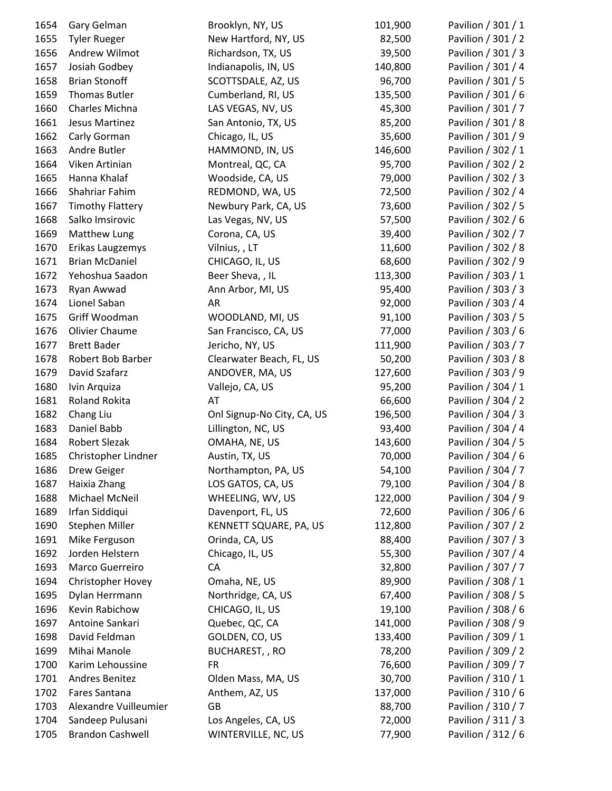| 1654         | Gary Gelman                        | Brooklyn, NY, US           | 101,900 | Pavilion / 301 / 1 |
|--------------|------------------------------------|----------------------------|---------|--------------------|
| 1655         | <b>Tyler Rueger</b>                | New Hartford, NY, US       | 82,500  | Pavilion / 301 / 2 |
| 1656         | Andrew Wilmot                      | Richardson, TX, US         | 39,500  | Pavilion / 301 / 3 |
| 1657         | Josiah Godbey                      | Indianapolis, IN, US       | 140,800 | Pavilion / 301 / 4 |
| 1658         | <b>Brian Stonoff</b>               | SCOTTSDALE, AZ, US         | 96,700  | Pavilion / 301 / 5 |
| 1659         | Thomas Butler                      | Cumberland, RI, US         | 135,500 | Pavilion / 301 / 6 |
| 1660         | Charles Michna                     | LAS VEGAS, NV, US          | 45,300  | Pavilion / 301 / 7 |
| 1661         | Jesus Martinez                     | San Antonio, TX, US        | 85,200  | Pavilion / 301 / 8 |
| 1662         | Carly Gorman                       | Chicago, IL, US            | 35,600  | Pavilion / 301 / 9 |
| 1663         | Andre Butler                       | HAMMOND, IN, US            | 146,600 | Pavilion / 302 / 1 |
| 1664         | Viken Artinian                     | Montreal, QC, CA           | 95,700  | Pavilion / 302 / 2 |
| 1665         | Hanna Khalaf                       | Woodside, CA, US           | 79,000  | Pavilion / 302 / 3 |
| 1666         | Shahriar Fahim                     | REDMOND, WA, US            | 72,500  | Pavilion / 302 / 4 |
| 1667         | <b>Timothy Flattery</b>            | Newbury Park, CA, US       | 73,600  | Pavilion / 302 / 5 |
| 1668         | Salko Imsirovic                    | Las Vegas, NV, US          | 57,500  | Pavilion / 302 / 6 |
| 1669         | Matthew Lung                       | Corona, CA, US             | 39,400  | Pavilion / 302 / 7 |
| 1670         | Erikas Laugzemys                   | Vilnius, , LT              | 11,600  | Pavilion / 302 / 8 |
| 1671         | <b>Brian McDaniel</b>              | CHICAGO, IL, US            | 68,600  | Pavilion / 302 / 9 |
| 1672         | Yehoshua Saadon                    | Beer Sheva, , IL           | 113,300 | Pavilion / 303 / 1 |
| 1673         | Ryan Awwad                         | Ann Arbor, MI, US          | 95,400  | Pavilion / 303 / 3 |
| 1674         | Lionel Saban                       | AR                         | 92,000  | Pavilion / 303 / 4 |
| 1675         | Griff Woodman                      | WOODLAND, MI, US           | 91,100  | Pavilion / 303 / 5 |
| 1676         | Olivier Chaume                     | San Francisco, CA, US      | 77,000  | Pavilion / 303 / 6 |
| 1677         | <b>Brett Bader</b>                 | Jericho, NY, US            | 111,900 | Pavilion / 303 / 7 |
| 1678         | Robert Bob Barber                  | Clearwater Beach, FL, US   | 50,200  | Pavilion / 303 / 8 |
| 1679         | David Szafarz                      | ANDOVER, MA, US            | 127,600 | Pavilion / 303 / 9 |
| 1680         | Ivin Arquiza                       | Vallejo, CA, US            | 95,200  | Pavilion / 304 / 1 |
| 1681         | <b>Roland Rokita</b>               | AT                         | 66,600  | Pavilion / 304 / 2 |
| 1682         | Chang Liu                          | Onl Signup-No City, CA, US | 196,500 | Pavilion / 304 / 3 |
| 1683         | Daniel Babb                        | Lillington, NC, US         | 93,400  | Pavilion / 304 / 4 |
| 1684         | <b>Robert Slezak</b>               | OMAHA, NE, US              | 143,600 | Pavilion / 304 / 5 |
| 1685         | Christopher Lindner                | Austin, TX, US             | 70,000  | Pavilion / 304 / 6 |
| 1686         | Drew Geiger                        | Northampton, PA, US        | 54,100  | Pavilion / 304 / 7 |
| 1687         | Haixia Zhang                       | LOS GATOS, CA, US          | 79,100  | Pavilion / 304 / 8 |
| 1688         | Michael McNeil                     | WHEELING, WV, US           | 122,000 | Pavilion / 304 / 9 |
| 1689         | Irfan Siddiqui                     | Davenport, FL, US          | 72,600  | Pavilion / 306 / 6 |
| 1690         | Stephen Miller                     | KENNETT SQUARE, PA, US     | 112,800 | Pavilion / 307 / 2 |
| 1691         | Mike Ferguson                      | Orinda, CA, US             | 88,400  | Pavilion / 307 / 3 |
| 1692         | Jorden Helstern                    | Chicago, IL, US            | 55,300  | Pavilion / 307 / 4 |
| 1693         | Marco Guerreiro                    | CA                         | 32,800  | Pavilion / 307 / 7 |
| 1694         | Christopher Hovey                  | Omaha, NE, US              | 89,900  | Pavilion / 308 / 1 |
| 1695         | Dylan Herrmann                     | Northridge, CA, US         | 67,400  | Pavilion / 308 / 5 |
| 1696         | Kevin Rabichow                     | CHICAGO, IL, US            | 19,100  | Pavilion / 308 / 6 |
| 1697         | Antoine Sankari                    | Quebec, QC, CA             | 141,000 | Pavilion / 308 / 9 |
| 1698         | David Feldman                      | GOLDEN, CO, US             | 133,400 | Pavilion / 309 / 1 |
| 1699         | Mihai Manole                       | BUCHAREST, , RO            | 78,200  | Pavilion / 309 / 2 |
|              |                                    |                            |         |                    |
| 1700<br>1701 | Karim Lehoussine<br>Andres Benitez | <b>FR</b>                  | 76,600  | Pavilion / 309 / 7 |
|              | Fares Santana                      | Olden Mass, MA, US         | 30,700  | Pavilion / 310 / 1 |
| 1702         | Alexandre Vuilleumier              | Anthem, AZ, US             | 137,000 | Pavilion / 310 / 6 |
| 1703<br>1704 |                                    | GB                         | 88,700  | Pavilion / 310 / 7 |
|              | Sandeep Pulusani                   | Los Angeles, CA, US        | 72,000  | Pavilion / 311 / 3 |
| 1705         | <b>Brandon Cashwell</b>            | WINTERVILLE, NC, US        | 77,900  | Pavilion / 312 / 6 |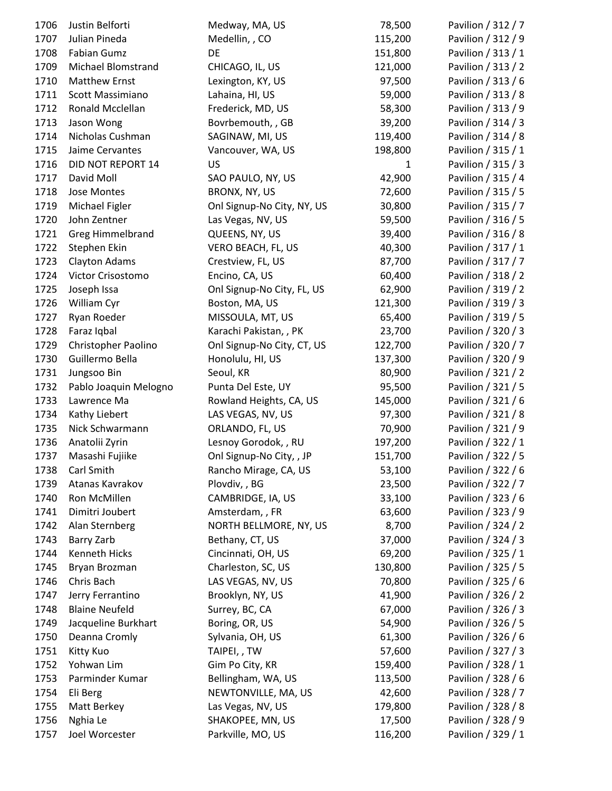| 1706 | Justin Belforti       | Medway, MA, US             | 78,500       | Pavilion / 312 / 7 |
|------|-----------------------|----------------------------|--------------|--------------------|
| 1707 | Julian Pineda         | Medellin, , CO             | 115,200      | Pavilion / 312 / 9 |
| 1708 | Fabian Gumz           | DE                         | 151,800      | Pavilion / 313 / 1 |
| 1709 | Michael Blomstrand    | CHICAGO, IL, US            | 121,000      | Pavilion / 313 / 2 |
| 1710 | Matthew Ernst         | Lexington, KY, US          | 97,500       | Pavilion / 313 / 6 |
| 1711 | Scott Massimiano      | Lahaina, HI, US            | 59,000       | Pavilion / 313 / 8 |
| 1712 | Ronald Mcclellan      | Frederick, MD, US          | 58,300       | Pavilion / 313 / 9 |
| 1713 | Jason Wong            | Bovrbemouth, , GB          | 39,200       | Pavilion / 314 / 3 |
| 1714 | Nicholas Cushman      | SAGINAW, MI, US            | 119,400      | Pavilion / 314 / 8 |
| 1715 | Jaime Cervantes       | Vancouver, WA, US          | 198,800      | Pavilion / 315 / 1 |
| 1716 | DID NOT REPORT 14     | <b>US</b>                  | $\mathbf{1}$ | Pavilion / 315 / 3 |
| 1717 | David Moll            | SAO PAULO, NY, US          | 42,900       | Pavilion / 315 / 4 |
| 1718 | Jose Montes           | BRONX, NY, US              | 72,600       | Pavilion / 315 / 5 |
| 1719 | Michael Figler        | Onl Signup-No City, NY, US | 30,800       | Pavilion / 315 / 7 |
| 1720 | John Zentner          | Las Vegas, NV, US          | 59,500       | Pavilion / 316 / 5 |
| 1721 | Greg Himmelbrand      | QUEENS, NY, US             | 39,400       | Pavilion / 316 / 8 |
| 1722 | Stephen Ekin          | VERO BEACH, FL, US         | 40,300       | Pavilion / 317 / 1 |
| 1723 | Clayton Adams         | Crestview, FL, US          | 87,700       | Pavilion / 317 / 7 |
| 1724 | Victor Crisostomo     | Encino, CA, US             | 60,400       | Pavilion / 318 / 2 |
| 1725 | Joseph Issa           | Onl Signup-No City, FL, US | 62,900       | Pavilion / 319 / 2 |
| 1726 | William Cyr           | Boston, MA, US             | 121,300      | Pavilion / 319 / 3 |
| 1727 | Ryan Roeder           | MISSOULA, MT, US           | 65,400       | Pavilion / 319 / 5 |
| 1728 | Faraz Iqbal           | Karachi Pakistan, , PK     | 23,700       | Pavilion / 320 / 3 |
| 1729 | Christopher Paolino   | Onl Signup-No City, CT, US | 122,700      | Pavilion / 320 / 7 |
| 1730 | Guillermo Bella       | Honolulu, HI, US           | 137,300      | Pavilion / 320 / 9 |
| 1731 | Jungsoo Bin           | Seoul, KR                  | 80,900       | Pavilion / 321 / 2 |
| 1732 | Pablo Joaquin Melogno | Punta Del Este, UY         | 95,500       | Pavilion / 321 / 5 |
| 1733 | Lawrence Ma           | Rowland Heights, CA, US    | 145,000      | Pavilion / 321 / 6 |
| 1734 | Kathy Liebert         | LAS VEGAS, NV, US          | 97,300       | Pavilion / 321 / 8 |
| 1735 | Nick Schwarmann       | ORLANDO, FL, US            | 70,900       | Pavilion / 321 / 9 |
| 1736 | Anatolii Zyrin        | Lesnoy Gorodok, , RU       | 197,200      | Pavilion / 322 / 1 |
| 1737 | Masashi Fujiike       | Onl Signup-No City, , JP   | 151,700      | Pavilion / 322 / 5 |
| 1738 | Carl Smith            | Rancho Mirage, CA, US      | 53,100       | Pavilion / 322 / 6 |
| 1739 | Atanas Kavrakov       | Plovdiv, , BG              | 23,500       | Pavilion / 322 / 7 |
| 1740 | Ron McMillen          | CAMBRIDGE, IA, US          | 33,100       | Pavilion / 323 / 6 |
| 1741 | Dimitri Joubert       | Amsterdam, , FR            | 63,600       | Pavilion / 323 / 9 |
| 1742 | Alan Sternberg        | NORTH BELLMORE, NY, US     | 8,700        | Pavilion / 324 / 2 |
| 1743 | <b>Barry Zarb</b>     | Bethany, CT, US            | 37,000       | Pavilion / 324 / 3 |
| 1744 | Kenneth Hicks         | Cincinnati, OH, US         | 69,200       | Pavilion / 325 / 1 |
| 1745 | Bryan Brozman         | Charleston, SC, US         | 130,800      | Pavilion / 325 / 5 |
| 1746 | Chris Bach            | LAS VEGAS, NV, US          | 70,800       | Pavilion / 325 / 6 |
| 1747 | Jerry Ferrantino      | Brooklyn, NY, US           | 41,900       | Pavilion / 326 / 2 |
| 1748 | <b>Blaine Neufeld</b> | Surrey, BC, CA             | 67,000       | Pavilion / 326 / 3 |
| 1749 | Jacqueline Burkhart   | Boring, OR, US             | 54,900       | Pavilion / 326 / 5 |
| 1750 | Deanna Cromly         | Sylvania, OH, US           | 61,300       | Pavilion / 326 / 6 |
| 1751 | Kitty Kuo             | TAIPEI,, TW                | 57,600       | Pavilion / 327 / 3 |
| 1752 | Yohwan Lim            | Gim Po City, KR            | 159,400      | Pavilion / 328 / 1 |
| 1753 | Parminder Kumar       | Bellingham, WA, US         | 113,500      | Pavilion / 328 / 6 |
| 1754 | Eli Berg              | NEWTONVILLE, MA, US        | 42,600       | Pavilion / 328 / 7 |
| 1755 | Matt Berkey           | Las Vegas, NV, US          | 179,800      | Pavilion / 328 / 8 |
| 1756 | Nghia Le              | SHAKOPEE, MN, US           | 17,500       | Pavilion / 328 / 9 |
| 1757 | Joel Worcester        | Parkville, MO, US          | 116,200      | Pavilion / 329 / 1 |
|      |                       |                            |              |                    |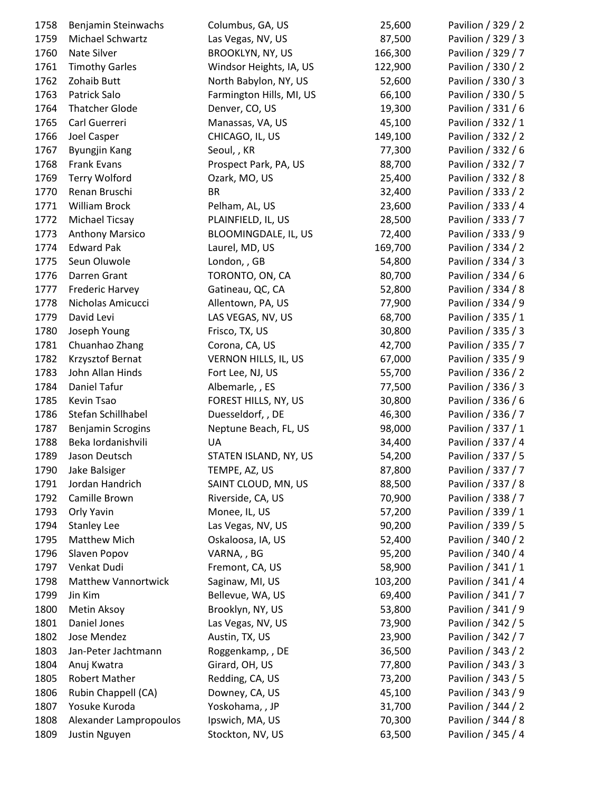| 1758 | Benjamin Steinwachs        | Columbus, GA, US         | 25,600  | Pavilion / 329 / 2 |
|------|----------------------------|--------------------------|---------|--------------------|
| 1759 | Michael Schwartz           | Las Vegas, NV, US        | 87,500  | Pavilion / 329 / 3 |
| 1760 | Nate Silver                | <b>BROOKLYN, NY, US</b>  | 166,300 | Pavilion / 329 / 7 |
| 1761 | <b>Timothy Garles</b>      | Windsor Heights, IA, US  | 122,900 | Pavilion / 330 / 2 |
| 1762 | Zohaib Butt                | North Babylon, NY, US    | 52,600  | Pavilion / 330 / 3 |
| 1763 | Patrick Salo               | Farmington Hills, MI, US | 66,100  | Pavilion / 330 / 5 |
| 1764 | <b>Thatcher Glode</b>      | Denver, CO, US           | 19,300  | Pavilion / 331 / 6 |
| 1765 | Carl Guerreri              | Manassas, VA, US         | 45,100  | Pavilion / 332 / 1 |
| 1766 | Joel Casper                | CHICAGO, IL, US          | 149,100 | Pavilion / 332 / 2 |
| 1767 | <b>Byungjin Kang</b>       | Seoul, , KR              | 77,300  | Pavilion / 332 / 6 |
| 1768 | <b>Frank Evans</b>         | Prospect Park, PA, US    | 88,700  | Pavilion / 332 / 7 |
| 1769 | <b>Terry Wolford</b>       | Ozark, MO, US            | 25,400  | Pavilion / 332 / 8 |
| 1770 | Renan Bruschi              | <b>BR</b>                | 32,400  | Pavilion / 333 / 2 |
| 1771 | William Brock              | Pelham, AL, US           | 23,600  | Pavilion / 333 / 4 |
| 1772 | Michael Ticsay             | PLAINFIELD, IL, US       | 28,500  | Pavilion / 333 / 7 |
| 1773 | <b>Anthony Marsico</b>     | BLOOMINGDALE, IL, US     | 72,400  | Pavilion / 333 / 9 |
| 1774 | <b>Edward Pak</b>          | Laurel, MD, US           | 169,700 | Pavilion / 334 / 2 |
| 1775 | Seun Oluwole               | London, , GB             | 54,800  | Pavilion / 334 / 3 |
| 1776 | Darren Grant               | TORONTO, ON, CA          | 80,700  | Pavilion / 334 / 6 |
| 1777 | <b>Frederic Harvey</b>     | Gatineau, QC, CA         | 52,800  | Pavilion / 334 / 8 |
| 1778 | Nicholas Amicucci          | Allentown, PA, US        | 77,900  | Pavilion / 334 / 9 |
| 1779 | David Levi                 | LAS VEGAS, NV, US        | 68,700  | Pavilion / 335 / 1 |
| 1780 | Joseph Young               | Frisco, TX, US           | 30,800  | Pavilion / 335 / 3 |
| 1781 | Chuanhao Zhang             | Corona, CA, US           | 42,700  | Pavilion / 335 / 7 |
| 1782 | Krzysztof Bernat           | VERNON HILLS, IL, US     | 67,000  | Pavilion / 335 / 9 |
| 1783 | John Allan Hinds           | Fort Lee, NJ, US         | 55,700  | Pavilion / 336 / 2 |
| 1784 | Daniel Tafur               | Albemarle, , ES          | 77,500  | Pavilion / 336 / 3 |
| 1785 | Kevin Tsao                 | FOREST HILLS, NY, US     | 30,800  | Pavilion / 336 / 6 |
| 1786 | Stefan Schillhabel         | Duesseldorf, , DE        | 46,300  | Pavilion / 336 / 7 |
| 1787 | <b>Benjamin Scrogins</b>   | Neptune Beach, FL, US    | 98,000  | Pavilion / 337 / 1 |
| 1788 | Beka Iordanishvili         | UA                       | 34,400  | Pavilion / 337 / 4 |
| 1789 | Jason Deutsch              | STATEN ISLAND, NY, US    | 54,200  | Pavilion / 337 / 5 |
| 1790 | Jake Balsiger              | TEMPE, AZ, US            | 87,800  | Pavilion / 337 / 7 |
| 1791 | Jordan Handrich            | SAINT CLOUD, MN, US      | 88,500  | Pavilion / 337 / 8 |
| 1792 | Camille Brown              | Riverside, CA, US        | 70,900  | Pavilion / 338 / 7 |
| 1793 | Orly Yavin                 | Monee, IL, US            | 57,200  | Pavilion / 339 / 1 |
| 1794 | <b>Stanley Lee</b>         | Las Vegas, NV, US        | 90,200  | Pavilion / 339 / 5 |
| 1795 | Matthew Mich               | Oskaloosa, IA, US        | 52,400  | Pavilion / 340 / 2 |
| 1796 | Slaven Popov               | VARNA, , BG              | 95,200  | Pavilion / 340 / 4 |
| 1797 | Venkat Dudi                | Fremont, CA, US          | 58,900  | Pavilion / 341 / 1 |
| 1798 | <b>Matthew Vannortwick</b> | Saginaw, MI, US          | 103,200 | Pavilion / 341 / 4 |
| 1799 | Jin Kim                    | Bellevue, WA, US         | 69,400  | Pavilion / 341 / 7 |
| 1800 | Metin Aksoy                | Brooklyn, NY, US         | 53,800  | Pavilion / 341 / 9 |
| 1801 | Daniel Jones               | Las Vegas, NV, US        | 73,900  | Pavilion / 342 / 5 |
| 1802 | Jose Mendez                | Austin, TX, US           | 23,900  | Pavilion / 342 / 7 |
| 1803 | Jan-Peter Jachtmann        | Roggenkamp, , DE         | 36,500  | Pavilion / 343 / 2 |
| 1804 | Anuj Kwatra                | Girard, OH, US           | 77,800  | Pavilion / 343 / 3 |
| 1805 | Robert Mather              | Redding, CA, US          | 73,200  | Pavilion / 343 / 5 |
| 1806 | Rubin Chappell (CA)        | Downey, CA, US           | 45,100  | Pavilion / 343 / 9 |
| 1807 | Yosuke Kuroda              | Yoskohama, , JP          | 31,700  | Pavilion / 344 / 2 |
| 1808 | Alexander Lampropoulos     | Ipswich, MA, US          | 70,300  | Pavilion / 344 / 8 |
| 1809 | Justin Nguyen              | Stockton, NV, US         | 63,500  | Pavilion / 345 / 4 |
|      |                            |                          |         |                    |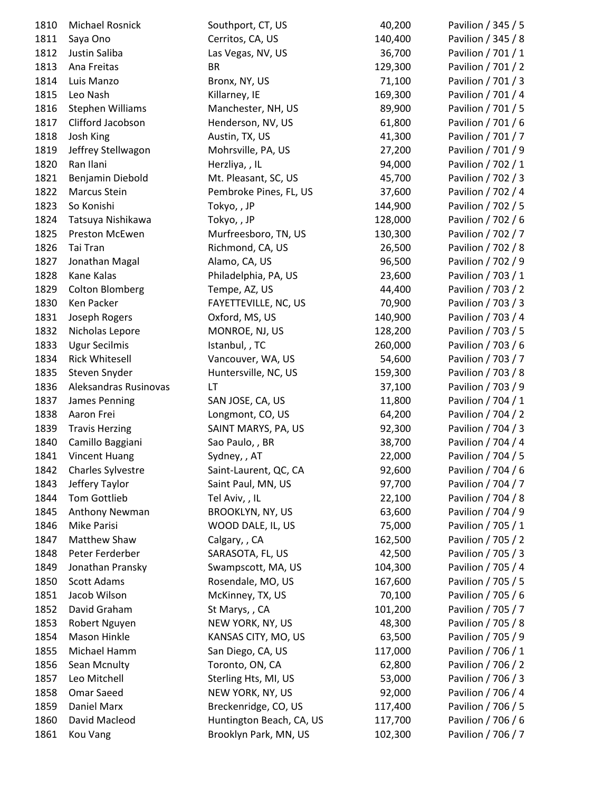| 1810 | Michael Rosnick        | Southport, CT, US        | 40,200  | Pavilion / 345 / 5 |
|------|------------------------|--------------------------|---------|--------------------|
| 1811 | Saya Ono               | Cerritos, CA, US         | 140,400 | Pavilion / 345 / 8 |
| 1812 | Justin Saliba          | Las Vegas, NV, US        | 36,700  | Pavilion / 701 / 1 |
| 1813 | Ana Freitas            | <b>BR</b>                | 129,300 | Pavilion / 701 / 2 |
| 1814 | Luis Manzo             | Bronx, NY, US            | 71,100  | Pavilion / 701 / 3 |
| 1815 | Leo Nash               | Killarney, IE            | 169,300 | Pavilion / 701 / 4 |
| 1816 | Stephen Williams       | Manchester, NH, US       | 89,900  | Pavilion / 701 / 5 |
| 1817 | Clifford Jacobson      | Henderson, NV, US        | 61,800  | Pavilion / 701 / 6 |
| 1818 | Josh King              | Austin, TX, US           | 41,300  | Pavilion / 701 / 7 |
| 1819 | Jeffrey Stellwagon     | Mohrsville, PA, US       | 27,200  | Pavilion / 701 / 9 |
| 1820 | Ran Ilani              | Herzliya, , IL           | 94,000  | Pavilion / 702 / 1 |
| 1821 | Benjamin Diebold       | Mt. Pleasant, SC, US     | 45,700  | Pavilion / 702 / 3 |
| 1822 | Marcus Stein           | Pembroke Pines, FL, US   | 37,600  | Pavilion / 702 / 4 |
| 1823 | So Konishi             | Tokyo,, JP               | 144,900 | Pavilion / 702 / 5 |
| 1824 | Tatsuya Nishikawa      | Tokyo,, JP               | 128,000 | Pavilion / 702 / 6 |
| 1825 | Preston McEwen         | Murfreesboro, TN, US     | 130,300 | Pavilion / 702 / 7 |
| 1826 | Tai Tran               | Richmond, CA, US         | 26,500  | Pavilion / 702 / 8 |
| 1827 | Jonathan Magal         | Alamo, CA, US            | 96,500  | Pavilion / 702 / 9 |
| 1828 | Kane Kalas             | Philadelphia, PA, US     | 23,600  | Pavilion / 703 / 1 |
| 1829 | <b>Colton Blomberg</b> | Tempe, AZ, US            | 44,400  | Pavilion / 703 / 2 |
| 1830 | Ken Packer             | FAYETTEVILLE, NC, US     | 70,900  | Pavilion / 703 / 3 |
| 1831 | Joseph Rogers          | Oxford, MS, US           | 140,900 | Pavilion / 703 / 4 |
| 1832 | Nicholas Lepore        | MONROE, NJ, US           | 128,200 | Pavilion / 703 / 5 |
| 1833 | <b>Ugur Secilmis</b>   | Istanbul, , TC           | 260,000 | Pavilion / 703 / 6 |
| 1834 | <b>Rick Whitesell</b>  | Vancouver, WA, US        | 54,600  | Pavilion / 703 / 7 |
| 1835 | Steven Snyder          | Huntersville, NC, US     | 159,300 | Pavilion / 703 / 8 |
| 1836 | Aleksandras Rusinovas  | LT                       | 37,100  | Pavilion / 703 / 9 |
| 1837 | James Penning          | SAN JOSE, CA, US         | 11,800  | Pavilion / 704 / 1 |
| 1838 | Aaron Frei             | Longmont, CO, US         | 64,200  | Pavilion / 704 / 2 |
| 1839 | <b>Travis Herzing</b>  | SAINT MARYS, PA, US      | 92,300  | Pavilion / 704 / 3 |
| 1840 | Camillo Baggiani       | Sao Paulo, , BR          | 38,700  | Pavilion / 704 / 4 |
| 1841 | <b>Vincent Huang</b>   | Sydney, , AT             | 22,000  | Pavilion / 704 / 5 |
| 1842 | Charles Sylvestre      | Saint-Laurent, QC, CA    | 92,600  | Pavilion / 704 / 6 |
| 1843 | Jeffery Taylor         | Saint Paul, MN, US       | 97,700  | Pavilion / 704 / 7 |
| 1844 | <b>Tom Gottlieb</b>    | Tel Aviv,, IL            | 22,100  | Pavilion / 704 / 8 |
| 1845 | Anthony Newman         | <b>BROOKLYN, NY, US</b>  | 63,600  | Pavilion / 704 / 9 |
| 1846 | Mike Parisi            | WOOD DALE, IL, US        | 75,000  | Pavilion / 705 / 1 |
| 1847 | Matthew Shaw           | Calgary, , CA            | 162,500 | Pavilion / 705 / 2 |
| 1848 | Peter Ferderber        | SARASOTA, FL, US         | 42,500  | Pavilion / 705 / 3 |
| 1849 | Jonathan Pransky       | Swampscott, MA, US       | 104,300 | Pavilion / 705 / 4 |
| 1850 | <b>Scott Adams</b>     | Rosendale, MO, US        | 167,600 | Pavilion / 705 / 5 |
| 1851 | Jacob Wilson           | McKinney, TX, US         | 70,100  | Pavilion / 705 / 6 |
| 1852 | David Graham           | St Marys, , CA           | 101,200 | Pavilion / 705 / 7 |
| 1853 | Robert Nguyen          | NEW YORK, NY, US         | 48,300  | Pavilion / 705 / 8 |
| 1854 | Mason Hinkle           | KANSAS CITY, MO, US      | 63,500  | Pavilion / 705 / 9 |
| 1855 | Michael Hamm           | San Diego, CA, US        | 117,000 | Pavilion / 706 / 1 |
| 1856 | Sean Mcnulty           | Toronto, ON, CA          | 62,800  | Pavilion / 706 / 2 |
| 1857 | Leo Mitchell           | Sterling Hts, MI, US     | 53,000  | Pavilion / 706 / 3 |
| 1858 | Omar Saeed             | NEW YORK, NY, US         | 92,000  | Pavilion / 706 / 4 |
| 1859 | Daniel Marx            | Breckenridge, CO, US     | 117,400 | Pavilion / 706 / 5 |
| 1860 | David Macleod          | Huntington Beach, CA, US | 117,700 | Pavilion / 706 / 6 |
| 1861 | <b>Kou Vang</b>        | Brooklyn Park, MN, US    | 102,300 | Pavilion / 706 / 7 |
|      |                        |                          |         |                    |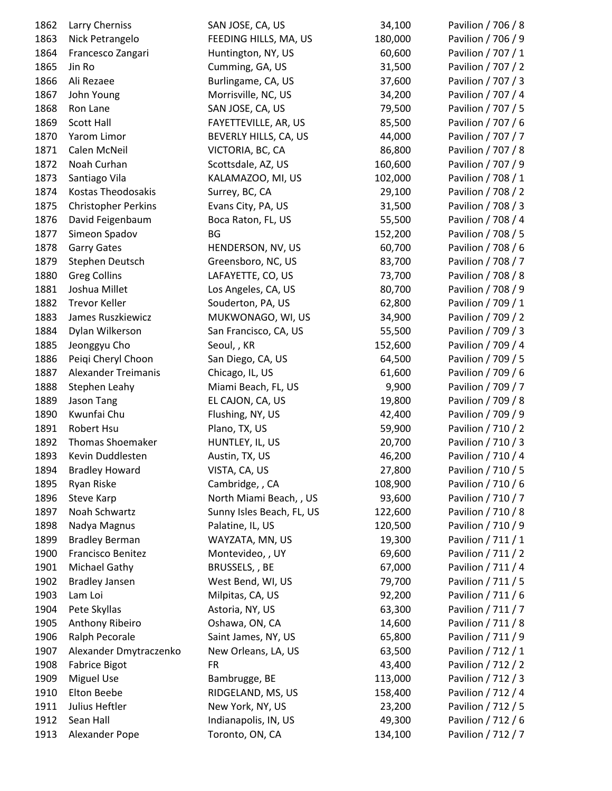| 1862 | Larry Cherniss             | SAN JOSE, CA, US          | 34,100  | Pavilion / 706 / 8 |
|------|----------------------------|---------------------------|---------|--------------------|
| 1863 | Nick Petrangelo            | FEEDING HILLS, MA, US     | 180,000 | Pavilion / 706 / 9 |
| 1864 | Francesco Zangari          | Huntington, NY, US        | 60,600  | Pavilion / 707 / 1 |
| 1865 | Jin Ro                     | Cumming, GA, US           | 31,500  | Pavilion / 707 / 2 |
| 1866 | Ali Rezaee                 | Burlingame, CA, US        | 37,600  | Pavilion / 707 / 3 |
| 1867 | John Young                 | Morrisville, NC, US       | 34,200  | Pavilion / 707 / 4 |
| 1868 | Ron Lane                   | SAN JOSE, CA, US          | 79,500  | Pavilion / 707 / 5 |
| 1869 | <b>Scott Hall</b>          | FAYETTEVILLE, AR, US      | 85,500  | Pavilion / 707 / 6 |
| 1870 | Yarom Limor                | BEVERLY HILLS, CA, US     | 44,000  | Pavilion / 707 / 7 |
| 1871 | Calen McNeil               | VICTORIA, BC, CA          | 86,800  | Pavilion / 707 / 8 |
| 1872 | Noah Curhan                | Scottsdale, AZ, US        | 160,600 | Pavilion / 707 / 9 |
| 1873 | Santiago Vila              | KALAMAZOO, MI, US         | 102,000 | Pavilion / 708 / 1 |
| 1874 | Kostas Theodosakis         | Surrey, BC, CA            | 29,100  | Pavilion / 708 / 2 |
| 1875 | <b>Christopher Perkins</b> | Evans City, PA, US        | 31,500  | Pavilion / 708 / 3 |
| 1876 | David Feigenbaum           | Boca Raton, FL, US        | 55,500  | Pavilion / 708 / 4 |
| 1877 | Simeon Spadov              | BG                        | 152,200 | Pavilion / 708 / 5 |
| 1878 | <b>Garry Gates</b>         | HENDERSON, NV, US         | 60,700  | Pavilion / 708 / 6 |
| 1879 | Stephen Deutsch            | Greensboro, NC, US        | 83,700  | Pavilion / 708 / 7 |
| 1880 | <b>Greg Collins</b>        | LAFAYETTE, CO, US         | 73,700  | Pavilion / 708 / 8 |
| 1881 | Joshua Millet              | Los Angeles, CA, US       | 80,700  | Pavilion / 708 / 9 |
| 1882 | <b>Trevor Keller</b>       | Souderton, PA, US         | 62,800  | Pavilion / 709 / 1 |
| 1883 | James Ruszkiewicz          | MUKWONAGO, WI, US         | 34,900  | Pavilion / 709 / 2 |
| 1884 | Dylan Wilkerson            | San Francisco, CA, US     | 55,500  | Pavilion / 709 / 3 |
| 1885 | Jeonggyu Cho               | Seoul, , KR               | 152,600 | Pavilion / 709 / 4 |
| 1886 | Peiqi Cheryl Choon         | San Diego, CA, US         | 64,500  | Pavilion / 709 / 5 |
| 1887 | <b>Alexander Treimanis</b> | Chicago, IL, US           | 61,600  | Pavilion / 709 / 6 |
| 1888 | <b>Stephen Leahy</b>       | Miami Beach, FL, US       | 9,900   | Pavilion / 709 / 7 |
| 1889 | Jason Tang                 | EL CAJON, CA, US          | 19,800  | Pavilion / 709 / 8 |
| 1890 | Kwunfai Chu                | Flushing, NY, US          | 42,400  | Pavilion / 709 / 9 |
| 1891 | Robert Hsu                 | Plano, TX, US             | 59,900  | Pavilion / 710 / 2 |
| 1892 | <b>Thomas Shoemaker</b>    | HUNTLEY, IL, US           | 20,700  | Pavilion / 710 / 3 |
| 1893 | Kevin Duddlesten           | Austin, TX, US            | 46,200  | Pavilion / 710 / 4 |
| 1894 | <b>Bradley Howard</b>      | VISTA, CA, US             | 27,800  | Pavilion / 710 / 5 |
| 1895 | Ryan Riske                 | Cambridge, , CA           | 108,900 | Pavilion / 710 / 6 |
| 1896 | Steve Karp                 | North Miami Beach, , US   | 93,600  | Pavilion / 710 / 7 |
| 1897 | Noah Schwartz              | Sunny Isles Beach, FL, US | 122,600 | Pavilion / 710 / 8 |
| 1898 | Nadya Magnus               | Palatine, IL, US          | 120,500 | Pavilion / 710 / 9 |
| 1899 | <b>Bradley Berman</b>      | WAYZATA, MN, US           | 19,300  | Pavilion / 711 / 1 |
| 1900 | Francisco Benitez          | Montevideo, , UY          | 69,600  | Pavilion / 711 / 2 |
| 1901 | Michael Gathy              | BRUSSELS, , BE            | 67,000  | Pavilion / 711 / 4 |
| 1902 | <b>Bradley Jansen</b>      | West Bend, WI, US         | 79,700  | Pavilion / 711 / 5 |
| 1903 | Lam Loi                    | Milpitas, CA, US          | 92,200  | Pavilion / 711 / 6 |
| 1904 | Pete Skyllas               | Astoria, NY, US           | 63,300  | Pavilion / 711 / 7 |
| 1905 | Anthony Ribeiro            | Oshawa, ON, CA            | 14,600  | Pavilion / 711 / 8 |
| 1906 | Ralph Pecorale             | Saint James, NY, US       | 65,800  | Pavilion / 711 / 9 |
| 1907 | Alexander Dmytraczenko     | New Orleans, LA, US       | 63,500  | Pavilion / 712 / 1 |
| 1908 | <b>Fabrice Bigot</b>       | <b>FR</b>                 | 43,400  | Pavilion / 712 / 2 |
| 1909 | <b>Miguel Use</b>          | Bambrugge, BE             | 113,000 | Pavilion / 712 / 3 |
| 1910 | Elton Beebe                | RIDGELAND, MS, US         | 158,400 | Pavilion / 712 / 4 |
| 1911 | Julius Heftler             | New York, NY, US          | 23,200  | Pavilion / 712 / 5 |
| 1912 | Sean Hall                  | Indianapolis, IN, US      | 49,300  | Pavilion / 712 / 6 |
| 1913 | Alexander Pope             | Toronto, ON, CA           | 134,100 | Pavilion / 712 / 7 |
|      |                            |                           |         |                    |